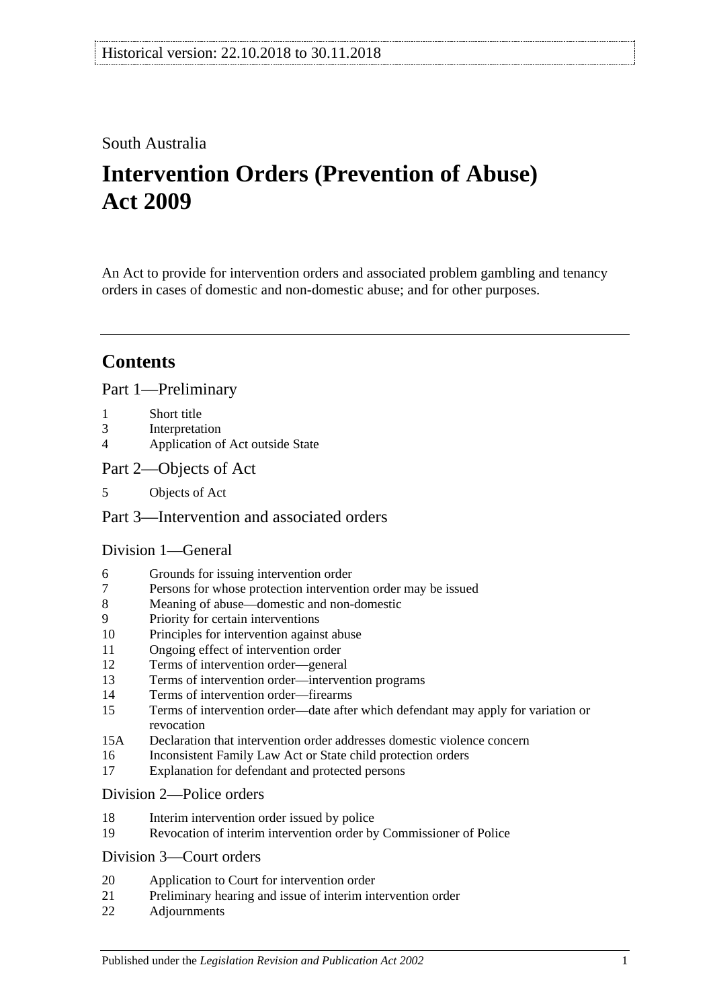# South Australia

# **Intervention Orders (Prevention of Abuse) Act 2009**

An Act to provide for intervention orders and associated problem gambling and tenancy orders in cases of domestic and non-domestic abuse; and for other purposes.

# **Contents**

[Part 1—Preliminary](#page-3-0)

- 1 [Short title](#page-3-1)
- 3 [Interpretation](#page-3-2)
- 4 [Application of Act outside State](#page-5-0)
- [Part 2—Objects of Act](#page-6-0)
- 5 [Objects of Act](#page-6-1)

# [Part 3—Intervention and associated orders](#page-6-2)

# [Division 1—General](#page-6-3)

- 6 [Grounds for issuing intervention order](#page-6-4)
- 7 [Persons for whose protection intervention order may be issued](#page-6-5)
- 8 [Meaning of abuse—domestic and non-domestic](#page-7-0)
- 9 [Priority for certain interventions](#page-9-0)
- 10 [Principles for intervention against abuse](#page-10-0)
- 11 [Ongoing effect of intervention order](#page-11-0)
- 12 [Terms of intervention order—general](#page-11-1)
- 13 [Terms of intervention order—intervention programs](#page-12-0)
- 14 [Terms of intervention order—firearms](#page-13-0)
- 15 [Terms of intervention order—date after which defendant may apply for variation or](#page-13-1)  [revocation](#page-13-1)
- 15A [Declaration that intervention order addresses domestic violence concern](#page-14-0)
- 16 [Inconsistent Family Law Act or State child protection orders](#page-14-1)
- 17 [Explanation for defendant and protected persons](#page-14-2)

#### [Division 2—Police orders](#page-14-3)

- 18 [Interim intervention order issued by police](#page-14-4)
- 19 [Revocation of interim intervention order by Commissioner of Police](#page-15-0)

#### [Division 3—Court orders](#page-16-0)

- 20 [Application to Court for intervention order](#page-16-1)
- 21 [Preliminary hearing and issue of interim intervention order](#page-16-2)
- 22 [Adjournments](#page-18-0)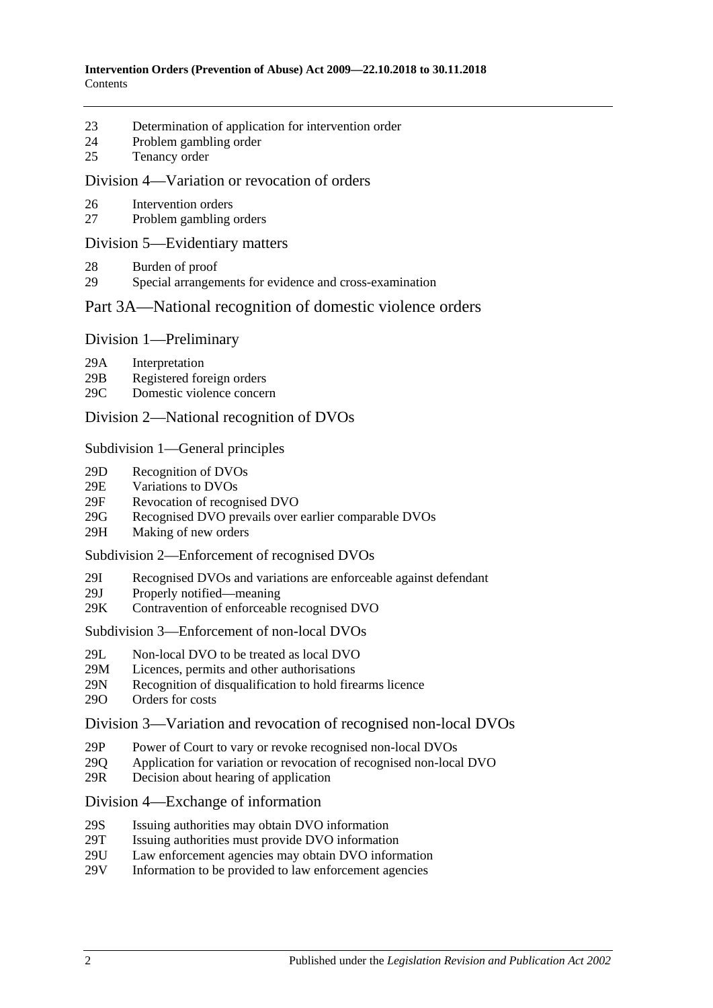- 23 [Determination of application for intervention order](#page-19-0)
- 24 [Problem gambling order](#page-20-0)
- 25 [Tenancy order](#page-21-0)

#### [Division 4—Variation or revocation of orders](#page-23-0)

- 26 [Intervention orders](#page-23-1)
- 27 [Problem gambling orders](#page-24-0)

#### [Division 5—Evidentiary matters](#page-25-0)

- 28 [Burden of proof](#page-25-1)
- 29 [Special arrangements for evidence and cross-examination](#page-25-2)

#### [Part 3A—National recognition of domestic violence orders](#page-26-0)

#### Division [1—Preliminary](#page-26-1)

- 29A [Interpretation](#page-26-2)
- 29B [Registered foreign orders](#page-27-0)
- 29C [Domestic violence concern](#page-28-0)

#### Division [2—National recognition of DVOs](#page-28-1)

#### Subdivision [1—General principles](#page-28-2)

- 29D [Recognition of DVOs](#page-28-3)
- 29E [Variations to DVOs](#page-28-4)
- 29F [Revocation of recognised DVO](#page-29-0)
- 29G [Recognised DVO prevails over earlier comparable DVOs](#page-29-1)
- 29H [Making of new orders](#page-30-0)

#### Subdivision [2—Enforcement of recognised DVOs](#page-30-1)

- 29I [Recognised DVOs and variations are enforceable against defendant](#page-30-2)
- 29J [Properly notified—meaning](#page-30-3)
- 29K [Contravention of enforceable recognised DVO](#page-31-0)

#### Subdivision [3—Enforcement of non-local DVOs](#page-31-1)

- 29L [Non-local DVO to be treated as local DVO](#page-31-2)
- 29M [Licences, permits and other authorisations](#page-31-3)<br>29N Recognition of disqualification to hold fire
- [Recognition of disqualification to hold firearms licence](#page-32-0)
- 29O [Orders for costs](#page-32-1)

#### Division [3—Variation and revocation of recognised non-local DVOs](#page-32-2)

- 29P [Power of Court to vary or revoke recognised non-local DVOs](#page-32-3)
- 29Q [Application for variation or revocation of recognised non-local DVO](#page-33-0)
- 29R [Decision about hearing of application](#page-33-1)

#### Division [4—Exchange of information](#page-34-0)

- 29S [Issuing authorities may obtain DVO information](#page-34-1)
- 29T [Issuing authorities must provide DVO information](#page-34-2)
- 29U [Law enforcement agencies may obtain DVO information](#page-34-3)
- 29V [Information to be provided to law enforcement agencies](#page-34-4)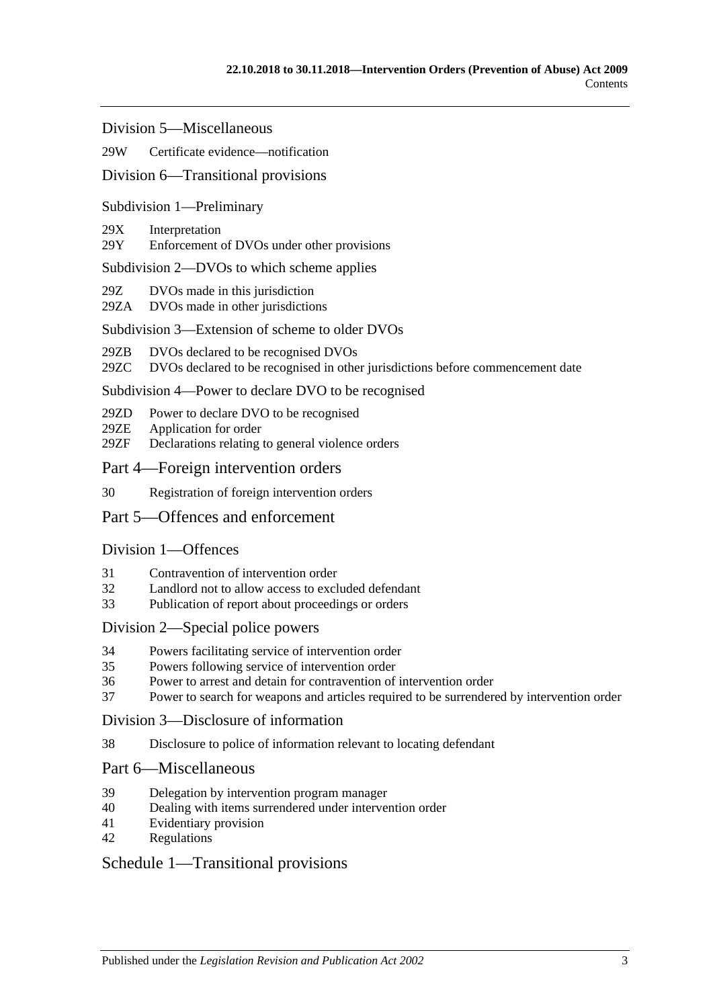Division [5—Miscellaneous](#page-35-0)

#### 29W [Certificate evidence—notification](#page-35-1)

#### Division [6—Transitional provisions](#page-35-2)

#### Subdivision [1—Preliminary](#page-35-3)

#### 29X [Interpretation](#page-35-4)

29Y [Enforcement of DVOs under other provisions](#page-35-5)

#### Subdivision [2—DVOs to which scheme applies](#page-36-0)

- 29Z [DVOs made in this jurisdiction](#page-36-1)
- 29ZA [DVOs made in other jurisdictions](#page-36-2)

#### Subdivision [3—Extension of scheme to older DVOs](#page-36-3)

- 29ZB [DVOs declared to be recognised DVOs](#page-36-4)
- 29ZC [DVOs declared to be recognised in other jurisdictions before commencement date](#page-37-0)

#### Subdivision [4—Power to declare DVO to be recognised](#page-37-1)

- 29ZD [Power to declare DVO to be recognised](#page-37-2)
- 29ZE [Application for order](#page-37-3)
- 29ZF [Declarations relating to general violence orders](#page-38-0)

#### [Part 4—Foreign intervention orders](#page-38-1)

30 [Registration of foreign intervention orders](#page-38-2)

#### [Part 5—Offences and enforcement](#page-39-0)

#### [Division 1—Offences](#page-39-1)

- 31 [Contravention of intervention order](#page-39-2)
- 32 [Landlord not to allow access to excluded defendant](#page-39-3)
- 33 [Publication of report about proceedings or orders](#page-40-0)

#### [Division 2—Special police powers](#page-40-1)

- 34 [Powers facilitating service of intervention order](#page-40-2)
- 35 [Powers following service of intervention order](#page-41-0)
- 36 [Power to arrest and detain for contravention of intervention order](#page-41-1)
- 37 [Power to search for weapons and articles required to be surrendered by intervention order](#page-42-0)

#### [Division 3—Disclosure of information](#page-42-1)

38 [Disclosure to police of information relevant to locating defendant](#page-42-2)

#### [Part 6—Miscellaneous](#page-42-3)

- 39 [Delegation by intervention program manager](#page-42-4)
- 40 [Dealing with items surrendered under intervention order](#page-43-0)
- 41 [Evidentiary provision](#page-43-1)
- 42 [Regulations](#page-43-2)

#### [Schedule 1—Transitional provisions](#page-43-3)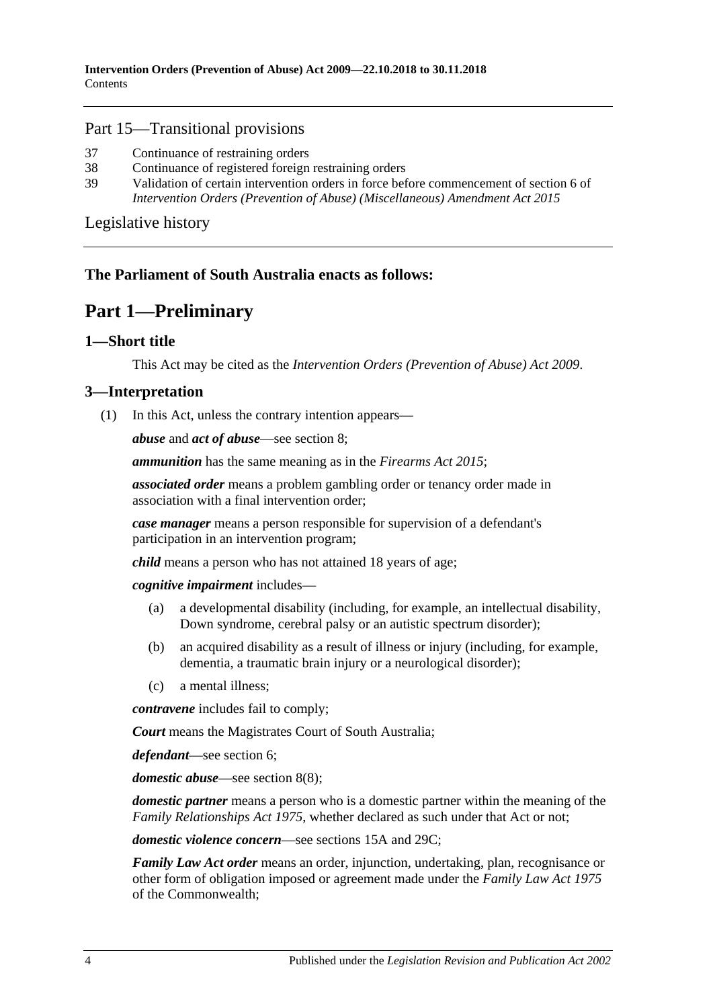#### Part 15—Transitional provisions

- 37 [Continuance of restraining orders](#page-43-4)
- 38 [Continuance of registered foreign restraining orders](#page-43-5)
- 39 [Validation of certain intervention orders in force before commencement of section](#page-44-0) 6 of *[Intervention Orders \(Prevention of Abuse\) \(Miscellaneous\) Amendment Act](#page-44-0) 2015*

[Legislative history](#page-45-0)

# <span id="page-3-0"></span>**The Parliament of South Australia enacts as follows:**

# **Part 1—Preliminary**

# <span id="page-3-1"></span>**1—Short title**

This Act may be cited as the *Intervention Orders (Prevention of Abuse) Act 2009*.

# <span id="page-3-3"></span><span id="page-3-2"></span>**3—Interpretation**

(1) In this Act, unless the contrary intention appears—

*abuse* and *act of abuse*—see [section](#page-7-0) 8;

*ammunition* has the same meaning as in the *[Firearms Act 2015](http://www.legislation.sa.gov.au/index.aspx?action=legref&type=act&legtitle=Firearms%20Act%202015)*;

*associated order* means a problem gambling order or tenancy order made in association with a final intervention order;

*case manager* means a person responsible for supervision of a defendant's participation in an intervention program;

*child* means a person who has not attained 18 years of age;

*cognitive impairment* includes—

- (a) a developmental disability (including, for example, an intellectual disability, Down syndrome, cerebral palsy or an autistic spectrum disorder);
- (b) an acquired disability as a result of illness or injury (including, for example, dementia, a traumatic brain injury or a neurological disorder);
- (c) a mental illness;

*contravene* includes fail to comply;

*Court* means the Magistrates Court of South Australia;

*defendant*—see [section](#page-6-4) 6;

*domestic abuse*—see [section](#page-9-1) 8(8);

*domestic partner* means a person who is a domestic partner within the meaning of the *[Family Relationships Act](http://www.legislation.sa.gov.au/index.aspx?action=legref&type=act&legtitle=Family%20Relationships%20Act%201975) 1975*, whether declared as such under that Act or not;

*domestic violence concern*—see [sections](#page-14-0) 15A and [29C;](#page-28-0)

*Family Law Act order* means an order, injunction, undertaking, plan, recognisance or other form of obligation imposed or agreement made under the *Family Law Act 1975* of the Commonwealth;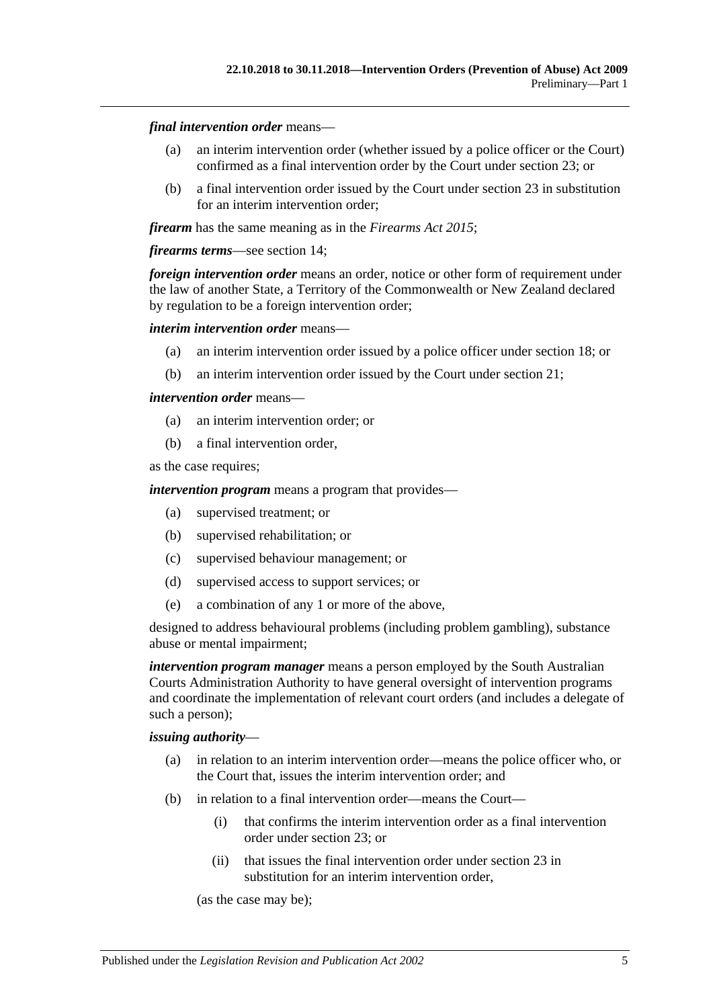#### *final intervention order* means—

- (a) an interim intervention order (whether issued by a police officer or the Court) confirmed as a final intervention order by the Court under [section](#page-19-0) 23; or
- (b) a final intervention order issued by the Court under [section](#page-19-0) 23 in substitution for an interim intervention order;

*firearm* has the same meaning as in the *[Firearms Act](http://www.legislation.sa.gov.au/index.aspx?action=legref&type=act&legtitle=Firearms%20Act%202015) 2015*;

#### *firearms terms*—see [section](#page-13-0) 14;

*foreign intervention order* means an order, notice or other form of requirement under the law of another State, a Territory of the Commonwealth or New Zealand declared by regulation to be a foreign intervention order;

#### *interim intervention order* means—

- (a) an interim intervention order issued by a police officer under [section](#page-14-4) 18; or
- (b) an interim intervention order issued by the Court under [section](#page-16-2) 21;

#### *intervention order* means—

- (a) an interim intervention order; or
- (b) a final intervention order,

as the case requires;

*intervention program* means a program that provides—

- (a) supervised treatment; or
- (b) supervised rehabilitation; or
- (c) supervised behaviour management; or
- (d) supervised access to support services; or
- (e) a combination of any 1 or more of the above,

designed to address behavioural problems (including problem gambling), substance abuse or mental impairment;

*intervention program manager* means a person employed by the South Australian Courts Administration Authority to have general oversight of intervention programs and coordinate the implementation of relevant court orders (and includes a delegate of such a person);

#### *issuing authority*—

- (a) in relation to an interim intervention order—means the police officer who, or the Court that, issues the interim intervention order; and
- (b) in relation to a final intervention order—means the Court—
	- (i) that confirms the interim intervention order as a final intervention order under [section](#page-19-0) 23; or
	- (ii) that issues the final intervention order under [section](#page-19-0) 23 in substitution for an interim intervention order,

(as the case may be);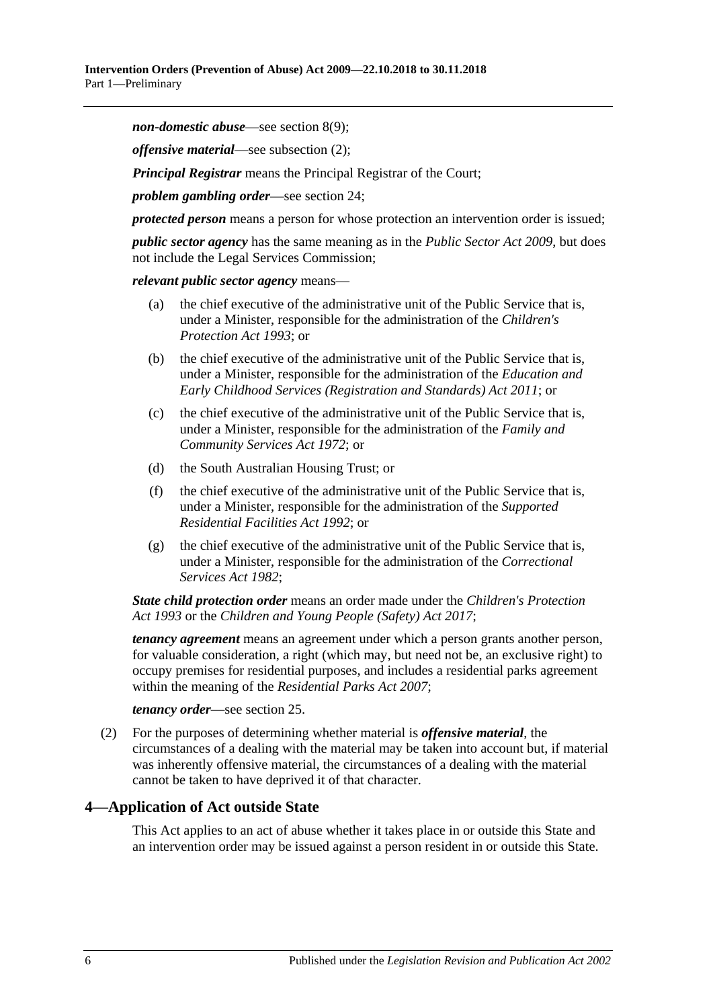*non-domestic abuse*—see [section](#page-9-2) 8(9);

*offensive material*—see [subsection](#page-5-1) (2);

*Principal Registrar* means the Principal Registrar of the Court;

*problem gambling order*—see [section](#page-20-0) 24;

*protected person* means a person for whose protection an intervention order is issued;

*public sector agency* has the same meaning as in the *[Public Sector Act](http://www.legislation.sa.gov.au/index.aspx?action=legref&type=act&legtitle=Public%20Sector%20Act%202009) 2009*, but does not include the Legal Services Commission;

*relevant public sector agency* means—

- (a) the chief executive of the administrative unit of the Public Service that is, under a Minister, responsible for the administration of the *[Children's](http://www.legislation.sa.gov.au/index.aspx?action=legref&type=act&legtitle=Childrens%20Protection%20Act%201993)  [Protection Act](http://www.legislation.sa.gov.au/index.aspx?action=legref&type=act&legtitle=Childrens%20Protection%20Act%201993) 1993*; or
- (b) the chief executive of the administrative unit of the Public Service that is, under a Minister, responsible for the administration of the *[Education and](http://www.legislation.sa.gov.au/index.aspx?action=legref&type=act&legtitle=Education%20and%20Early%20Childhood%20Services%20(Registration%20and%20Standards)%20Act%202011)  [Early Childhood Services \(Registration and Standards\) Act](http://www.legislation.sa.gov.au/index.aspx?action=legref&type=act&legtitle=Education%20and%20Early%20Childhood%20Services%20(Registration%20and%20Standards)%20Act%202011) 2011*; or
- (c) the chief executive of the administrative unit of the Public Service that is, under a Minister, responsible for the administration of the *[Family and](http://www.legislation.sa.gov.au/index.aspx?action=legref&type=act&legtitle=Family%20and%20Community%20Services%20Act%201972)  [Community Services Act](http://www.legislation.sa.gov.au/index.aspx?action=legref&type=act&legtitle=Family%20and%20Community%20Services%20Act%201972) 1972*; or
- (d) the South Australian Housing Trust; or
- (f) the chief executive of the administrative unit of the Public Service that is, under a Minister, responsible for the administration of the *[Supported](http://www.legislation.sa.gov.au/index.aspx?action=legref&type=act&legtitle=Supported%20Residential%20Facilities%20Act%201992)  [Residential Facilities Act](http://www.legislation.sa.gov.au/index.aspx?action=legref&type=act&legtitle=Supported%20Residential%20Facilities%20Act%201992) 1992*; or
- (g) the chief executive of the administrative unit of the Public Service that is, under a Minister, responsible for the administration of the *[Correctional](http://www.legislation.sa.gov.au/index.aspx?action=legref&type=act&legtitle=Correctional%20Services%20Act%201982)  [Services Act](http://www.legislation.sa.gov.au/index.aspx?action=legref&type=act&legtitle=Correctional%20Services%20Act%201982) 1982*;

*State child protection order* means an order made under the *[Children's Protection](http://www.legislation.sa.gov.au/index.aspx?action=legref&type=act&legtitle=Childrens%20Protection%20Act%201993)  Act [1993](http://www.legislation.sa.gov.au/index.aspx?action=legref&type=act&legtitle=Childrens%20Protection%20Act%201993)* or the *[Children and Young People \(Safety\) Act](http://www.legislation.sa.gov.au/index.aspx?action=legref&type=act&legtitle=Children%20and%20Young%20People%20(Safety)%20Act%202017) 2017*;

*tenancy agreement* means an agreement under which a person grants another person, for valuable consideration, a right (which may, but need not be, an exclusive right) to occupy premises for residential purposes, and includes a residential parks agreement within the meaning of the *[Residential Parks Act](http://www.legislation.sa.gov.au/index.aspx?action=legref&type=act&legtitle=Residential%20Parks%20Act%202007) 2007*;

#### *tenancy order*—see [section](#page-21-0) 25.

<span id="page-5-1"></span>(2) For the purposes of determining whether material is *offensive material*, the circumstances of a dealing with the material may be taken into account but, if material was inherently offensive material, the circumstances of a dealing with the material cannot be taken to have deprived it of that character.

#### <span id="page-5-0"></span>**4—Application of Act outside State**

This Act applies to an act of abuse whether it takes place in or outside this State and an intervention order may be issued against a person resident in or outside this State.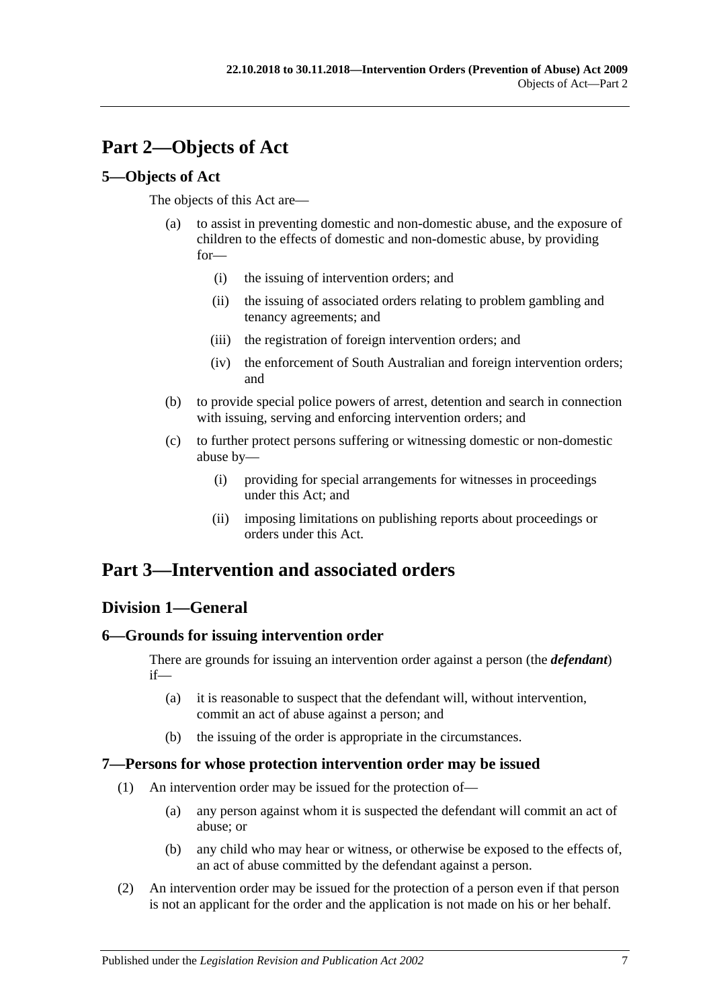# <span id="page-6-0"></span>**Part 2—Objects of Act**

# <span id="page-6-1"></span>**5—Objects of Act**

The objects of this Act are—

- (a) to assist in preventing domestic and non-domestic abuse, and the exposure of children to the effects of domestic and non-domestic abuse, by providing for—
	- (i) the issuing of intervention orders; and
	- (ii) the issuing of associated orders relating to problem gambling and tenancy agreements; and
	- (iii) the registration of foreign intervention orders; and
	- (iv) the enforcement of South Australian and foreign intervention orders; and
- (b) to provide special police powers of arrest, detention and search in connection with issuing, serving and enforcing intervention orders; and
- (c) to further protect persons suffering or witnessing domestic or non-domestic abuse by—
	- (i) providing for special arrangements for witnesses in proceedings under this Act; and
	- (ii) imposing limitations on publishing reports about proceedings or orders under this Act.

# <span id="page-6-2"></span>**Part 3—Intervention and associated orders**

# <span id="page-6-3"></span>**Division 1—General**

# <span id="page-6-4"></span>**6—Grounds for issuing intervention order**

There are grounds for issuing an intervention order against a person (the *defendant*) if—

- (a) it is reasonable to suspect that the defendant will, without intervention, commit an act of abuse against a person; and
- (b) the issuing of the order is appropriate in the circumstances.

# <span id="page-6-5"></span>**7—Persons for whose protection intervention order may be issued**

- (1) An intervention order may be issued for the protection of—
	- (a) any person against whom it is suspected the defendant will commit an act of abuse; or
	- (b) any child who may hear or witness, or otherwise be exposed to the effects of, an act of abuse committed by the defendant against a person.
- (2) An intervention order may be issued for the protection of a person even if that person is not an applicant for the order and the application is not made on his or her behalf.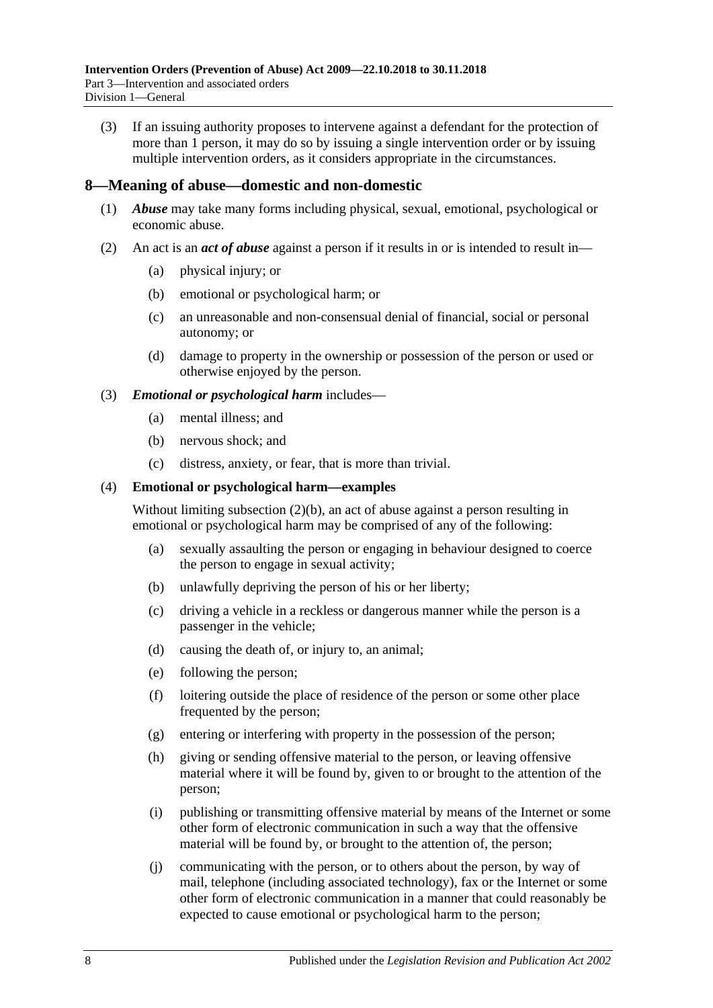(3) If an issuing authority proposes to intervene against a defendant for the protection of more than 1 person, it may do so by issuing a single intervention order or by issuing multiple intervention orders, as it considers appropriate in the circumstances.

#### <span id="page-7-0"></span>**8—Meaning of abuse—domestic and non-domestic**

- (1) *Abuse* may take many forms including physical, sexual, emotional, psychological or economic abuse.
- <span id="page-7-2"></span><span id="page-7-1"></span>(2) An act is an *act of abuse* against a person if it results in or is intended to result in—
	- (a) physical injury; or
	- (b) emotional or psychological harm; or
	- (c) an unreasonable and non-consensual denial of financial, social or personal autonomy; or
	- (d) damage to property in the ownership or possession of the person or used or otherwise enjoyed by the person.

#### (3) *Emotional or psychological harm* includes—

- (a) mental illness; and
- (b) nervous shock; and
- (c) distress, anxiety, or fear, that is more than trivial.

#### (4) **Emotional or psychological harm—examples**

Without limiting [subsection](#page-7-1) (2)(b), an act of abuse against a person resulting in emotional or psychological harm may be comprised of any of the following:

- (a) sexually assaulting the person or engaging in behaviour designed to coerce the person to engage in sexual activity;
- (b) unlawfully depriving the person of his or her liberty;
- (c) driving a vehicle in a reckless or dangerous manner while the person is a passenger in the vehicle;
- (d) causing the death of, or injury to, an animal;
- (e) following the person;
- (f) loitering outside the place of residence of the person or some other place frequented by the person;
- (g) entering or interfering with property in the possession of the person;
- (h) giving or sending offensive material to the person, or leaving offensive material where it will be found by, given to or brought to the attention of the person;
- (i) publishing or transmitting offensive material by means of the Internet or some other form of electronic communication in such a way that the offensive material will be found by, or brought to the attention of, the person;
- (j) communicating with the person, or to others about the person, by way of mail, telephone (including associated technology), fax or the Internet or some other form of electronic communication in a manner that could reasonably be expected to cause emotional or psychological harm to the person;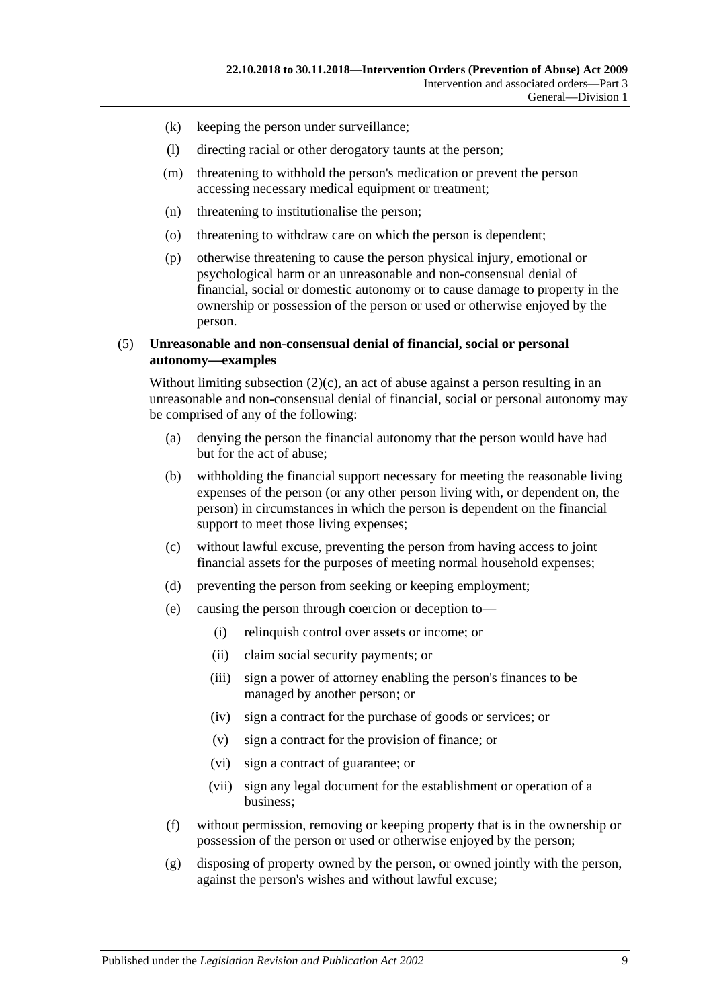- (k) keeping the person under surveillance;
- (l) directing racial or other derogatory taunts at the person;
- (m) threatening to withhold the person's medication or prevent the person accessing necessary medical equipment or treatment;
- (n) threatening to institutionalise the person;
- (o) threatening to withdraw care on which the person is dependent;
- (p) otherwise threatening to cause the person physical injury, emotional or psychological harm or an unreasonable and non-consensual denial of financial, social or domestic autonomy or to cause damage to property in the ownership or possession of the person or used or otherwise enjoyed by the person.

#### (5) **Unreasonable and non-consensual denial of financial, social or personal autonomy—examples**

Without limiting [subsection](#page-7-2)  $(2)(c)$ , an act of abuse against a person resulting in an unreasonable and non-consensual denial of financial, social or personal autonomy may be comprised of any of the following:

- (a) denying the person the financial autonomy that the person would have had but for the act of abuse;
- (b) withholding the financial support necessary for meeting the reasonable living expenses of the person (or any other person living with, or dependent on, the person) in circumstances in which the person is dependent on the financial support to meet those living expenses;
- (c) without lawful excuse, preventing the person from having access to joint financial assets for the purposes of meeting normal household expenses;
- (d) preventing the person from seeking or keeping employment;
- (e) causing the person through coercion or deception to—
	- (i) relinquish control over assets or income; or
	- (ii) claim social security payments; or
	- (iii) sign a power of attorney enabling the person's finances to be managed by another person; or
	- (iv) sign a contract for the purchase of goods or services; or
	- (v) sign a contract for the provision of finance; or
	- (vi) sign a contract of guarantee; or
	- (vii) sign any legal document for the establishment or operation of a business;
- (f) without permission, removing or keeping property that is in the ownership or possession of the person or used or otherwise enjoyed by the person;
- (g) disposing of property owned by the person, or owned jointly with the person, against the person's wishes and without lawful excuse;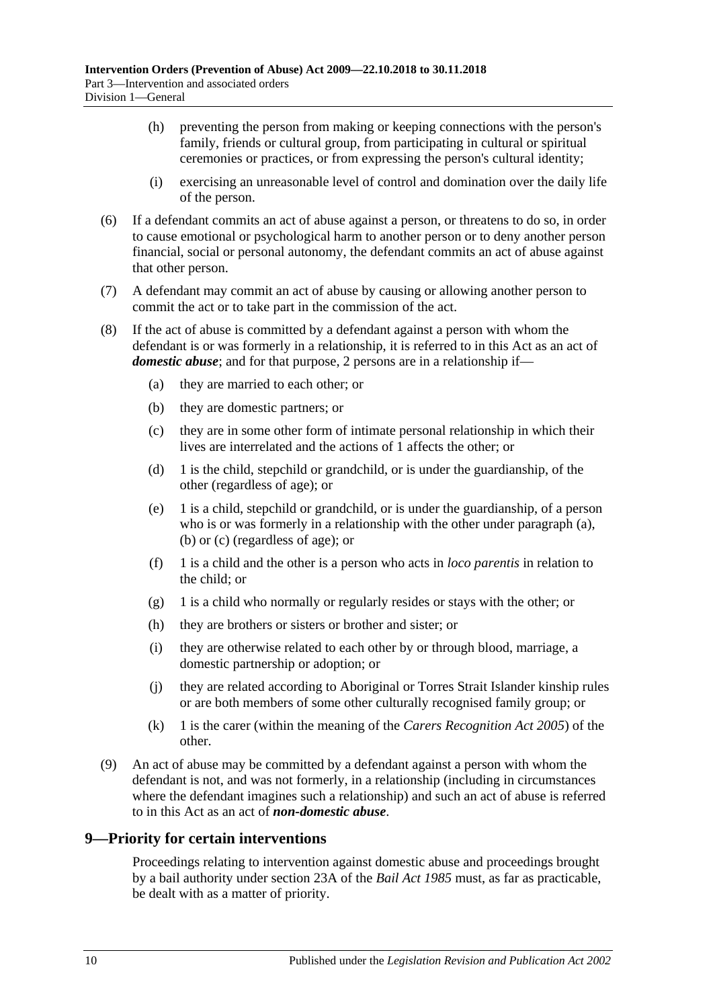- (h) preventing the person from making or keeping connections with the person's family, friends or cultural group, from participating in cultural or spiritual ceremonies or practices, or from expressing the person's cultural identity;
- (i) exercising an unreasonable level of control and domination over the daily life of the person.
- (6) If a defendant commits an act of abuse against a person, or threatens to do so, in order to cause emotional or psychological harm to another person or to deny another person financial, social or personal autonomy, the defendant commits an act of abuse against that other person.
- (7) A defendant may commit an act of abuse by causing or allowing another person to commit the act or to take part in the commission of the act.
- <span id="page-9-5"></span><span id="page-9-4"></span><span id="page-9-3"></span><span id="page-9-1"></span>(8) If the act of abuse is committed by a defendant against a person with whom the defendant is or was formerly in a relationship, it is referred to in this Act as an act of *domestic abuse*; and for that purpose, 2 persons are in a relationship if—
	- (a) they are married to each other; or
	- (b) they are domestic partners; or
	- (c) they are in some other form of intimate personal relationship in which their lives are interrelated and the actions of 1 affects the other; or
	- (d) 1 is the child, stepchild or grandchild, or is under the guardianship, of the other (regardless of age); or
	- (e) 1 is a child, stepchild or grandchild, or is under the guardianship, of a person who is or was formerly in a relationship with the other under [paragraph](#page-9-3) (a), [\(b\)](#page-9-4) or [\(c\)](#page-9-5) (regardless of age); or
	- (f) 1 is a child and the other is a person who acts in *loco parentis* in relation to the child; or
	- (g) 1 is a child who normally or regularly resides or stays with the other; or
	- (h) they are brothers or sisters or brother and sister; or
	- (i) they are otherwise related to each other by or through blood, marriage, a domestic partnership or adoption; or
	- (j) they are related according to Aboriginal or Torres Strait Islander kinship rules or are both members of some other culturally recognised family group; or
	- (k) 1 is the carer (within the meaning of the *[Carers Recognition Act](http://www.legislation.sa.gov.au/index.aspx?action=legref&type=act&legtitle=Carers%20Recognition%20Act%202005) 2005*) of the other.
- <span id="page-9-2"></span>(9) An act of abuse may be committed by a defendant against a person with whom the defendant is not, and was not formerly, in a relationship (including in circumstances where the defendant imagines such a relationship) and such an act of abuse is referred to in this Act as an act of *non-domestic abuse*.

# <span id="page-9-0"></span>**9—Priority for certain interventions**

Proceedings relating to intervention against domestic abuse and proceedings brought by a bail authority under section 23A of the *[Bail Act](http://www.legislation.sa.gov.au/index.aspx?action=legref&type=act&legtitle=Bail%20Act%201985) 1985* must, as far as practicable, be dealt with as a matter of priority.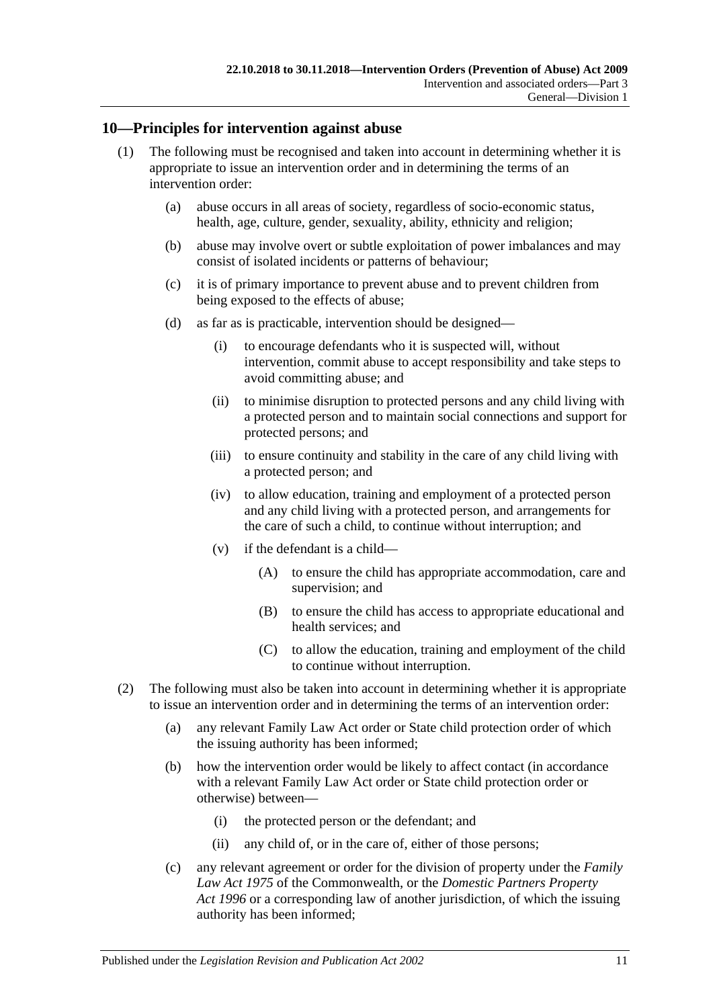# <span id="page-10-0"></span>**10—Principles for intervention against abuse**

- (1) The following must be recognised and taken into account in determining whether it is appropriate to issue an intervention order and in determining the terms of an intervention order:
	- (a) abuse occurs in all areas of society, regardless of socio-economic status, health, age, culture, gender, sexuality, ability, ethnicity and religion;
	- (b) abuse may involve overt or subtle exploitation of power imbalances and may consist of isolated incidents or patterns of behaviour;
	- (c) it is of primary importance to prevent abuse and to prevent children from being exposed to the effects of abuse;
	- (d) as far as is practicable, intervention should be designed—
		- (i) to encourage defendants who it is suspected will, without intervention, commit abuse to accept responsibility and take steps to avoid committing abuse; and
		- (ii) to minimise disruption to protected persons and any child living with a protected person and to maintain social connections and support for protected persons; and
		- (iii) to ensure continuity and stability in the care of any child living with a protected person; and
		- (iv) to allow education, training and employment of a protected person and any child living with a protected person, and arrangements for the care of such a child, to continue without interruption; and
		- (v) if the defendant is a child—
			- (A) to ensure the child has appropriate accommodation, care and supervision; and
			- (B) to ensure the child has access to appropriate educational and health services; and
			- (C) to allow the education, training and employment of the child to continue without interruption.
- (2) The following must also be taken into account in determining whether it is appropriate to issue an intervention order and in determining the terms of an intervention order:
	- (a) any relevant Family Law Act order or State child protection order of which the issuing authority has been informed;
	- (b) how the intervention order would be likely to affect contact (in accordance with a relevant Family Law Act order or State child protection order or otherwise) between—
		- (i) the protected person or the defendant; and
		- (ii) any child of, or in the care of, either of those persons;
	- (c) any relevant agreement or order for the division of property under the *Family Law Act 1975* of the Commonwealth, or the *[Domestic Partners Property](http://www.legislation.sa.gov.au/index.aspx?action=legref&type=act&legtitle=Domestic%20Partners%20Property%20Act%201996)  Act [1996](http://www.legislation.sa.gov.au/index.aspx?action=legref&type=act&legtitle=Domestic%20Partners%20Property%20Act%201996)* or a corresponding law of another jurisdiction, of which the issuing authority has been informed;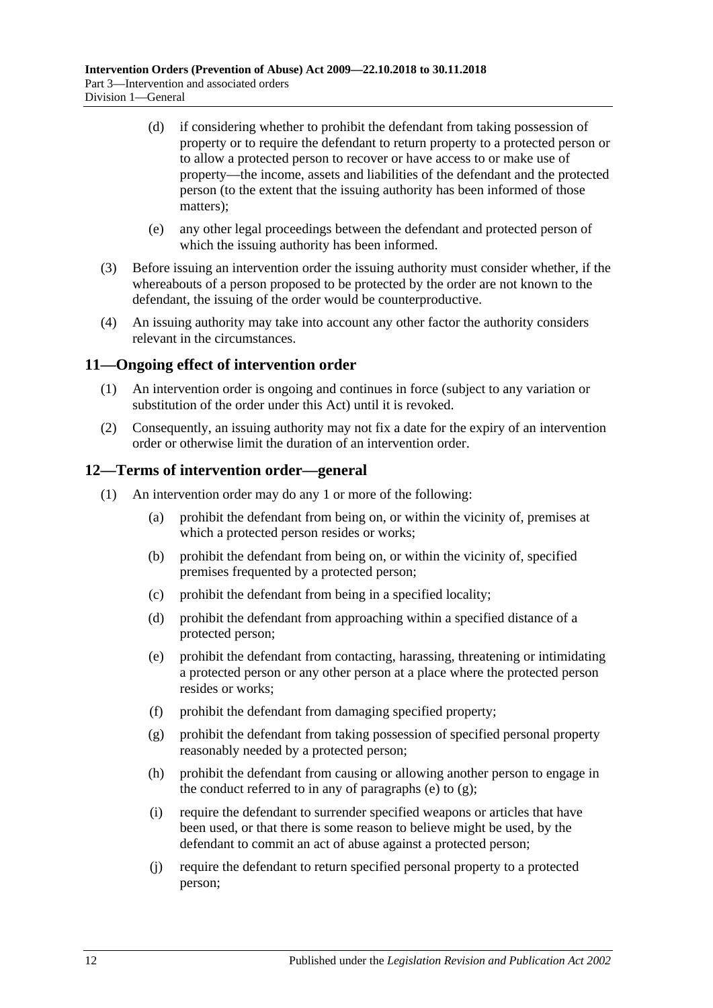- (d) if considering whether to prohibit the defendant from taking possession of property or to require the defendant to return property to a protected person or to allow a protected person to recover or have access to or make use of property—the income, assets and liabilities of the defendant and the protected person (to the extent that the issuing authority has been informed of those matters);
- (e) any other legal proceedings between the defendant and protected person of which the issuing authority has been informed.
- (3) Before issuing an intervention order the issuing authority must consider whether, if the whereabouts of a person proposed to be protected by the order are not known to the defendant, the issuing of the order would be counterproductive.
- (4) An issuing authority may take into account any other factor the authority considers relevant in the circumstances.

# <span id="page-11-0"></span>**11—Ongoing effect of intervention order**

- (1) An intervention order is ongoing and continues in force (subject to any variation or substitution of the order under this Act) until it is revoked.
- (2) Consequently, an issuing authority may not fix a date for the expiry of an intervention order or otherwise limit the duration of an intervention order.

#### <span id="page-11-1"></span>**12—Terms of intervention order—general**

- <span id="page-11-3"></span><span id="page-11-2"></span>(1) An intervention order may do any 1 or more of the following:
	- (a) prohibit the defendant from being on, or within the vicinity of, premises at which a protected person resides or works;
	- (b) prohibit the defendant from being on, or within the vicinity of, specified premises frequented by a protected person;
	- (c) prohibit the defendant from being in a specified locality;
	- (d) prohibit the defendant from approaching within a specified distance of a protected person;
	- (e) prohibit the defendant from contacting, harassing, threatening or intimidating a protected person or any other person at a place where the protected person resides or works;
	- (f) prohibit the defendant from damaging specified property;
	- (g) prohibit the defendant from taking possession of specified personal property reasonably needed by a protected person;
	- (h) prohibit the defendant from causing or allowing another person to engage in the conduct referred to in any of [paragraphs](#page-11-2) (e) to  $(g)$ ;
	- (i) require the defendant to surrender specified weapons or articles that have been used, or that there is some reason to believe might be used, by the defendant to commit an act of abuse against a protected person;
	- (j) require the defendant to return specified personal property to a protected person;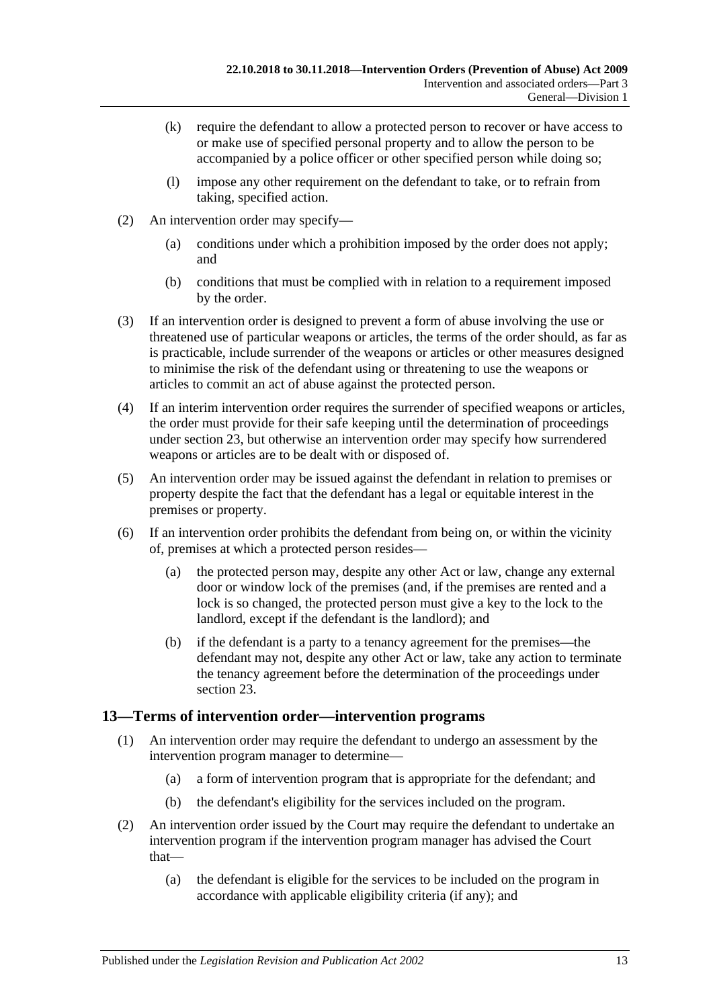- (k) require the defendant to allow a protected person to recover or have access to or make use of specified personal property and to allow the person to be accompanied by a police officer or other specified person while doing so;
- (l) impose any other requirement on the defendant to take, or to refrain from taking, specified action.
- (2) An intervention order may specify—
	- (a) conditions under which a prohibition imposed by the order does not apply; and
	- (b) conditions that must be complied with in relation to a requirement imposed by the order.
- (3) If an intervention order is designed to prevent a form of abuse involving the use or threatened use of particular weapons or articles, the terms of the order should, as far as is practicable, include surrender of the weapons or articles or other measures designed to minimise the risk of the defendant using or threatening to use the weapons or articles to commit an act of abuse against the protected person.
- (4) If an interim intervention order requires the surrender of specified weapons or articles, the order must provide for their safe keeping until the determination of proceedings under [section](#page-19-0) 23, but otherwise an intervention order may specify how surrendered weapons or articles are to be dealt with or disposed of.
- (5) An intervention order may be issued against the defendant in relation to premises or property despite the fact that the defendant has a legal or equitable interest in the premises or property.
- (6) If an intervention order prohibits the defendant from being on, or within the vicinity of, premises at which a protected person resides—
	- (a) the protected person may, despite any other Act or law, change any external door or window lock of the premises (and, if the premises are rented and a lock is so changed, the protected person must give a key to the lock to the landlord, except if the defendant is the landlord); and
	- (b) if the defendant is a party to a tenancy agreement for the premises—the defendant may not, despite any other Act or law, take any action to terminate the tenancy agreement before the determination of the proceedings under [section](#page-19-0) 23.

# <span id="page-12-0"></span>**13—Terms of intervention order—intervention programs**

- (1) An intervention order may require the defendant to undergo an assessment by the intervention program manager to determine—
	- (a) a form of intervention program that is appropriate for the defendant; and
	- (b) the defendant's eligibility for the services included on the program.
- (2) An intervention order issued by the Court may require the defendant to undertake an intervention program if the intervention program manager has advised the Court that—
	- (a) the defendant is eligible for the services to be included on the program in accordance with applicable eligibility criteria (if any); and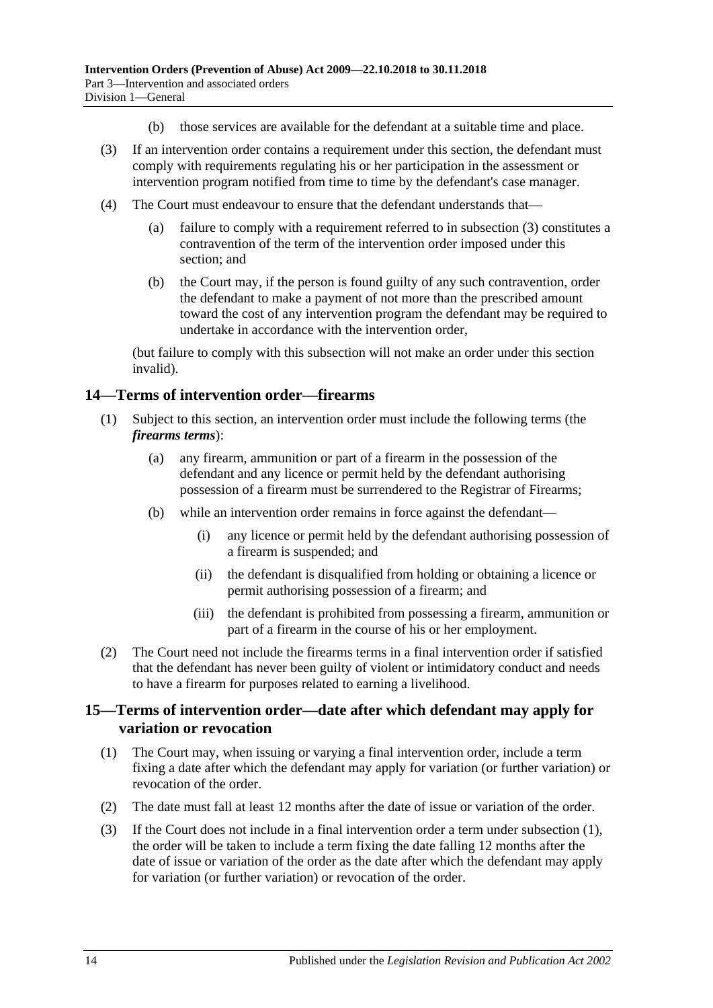- (b) those services are available for the defendant at a suitable time and place.
- <span id="page-13-2"></span>(3) If an intervention order contains a requirement under this section, the defendant must comply with requirements regulating his or her participation in the assessment or intervention program notified from time to time by the defendant's case manager.
- (4) The Court must endeavour to ensure that the defendant understands that—
	- (a) failure to comply with a requirement referred to in [subsection](#page-13-2) (3) constitutes a contravention of the term of the intervention order imposed under this section; and
	- (b) the Court may, if the person is found guilty of any such contravention, order the defendant to make a payment of not more than the prescribed amount toward the cost of any intervention program the defendant may be required to undertake in accordance with the intervention order,

(but failure to comply with this subsection will not make an order under this section invalid).

#### <span id="page-13-0"></span>**14—Terms of intervention order—firearms**

- (1) Subject to this section, an intervention order must include the following terms (the *firearms terms*):
	- (a) any firearm, ammunition or part of a firearm in the possession of the defendant and any licence or permit held by the defendant authorising possession of a firearm must be surrendered to the Registrar of Firearms;
	- (b) while an intervention order remains in force against the defendant—
		- (i) any licence or permit held by the defendant authorising possession of a firearm is suspended; and
		- (ii) the defendant is disqualified from holding or obtaining a licence or permit authorising possession of a firearm; and
		- (iii) the defendant is prohibited from possessing a firearm, ammunition or part of a firearm in the course of his or her employment.
- (2) The Court need not include the firearms terms in a final intervention order if satisfied that the defendant has never been guilty of violent or intimidatory conduct and needs to have a firearm for purposes related to earning a livelihood.

#### <span id="page-13-1"></span>**15—Terms of intervention order—date after which defendant may apply for variation or revocation**

- <span id="page-13-3"></span>(1) The Court may, when issuing or varying a final intervention order, include a term fixing a date after which the defendant may apply for variation (or further variation) or revocation of the order.
- (2) The date must fall at least 12 months after the date of issue or variation of the order.
- (3) If the Court does not include in a final intervention order a term under [subsection](#page-13-3) (1), the order will be taken to include a term fixing the date falling 12 months after the date of issue or variation of the order as the date after which the defendant may apply for variation (or further variation) or revocation of the order.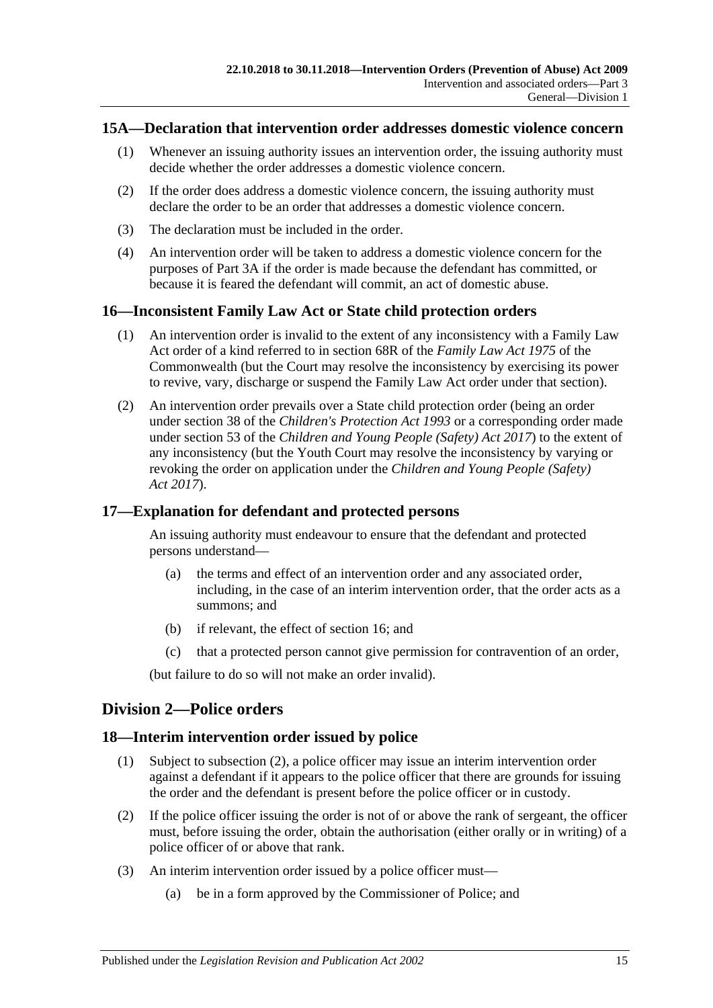#### <span id="page-14-0"></span>**15A—Declaration that intervention order addresses domestic violence concern**

- (1) Whenever an issuing authority issues an intervention order, the issuing authority must decide whether the order addresses a domestic violence concern.
- (2) If the order does address a domestic violence concern, the issuing authority must declare the order to be an order that addresses a domestic violence concern.
- (3) The declaration must be included in the order.
- (4) An intervention order will be taken to address a domestic violence concern for the purposes of [Part 3A](#page-26-0) if the order is made because the defendant has committed, or because it is feared the defendant will commit, an act of domestic abuse.

# <span id="page-14-1"></span>**16—Inconsistent Family Law Act or State child protection orders**

- (1) An intervention order is invalid to the extent of any inconsistency with a Family Law Act order of a kind referred to in section 68R of the *Family Law Act 1975* of the Commonwealth (but the Court may resolve the inconsistency by exercising its power to revive, vary, discharge or suspend the Family Law Act order under that section).
- (2) An intervention order prevails over a State child protection order (being an order under section 38 of the *[Children's Protection Act](http://www.legislation.sa.gov.au/index.aspx?action=legref&type=act&legtitle=Childrens%20Protection%20Act%201993) 1993* or a corresponding order made under section 53 of the *[Children and Young People \(Safety\) Act](http://www.legislation.sa.gov.au/index.aspx?action=legref&type=act&legtitle=Children%20and%20Young%20People%20(Safety)%20Act%202017) 2017*) to the extent of any inconsistency (but the Youth Court may resolve the inconsistency by varying or revoking the order on application under the *[Children and Young People \(Safety\)](http://www.legislation.sa.gov.au/index.aspx?action=legref&type=act&legtitle=Children%20and%20Young%20People%20(Safety)%20Act%202017)  Act [2017](http://www.legislation.sa.gov.au/index.aspx?action=legref&type=act&legtitle=Children%20and%20Young%20People%20(Safety)%20Act%202017)*).

#### <span id="page-14-2"></span>**17—Explanation for defendant and protected persons**

An issuing authority must endeavour to ensure that the defendant and protected persons understand—

- (a) the terms and effect of an intervention order and any associated order, including, in the case of an interim intervention order, that the order acts as a summons; and
- (b) if relevant, the effect of [section](#page-14-1) 16; and
- (c) that a protected person cannot give permission for contravention of an order,

(but failure to do so will not make an order invalid).

# <span id="page-14-3"></span>**Division 2—Police orders**

# <span id="page-14-4"></span>**18—Interim intervention order issued by police**

- (1) Subject to [subsection](#page-14-5) (2), a police officer may issue an interim intervention order against a defendant if it appears to the police officer that there are grounds for issuing the order and the defendant is present before the police officer or in custody.
- <span id="page-14-5"></span>(2) If the police officer issuing the order is not of or above the rank of sergeant, the officer must, before issuing the order, obtain the authorisation (either orally or in writing) of a police officer of or above that rank.
- (3) An interim intervention order issued by a police officer must—
	- (a) be in a form approved by the Commissioner of Police; and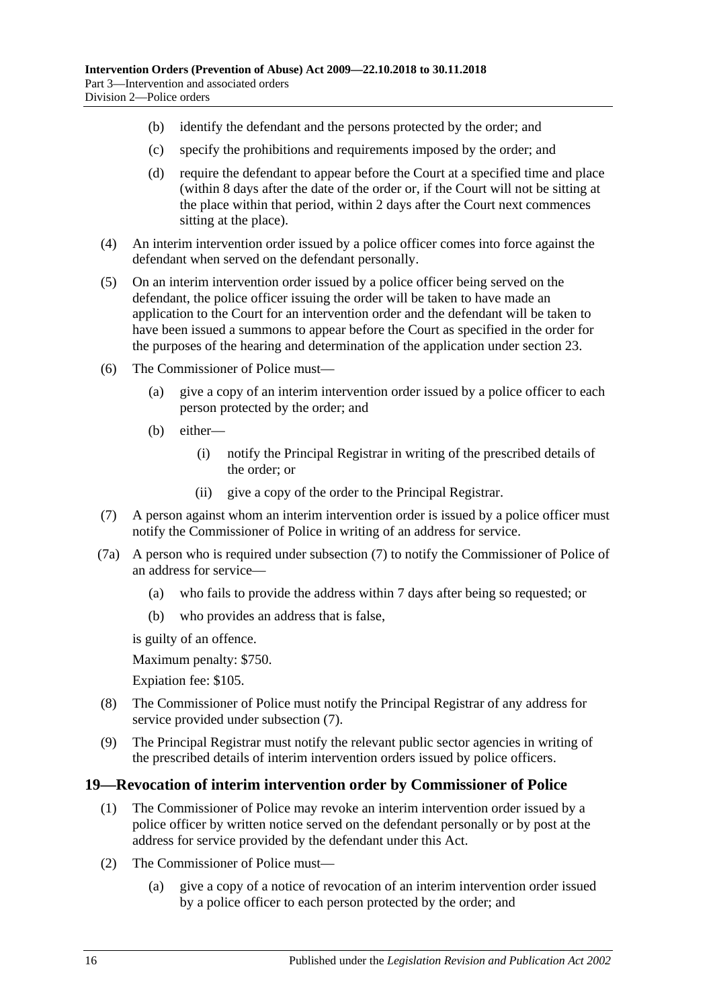- (b) identify the defendant and the persons protected by the order; and
- (c) specify the prohibitions and requirements imposed by the order; and
- (d) require the defendant to appear before the Court at a specified time and place (within 8 days after the date of the order or, if the Court will not be sitting at the place within that period, within 2 days after the Court next commences sitting at the place).
- (4) An interim intervention order issued by a police officer comes into force against the defendant when served on the defendant personally.
- (5) On an interim intervention order issued by a police officer being served on the defendant, the police officer issuing the order will be taken to have made an application to the Court for an intervention order and the defendant will be taken to have been issued a summons to appear before the Court as specified in the order for the purposes of the hearing and determination of the application under [section](#page-19-0) 23.
- (6) The Commissioner of Police must—
	- (a) give a copy of an interim intervention order issued by a police officer to each person protected by the order; and
	- (b) either—
		- (i) notify the Principal Registrar in writing of the prescribed details of the order; or
		- (ii) give a copy of the order to the Principal Registrar.
- <span id="page-15-1"></span>(7) A person against whom an interim intervention order is issued by a police officer must notify the Commissioner of Police in writing of an address for service.
- (7a) A person who is required under [subsection](#page-15-1) (7) to notify the Commissioner of Police of an address for service—
	- (a) who fails to provide the address within 7 days after being so requested; or
	- (b) who provides an address that is false,

is guilty of an offence.

Maximum penalty: \$750.

Expiation fee: \$105.

- (8) The Commissioner of Police must notify the Principal Registrar of any address for service provided under [subsection](#page-15-1) (7).
- (9) The Principal Registrar must notify the relevant public sector agencies in writing of the prescribed details of interim intervention orders issued by police officers.

# <span id="page-15-0"></span>**19—Revocation of interim intervention order by Commissioner of Police**

- (1) The Commissioner of Police may revoke an interim intervention order issued by a police officer by written notice served on the defendant personally or by post at the address for service provided by the defendant under this Act.
- (2) The Commissioner of Police must—
	- (a) give a copy of a notice of revocation of an interim intervention order issued by a police officer to each person protected by the order; and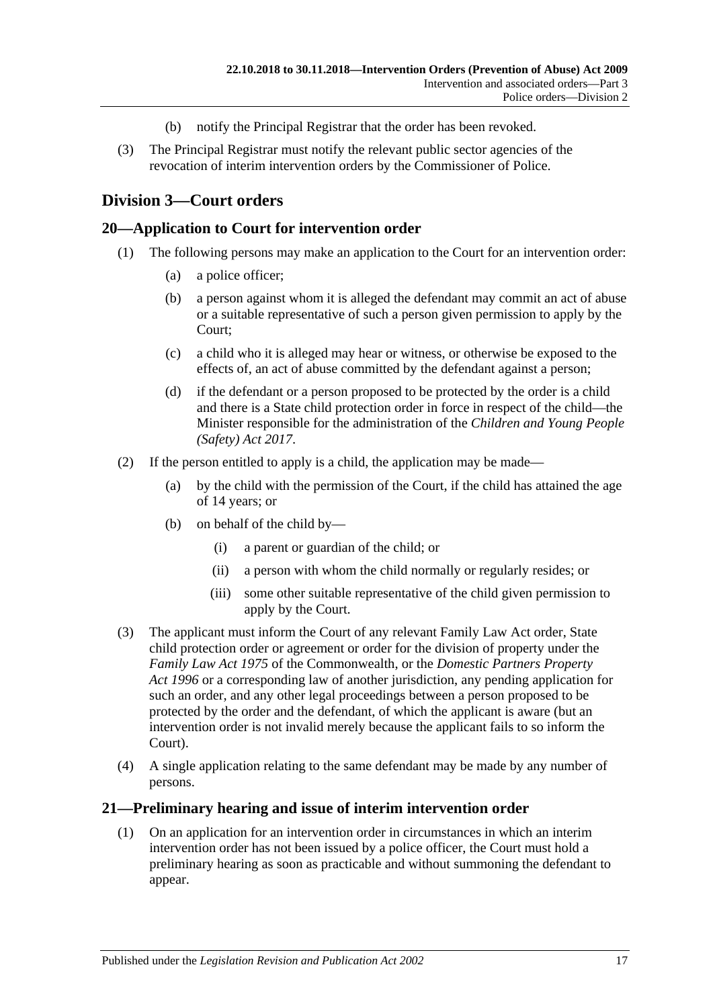- (b) notify the Principal Registrar that the order has been revoked.
- (3) The Principal Registrar must notify the relevant public sector agencies of the revocation of interim intervention orders by the Commissioner of Police.

# <span id="page-16-0"></span>**Division 3—Court orders**

#### <span id="page-16-1"></span>**20—Application to Court for intervention order**

- (1) The following persons may make an application to the Court for an intervention order:
	- (a) a police officer;
	- (b) a person against whom it is alleged the defendant may commit an act of abuse or a suitable representative of such a person given permission to apply by the Court;
	- (c) a child who it is alleged may hear or witness, or otherwise be exposed to the effects of, an act of abuse committed by the defendant against a person;
	- (d) if the defendant or a person proposed to be protected by the order is a child and there is a State child protection order in force in respect of the child—the Minister responsible for the administration of the *[Children and Young People](http://www.legislation.sa.gov.au/index.aspx?action=legref&type=act&legtitle=Children%20and%20Young%20People%20(Safety)%20Act%202017)  [\(Safety\) Act](http://www.legislation.sa.gov.au/index.aspx?action=legref&type=act&legtitle=Children%20and%20Young%20People%20(Safety)%20Act%202017) 2017*.
- (2) If the person entitled to apply is a child, the application may be made—
	- (a) by the child with the permission of the Court, if the child has attained the age of 14 years; or
	- (b) on behalf of the child by—
		- (i) a parent or guardian of the child; or
		- (ii) a person with whom the child normally or regularly resides; or
		- (iii) some other suitable representative of the child given permission to apply by the Court.
- (3) The applicant must inform the Court of any relevant Family Law Act order, State child protection order or agreement or order for the division of property under the *Family Law Act 1975* of the Commonwealth, or the *[Domestic Partners Property](http://www.legislation.sa.gov.au/index.aspx?action=legref&type=act&legtitle=Domestic%20Partners%20Property%20Act%201996)  Act [1996](http://www.legislation.sa.gov.au/index.aspx?action=legref&type=act&legtitle=Domestic%20Partners%20Property%20Act%201996)* or a corresponding law of another jurisdiction, any pending application for such an order, and any other legal proceedings between a person proposed to be protected by the order and the defendant, of which the applicant is aware (but an intervention order is not invalid merely because the applicant fails to so inform the Court).
- (4) A single application relating to the same defendant may be made by any number of persons.

#### <span id="page-16-2"></span>**21—Preliminary hearing and issue of interim intervention order**

(1) On an application for an intervention order in circumstances in which an interim intervention order has not been issued by a police officer, the Court must hold a preliminary hearing as soon as practicable and without summoning the defendant to appear.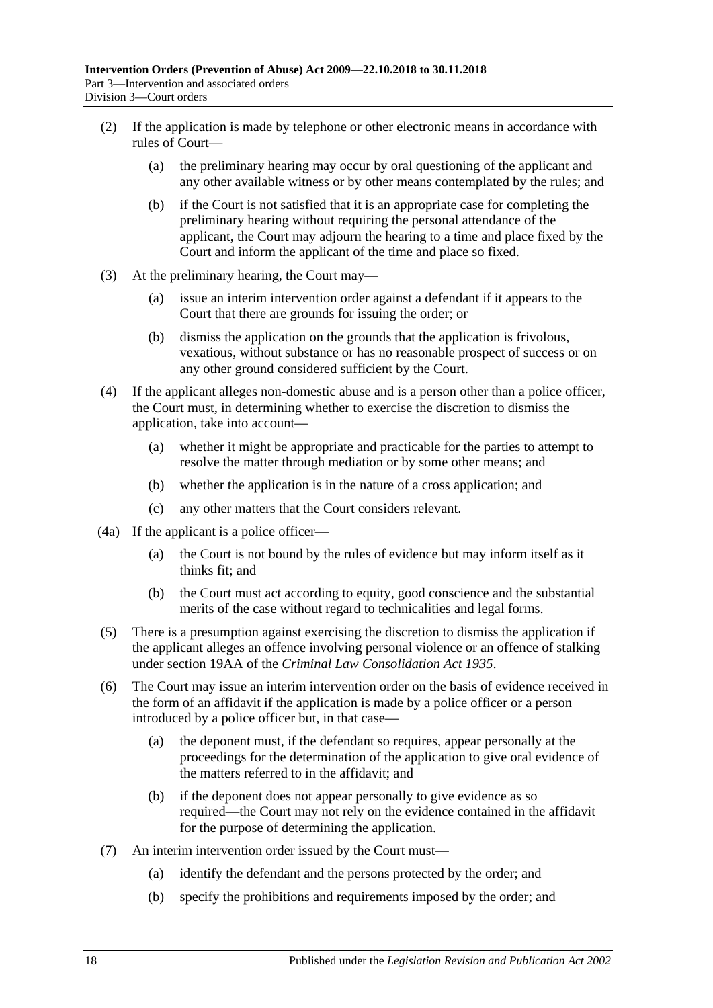- (2) If the application is made by telephone or other electronic means in accordance with rules of Court—
	- (a) the preliminary hearing may occur by oral questioning of the applicant and any other available witness or by other means contemplated by the rules; and
	- (b) if the Court is not satisfied that it is an appropriate case for completing the preliminary hearing without requiring the personal attendance of the applicant, the Court may adjourn the hearing to a time and place fixed by the Court and inform the applicant of the time and place so fixed.
- (3) At the preliminary hearing, the Court may—
	- (a) issue an interim intervention order against a defendant if it appears to the Court that there are grounds for issuing the order; or
	- (b) dismiss the application on the grounds that the application is frivolous, vexatious, without substance or has no reasonable prospect of success or on any other ground considered sufficient by the Court.
- (4) If the applicant alleges non-domestic abuse and is a person other than a police officer, the Court must, in determining whether to exercise the discretion to dismiss the application, take into account—
	- (a) whether it might be appropriate and practicable for the parties to attempt to resolve the matter through mediation or by some other means; and
	- (b) whether the application is in the nature of a cross application; and
	- (c) any other matters that the Court considers relevant.
- (4a) If the applicant is a police officer—
	- (a) the Court is not bound by the rules of evidence but may inform itself as it thinks fit; and
	- (b) the Court must act according to equity, good conscience and the substantial merits of the case without regard to technicalities and legal forms.
- (5) There is a presumption against exercising the discretion to dismiss the application if the applicant alleges an offence involving personal violence or an offence of stalking under section 19AA of the *[Criminal Law Consolidation Act](http://www.legislation.sa.gov.au/index.aspx?action=legref&type=act&legtitle=Criminal%20Law%20Consolidation%20Act%201935) 1935*.
- (6) The Court may issue an interim intervention order on the basis of evidence received in the form of an affidavit if the application is made by a police officer or a person introduced by a police officer but, in that case—
	- (a) the deponent must, if the defendant so requires, appear personally at the proceedings for the determination of the application to give oral evidence of the matters referred to in the affidavit; and
	- (b) if the deponent does not appear personally to give evidence as so required—the Court may not rely on the evidence contained in the affidavit for the purpose of determining the application.
- (7) An interim intervention order issued by the Court must—
	- (a) identify the defendant and the persons protected by the order; and
	- (b) specify the prohibitions and requirements imposed by the order; and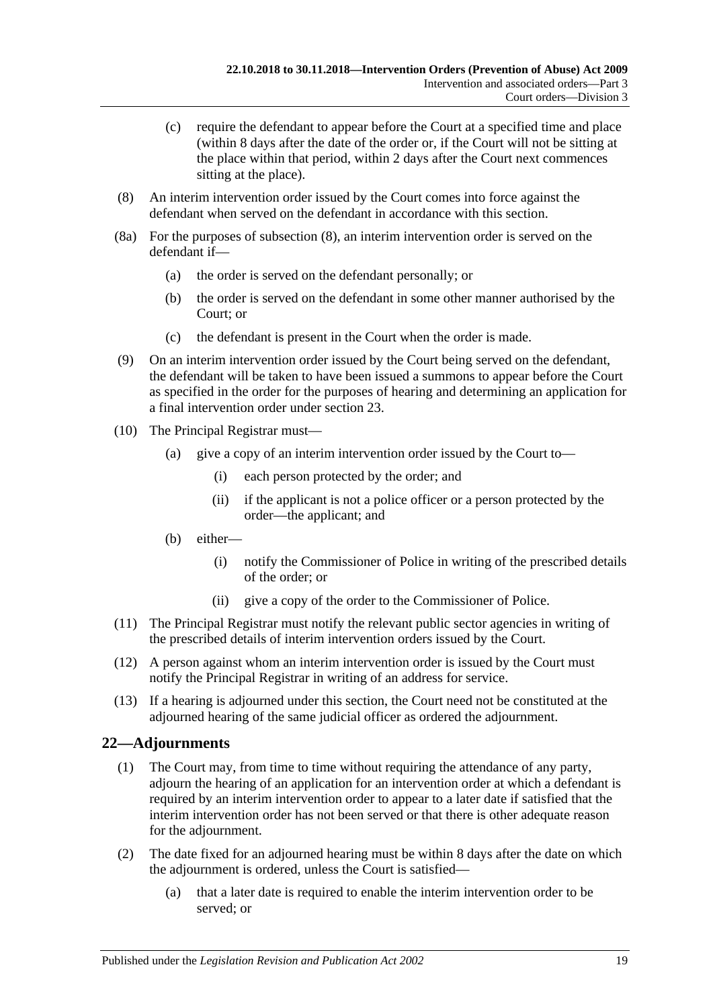- (c) require the defendant to appear before the Court at a specified time and place (within 8 days after the date of the order or, if the Court will not be sitting at the place within that period, within 2 days after the Court next commences sitting at the place).
- <span id="page-18-1"></span>(8) An interim intervention order issued by the Court comes into force against the defendant when served on the defendant in accordance with this section.
- (8a) For the purposes of [subsection](#page-18-1) (8), an interim intervention order is served on the defendant if—
	- (a) the order is served on the defendant personally; or
	- (b) the order is served on the defendant in some other manner authorised by the Court; or
	- (c) the defendant is present in the Court when the order is made.
- (9) On an interim intervention order issued by the Court being served on the defendant, the defendant will be taken to have been issued a summons to appear before the Court as specified in the order for the purposes of hearing and determining an application for a final intervention order under [section](#page-19-0) 23.
- (10) The Principal Registrar must—
	- (a) give a copy of an interim intervention order issued by the Court to—
		- (i) each person protected by the order; and
		- (ii) if the applicant is not a police officer or a person protected by the order—the applicant; and
	- (b) either—
		- (i) notify the Commissioner of Police in writing of the prescribed details of the order; or
		- (ii) give a copy of the order to the Commissioner of Police.
- (11) The Principal Registrar must notify the relevant public sector agencies in writing of the prescribed details of interim intervention orders issued by the Court.
- (12) A person against whom an interim intervention order is issued by the Court must notify the Principal Registrar in writing of an address for service.
- (13) If a hearing is adjourned under this section, the Court need not be constituted at the adjourned hearing of the same judicial officer as ordered the adjournment.

# <span id="page-18-0"></span>**22—Adjournments**

- (1) The Court may, from time to time without requiring the attendance of any party, adjourn the hearing of an application for an intervention order at which a defendant is required by an interim intervention order to appear to a later date if satisfied that the interim intervention order has not been served or that there is other adequate reason for the adjournment.
- (2) The date fixed for an adjourned hearing must be within 8 days after the date on which the adjournment is ordered, unless the Court is satisfied—
	- (a) that a later date is required to enable the interim intervention order to be served; or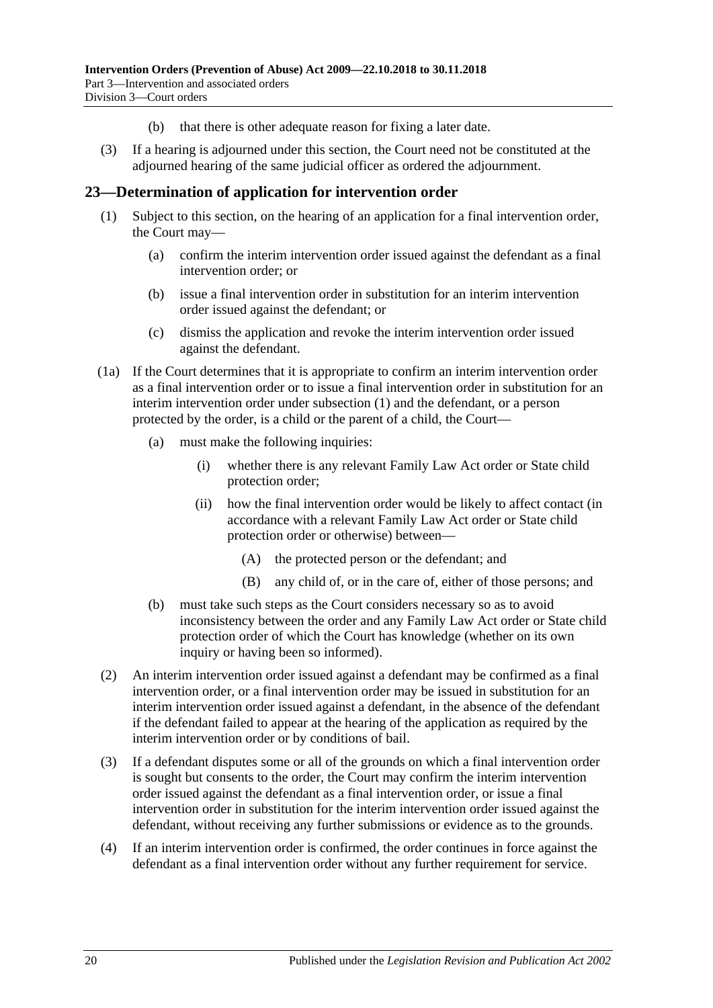- (b) that there is other adequate reason for fixing a later date.
- (3) If a hearing is adjourned under this section, the Court need not be constituted at the adjourned hearing of the same judicial officer as ordered the adjournment.

#### <span id="page-19-1"></span><span id="page-19-0"></span>**23—Determination of application for intervention order**

- (1) Subject to this section, on the hearing of an application for a final intervention order, the Court may—
	- (a) confirm the interim intervention order issued against the defendant as a final intervention order; or
	- (b) issue a final intervention order in substitution for an interim intervention order issued against the defendant; or
	- (c) dismiss the application and revoke the interim intervention order issued against the defendant.
- (1a) If the Court determines that it is appropriate to confirm an interim intervention order as a final intervention order or to issue a final intervention order in substitution for an interim intervention order under [subsection](#page-19-1) (1) and the defendant, or a person protected by the order, is a child or the parent of a child, the Court—
	- (a) must make the following inquiries:
		- (i) whether there is any relevant Family Law Act order or State child protection order;
		- (ii) how the final intervention order would be likely to affect contact (in accordance with a relevant Family Law Act order or State child protection order or otherwise) between—
			- (A) the protected person or the defendant; and
			- (B) any child of, or in the care of, either of those persons; and
	- (b) must take such steps as the Court considers necessary so as to avoid inconsistency between the order and any Family Law Act order or State child protection order of which the Court has knowledge (whether on its own inquiry or having been so informed).
- (2) An interim intervention order issued against a defendant may be confirmed as a final intervention order, or a final intervention order may be issued in substitution for an interim intervention order issued against a defendant, in the absence of the defendant if the defendant failed to appear at the hearing of the application as required by the interim intervention order or by conditions of bail.
- (3) If a defendant disputes some or all of the grounds on which a final intervention order is sought but consents to the order, the Court may confirm the interim intervention order issued against the defendant as a final intervention order, or issue a final intervention order in substitution for the interim intervention order issued against the defendant, without receiving any further submissions or evidence as to the grounds.
- (4) If an interim intervention order is confirmed, the order continues in force against the defendant as a final intervention order without any further requirement for service.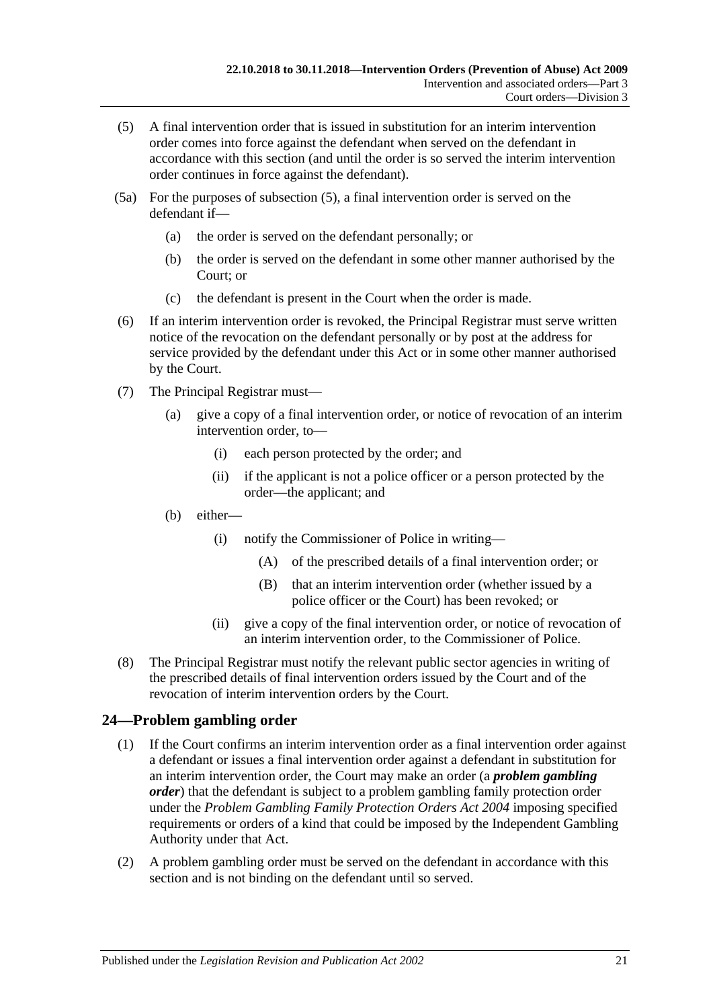- <span id="page-20-1"></span>(5) A final intervention order that is issued in substitution for an interim intervention order comes into force against the defendant when served on the defendant in accordance with this section (and until the order is so served the interim intervention order continues in force against the defendant).
- (5a) For the purposes of [subsection](#page-20-1) (5), a final intervention order is served on the defendant if—
	- (a) the order is served on the defendant personally; or
	- (b) the order is served on the defendant in some other manner authorised by the Court; or
	- (c) the defendant is present in the Court when the order is made.
- (6) If an interim intervention order is revoked, the Principal Registrar must serve written notice of the revocation on the defendant personally or by post at the address for service provided by the defendant under this Act or in some other manner authorised by the Court.
- (7) The Principal Registrar must—
	- (a) give a copy of a final intervention order, or notice of revocation of an interim intervention order, to—
		- (i) each person protected by the order; and
		- (ii) if the applicant is not a police officer or a person protected by the order—the applicant; and
	- (b) either—
		- (i) notify the Commissioner of Police in writing—
			- (A) of the prescribed details of a final intervention order; or
			- (B) that an interim intervention order (whether issued by a police officer or the Court) has been revoked; or
		- (ii) give a copy of the final intervention order, or notice of revocation of an interim intervention order, to the Commissioner of Police.
- (8) The Principal Registrar must notify the relevant public sector agencies in writing of the prescribed details of final intervention orders issued by the Court and of the revocation of interim intervention orders by the Court.

# <span id="page-20-0"></span>**24—Problem gambling order**

- (1) If the Court confirms an interim intervention order as a final intervention order against a defendant or issues a final intervention order against a defendant in substitution for an interim intervention order, the Court may make an order (a *problem gambling order*) that the defendant is subject to a problem gambling family protection order under the *[Problem Gambling Family Protection Orders Act](http://www.legislation.sa.gov.au/index.aspx?action=legref&type=act&legtitle=Problem%20Gambling%20Family%20Protection%20Orders%20Act%202004) 2004* imposing specified requirements or orders of a kind that could be imposed by the Independent Gambling Authority under that Act.
- <span id="page-20-2"></span>(2) A problem gambling order must be served on the defendant in accordance with this section and is not binding on the defendant until so served.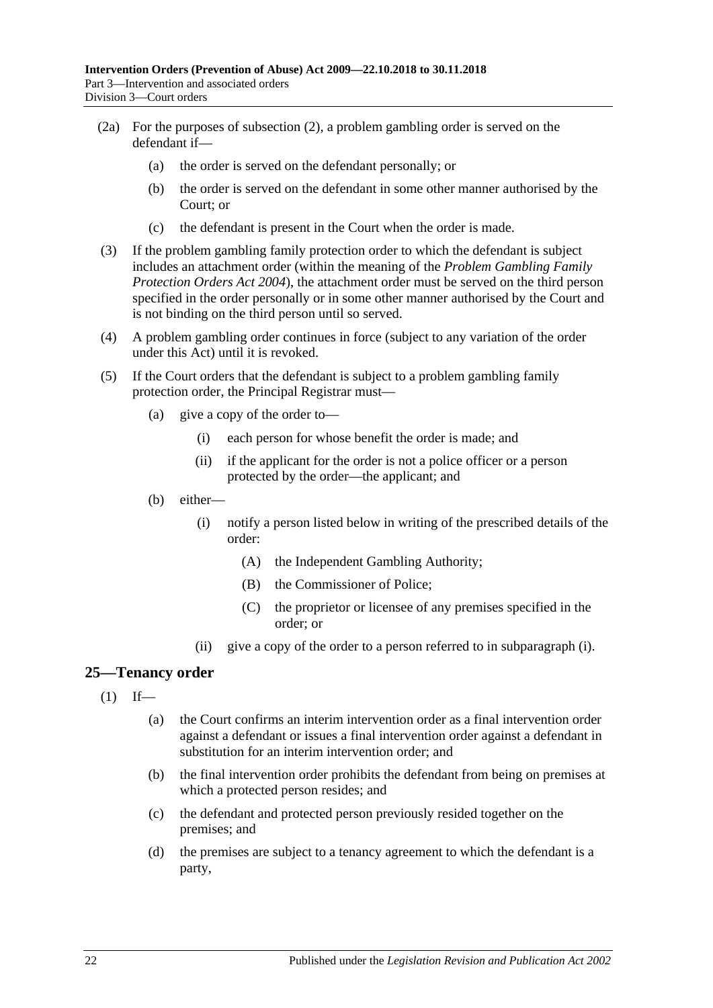- (2a) For the purposes of [subsection](#page-20-2) (2), a problem gambling order is served on the defendant if—
	- (a) the order is served on the defendant personally; or
	- (b) the order is served on the defendant in some other manner authorised by the Court; or
	- (c) the defendant is present in the Court when the order is made.
- (3) If the problem gambling family protection order to which the defendant is subject includes an attachment order (within the meaning of the *[Problem Gambling Family](http://www.legislation.sa.gov.au/index.aspx?action=legref&type=act&legtitle=Problem%20Gambling%20Family%20Protection%20Orders%20Act%202004)  [Protection Orders Act](http://www.legislation.sa.gov.au/index.aspx?action=legref&type=act&legtitle=Problem%20Gambling%20Family%20Protection%20Orders%20Act%202004) 2004*), the attachment order must be served on the third person specified in the order personally or in some other manner authorised by the Court and is not binding on the third person until so served.
- (4) A problem gambling order continues in force (subject to any variation of the order under this Act) until it is revoked.
- <span id="page-21-1"></span>(5) If the Court orders that the defendant is subject to a problem gambling family protection order, the Principal Registrar must—
	- (a) give a copy of the order to—
		- (i) each person for whose benefit the order is made; and
		- (ii) if the applicant for the order is not a police officer or a person protected by the order—the applicant; and
	- (b) either—
		- (i) notify a person listed below in writing of the prescribed details of the order:
			- (A) the Independent Gambling Authority;
			- (B) the Commissioner of Police;
			- (C) the proprietor or licensee of any premises specified in the order; or
		- (ii) give a copy of the order to a person referred to in [subparagraph](#page-21-1) (i).

# <span id="page-21-0"></span>**25—Tenancy order**

- $(1)$  If—
	- (a) the Court confirms an interim intervention order as a final intervention order against a defendant or issues a final intervention order against a defendant in substitution for an interim intervention order; and
	- (b) the final intervention order prohibits the defendant from being on premises at which a protected person resides; and
	- (c) the defendant and protected person previously resided together on the premises; and
	- (d) the premises are subject to a tenancy agreement to which the defendant is a party,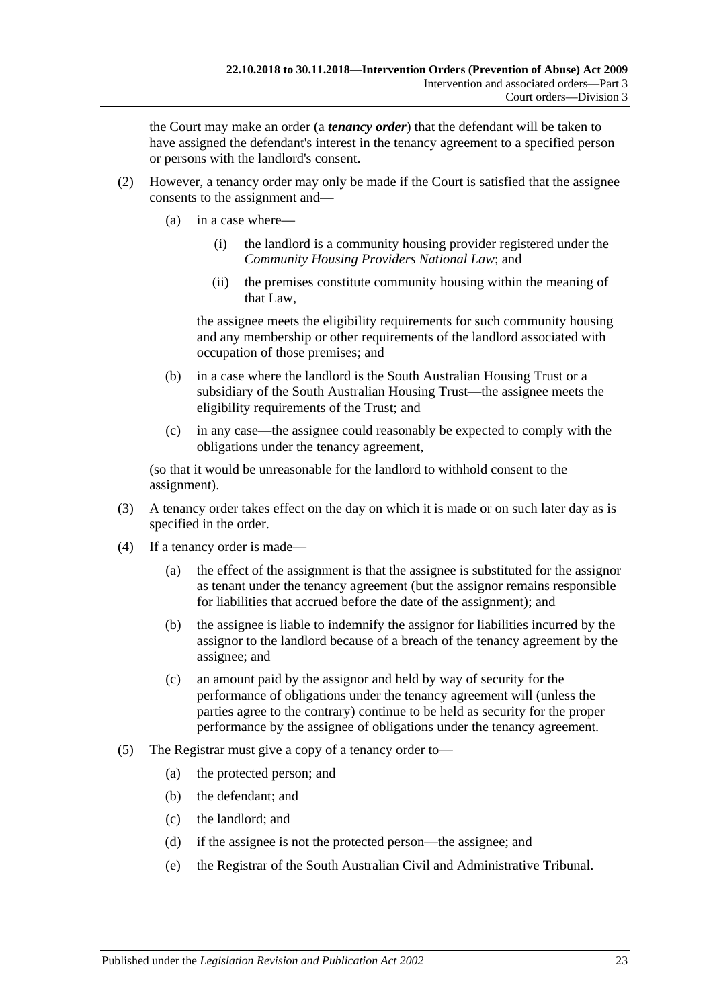the Court may make an order (a *tenancy order*) that the defendant will be taken to have assigned the defendant's interest in the tenancy agreement to a specified person or persons with the landlord's consent.

- (2) However, a tenancy order may only be made if the Court is satisfied that the assignee consents to the assignment and—
	- (a) in a case where—
		- (i) the landlord is a community housing provider registered under the *Community Housing Providers National Law*; and
		- (ii) the premises constitute community housing within the meaning of that Law,

the assignee meets the eligibility requirements for such community housing and any membership or other requirements of the landlord associated with occupation of those premises; and

- (b) in a case where the landlord is the South Australian Housing Trust or a subsidiary of the South Australian Housing Trust—the assignee meets the eligibility requirements of the Trust; and
- (c) in any case—the assignee could reasonably be expected to comply with the obligations under the tenancy agreement,

(so that it would be unreasonable for the landlord to withhold consent to the assignment).

- (3) A tenancy order takes effect on the day on which it is made or on such later day as is specified in the order.
- (4) If a tenancy order is made—
	- (a) the effect of the assignment is that the assignee is substituted for the assignor as tenant under the tenancy agreement (but the assignor remains responsible for liabilities that accrued before the date of the assignment); and
	- (b) the assignee is liable to indemnify the assignor for liabilities incurred by the assignor to the landlord because of a breach of the tenancy agreement by the assignee; and
	- (c) an amount paid by the assignor and held by way of security for the performance of obligations under the tenancy agreement will (unless the parties agree to the contrary) continue to be held as security for the proper performance by the assignee of obligations under the tenancy agreement.
- (5) The Registrar must give a copy of a tenancy order to—
	- (a) the protected person; and
	- (b) the defendant; and
	- (c) the landlord; and
	- (d) if the assignee is not the protected person—the assignee; and
	- (e) the Registrar of the South Australian Civil and Administrative Tribunal.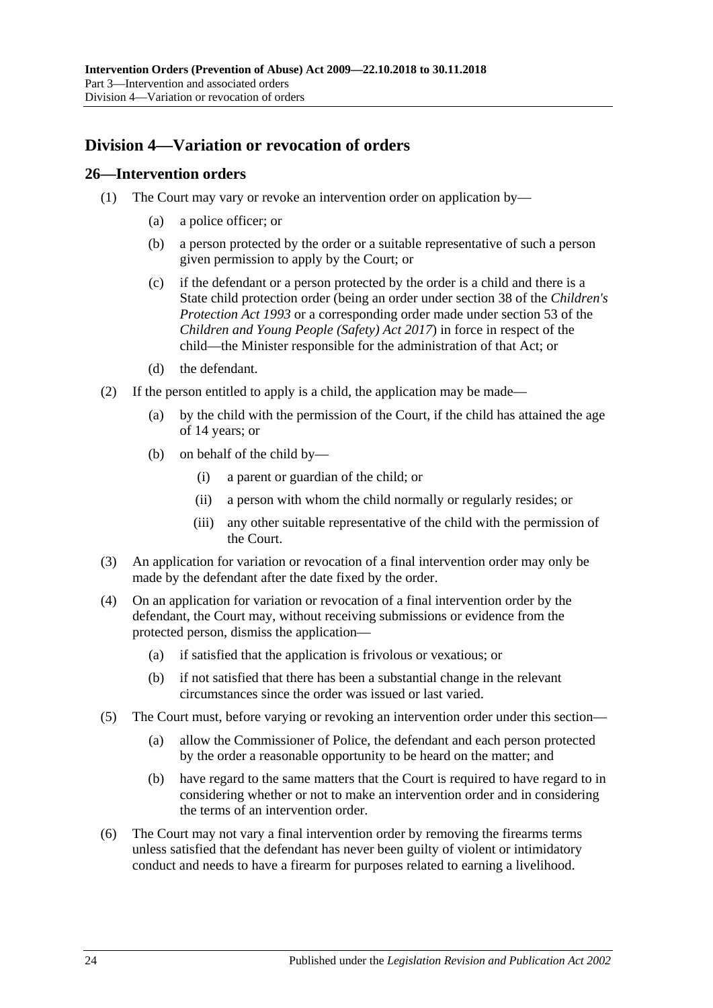# <span id="page-23-0"></span>**Division 4—Variation or revocation of orders**

#### <span id="page-23-1"></span>**26—Intervention orders**

- (1) The Court may vary or revoke an intervention order on application by—
	- (a) a police officer; or
	- (b) a person protected by the order or a suitable representative of such a person given permission to apply by the Court; or
	- (c) if the defendant or a person protected by the order is a child and there is a State child protection order (being an order under section 38 of the *[Children's](http://www.legislation.sa.gov.au/index.aspx?action=legref&type=act&legtitle=Childrens%20Protection%20Act%201993)  [Protection Act](http://www.legislation.sa.gov.au/index.aspx?action=legref&type=act&legtitle=Childrens%20Protection%20Act%201993) 1993* or a corresponding order made under section 53 of the *[Children and Young People \(Safety\) Act](http://www.legislation.sa.gov.au/index.aspx?action=legref&type=act&legtitle=Children%20and%20Young%20People%20(Safety)%20Act%202017) 2017*) in force in respect of the child—the Minister responsible for the administration of that Act; or
	- (d) the defendant.
- (2) If the person entitled to apply is a child, the application may be made—
	- (a) by the child with the permission of the Court, if the child has attained the age of 14 years; or
	- (b) on behalf of the child by—
		- (i) a parent or guardian of the child; or
		- (ii) a person with whom the child normally or regularly resides; or
		- (iii) any other suitable representative of the child with the permission of the Court.
- (3) An application for variation or revocation of a final intervention order may only be made by the defendant after the date fixed by the order.
- (4) On an application for variation or revocation of a final intervention order by the defendant, the Court may, without receiving submissions or evidence from the protected person, dismiss the application—
	- (a) if satisfied that the application is frivolous or vexatious; or
	- (b) if not satisfied that there has been a substantial change in the relevant circumstances since the order was issued or last varied.
- (5) The Court must, before varying or revoking an intervention order under this section—
	- (a) allow the Commissioner of Police, the defendant and each person protected by the order a reasonable opportunity to be heard on the matter; and
	- (b) have regard to the same matters that the Court is required to have regard to in considering whether or not to make an intervention order and in considering the terms of an intervention order.
- (6) The Court may not vary a final intervention order by removing the firearms terms unless satisfied that the defendant has never been guilty of violent or intimidatory conduct and needs to have a firearm for purposes related to earning a livelihood.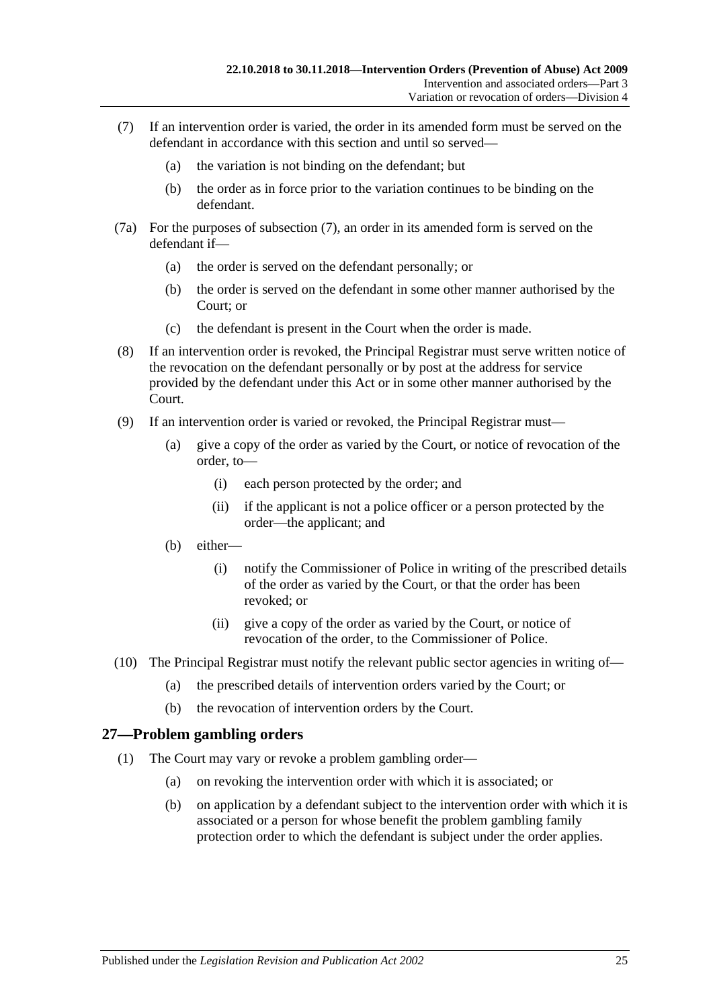- <span id="page-24-1"></span>(7) If an intervention order is varied, the order in its amended form must be served on the defendant in accordance with this section and until so served—
	- (a) the variation is not binding on the defendant; but
	- (b) the order as in force prior to the variation continues to be binding on the defendant.
- (7a) For the purposes of [subsection](#page-24-1) (7), an order in its amended form is served on the defendant if—
	- (a) the order is served on the defendant personally; or
	- (b) the order is served on the defendant in some other manner authorised by the Court; or
	- (c) the defendant is present in the Court when the order is made.
- (8) If an intervention order is revoked, the Principal Registrar must serve written notice of the revocation on the defendant personally or by post at the address for service provided by the defendant under this Act or in some other manner authorised by the Court.
- (9) If an intervention order is varied or revoked, the Principal Registrar must—
	- (a) give a copy of the order as varied by the Court, or notice of revocation of the order, to—
		- (i) each person protected by the order; and
		- (ii) if the applicant is not a police officer or a person protected by the order—the applicant; and
	- (b) either—
		- (i) notify the Commissioner of Police in writing of the prescribed details of the order as varied by the Court, or that the order has been revoked; or
		- (ii) give a copy of the order as varied by the Court, or notice of revocation of the order, to the Commissioner of Police.
- (10) The Principal Registrar must notify the relevant public sector agencies in writing of—
	- (a) the prescribed details of intervention orders varied by the Court; or
	- (b) the revocation of intervention orders by the Court.

# <span id="page-24-0"></span>**27—Problem gambling orders**

- (1) The Court may vary or revoke a problem gambling order—
	- (a) on revoking the intervention order with which it is associated; or
	- (b) on application by a defendant subject to the intervention order with which it is associated or a person for whose benefit the problem gambling family protection order to which the defendant is subject under the order applies.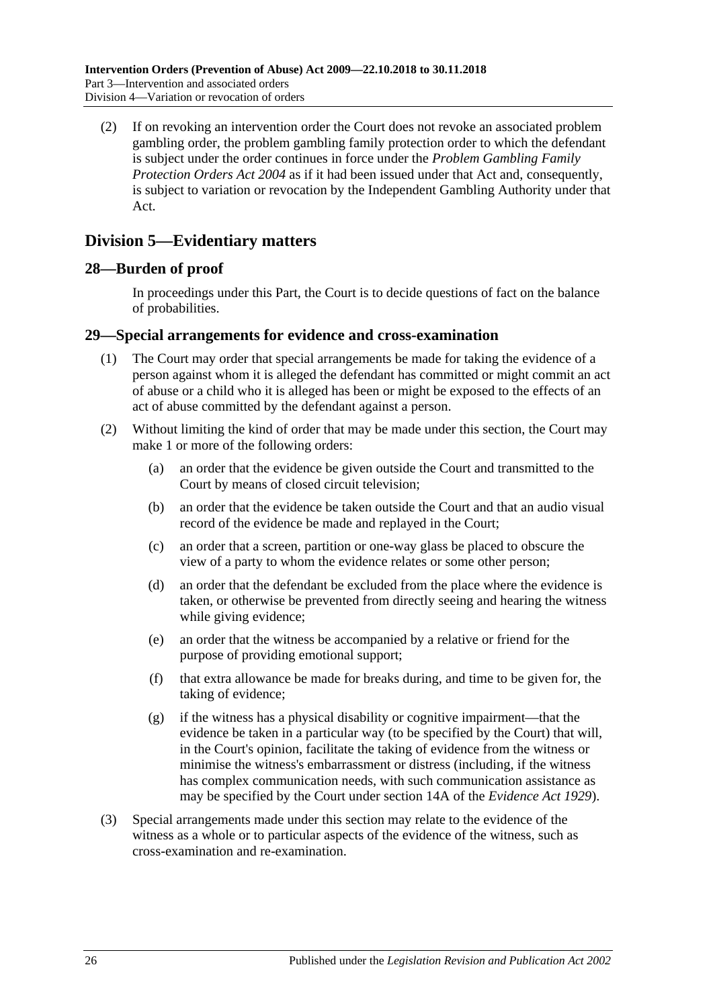(2) If on revoking an intervention order the Court does not revoke an associated problem gambling order, the problem gambling family protection order to which the defendant is subject under the order continues in force under the *[Problem Gambling Family](http://www.legislation.sa.gov.au/index.aspx?action=legref&type=act&legtitle=Problem%20Gambling%20Family%20Protection%20Orders%20Act%202004)  [Protection Orders Act](http://www.legislation.sa.gov.au/index.aspx?action=legref&type=act&legtitle=Problem%20Gambling%20Family%20Protection%20Orders%20Act%202004) 2004* as if it had been issued under that Act and, consequently, is subject to variation or revocation by the Independent Gambling Authority under that Act.

# <span id="page-25-0"></span>**Division 5—Evidentiary matters**

# <span id="page-25-1"></span>**28—Burden of proof**

In proceedings under this Part, the Court is to decide questions of fact on the balance of probabilities.

#### <span id="page-25-2"></span>**29—Special arrangements for evidence and cross-examination**

- (1) The Court may order that special arrangements be made for taking the evidence of a person against whom it is alleged the defendant has committed or might commit an act of abuse or a child who it is alleged has been or might be exposed to the effects of an act of abuse committed by the defendant against a person.
- (2) Without limiting the kind of order that may be made under this section, the Court may make 1 or more of the following orders:
	- (a) an order that the evidence be given outside the Court and transmitted to the Court by means of closed circuit television;
	- (b) an order that the evidence be taken outside the Court and that an audio visual record of the evidence be made and replayed in the Court;
	- (c) an order that a screen, partition or one-way glass be placed to obscure the view of a party to whom the evidence relates or some other person;
	- (d) an order that the defendant be excluded from the place where the evidence is taken, or otherwise be prevented from directly seeing and hearing the witness while giving evidence;
	- (e) an order that the witness be accompanied by a relative or friend for the purpose of providing emotional support;
	- (f) that extra allowance be made for breaks during, and time to be given for, the taking of evidence;
	- (g) if the witness has a physical disability or cognitive impairment—that the evidence be taken in a particular way (to be specified by the Court) that will, in the Court's opinion, facilitate the taking of evidence from the witness or minimise the witness's embarrassment or distress (including, if the witness has complex communication needs, with such communication assistance as may be specified by the Court under section 14A of the *[Evidence Act](http://www.legislation.sa.gov.au/index.aspx?action=legref&type=act&legtitle=Evidence%20Act%201929) 1929*).
- (3) Special arrangements made under this section may relate to the evidence of the witness as a whole or to particular aspects of the evidence of the witness, such as cross-examination and re-examination.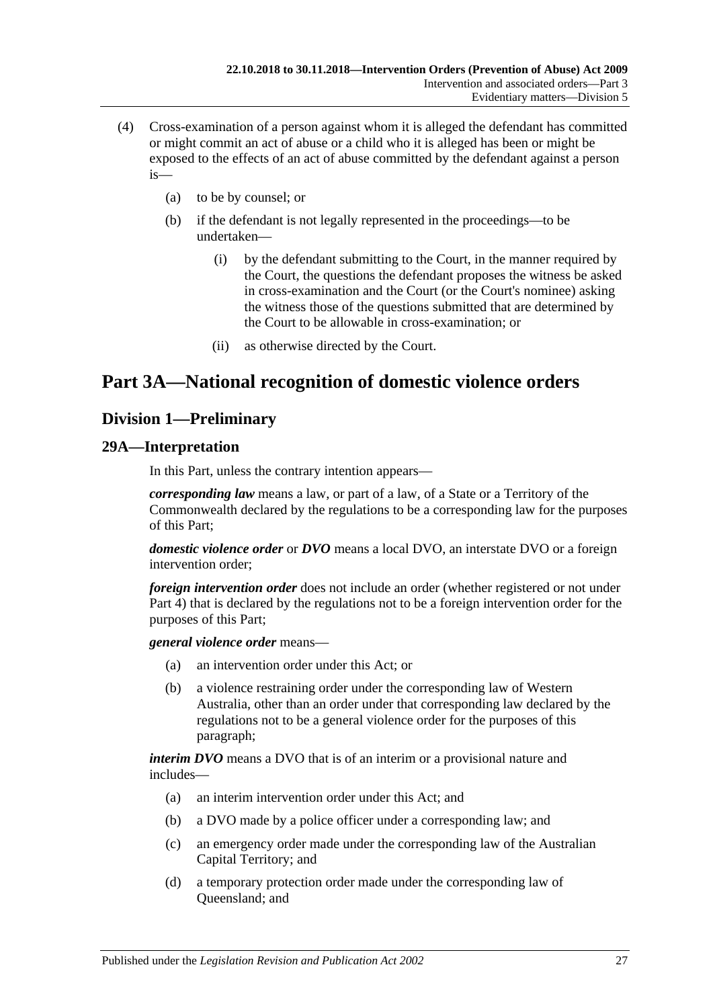- (4) Cross-examination of a person against whom it is alleged the defendant has committed or might commit an act of abuse or a child who it is alleged has been or might be exposed to the effects of an act of abuse committed by the defendant against a person is—
	- (a) to be by counsel; or
	- (b) if the defendant is not legally represented in the proceedings—to be undertaken—
		- (i) by the defendant submitting to the Court, in the manner required by the Court, the questions the defendant proposes the witness be asked in cross-examination and the Court (or the Court's nominee) asking the witness those of the questions submitted that are determined by the Court to be allowable in cross-examination; or
		- (ii) as otherwise directed by the Court.

# <span id="page-26-0"></span>**Part 3A—National recognition of domestic violence orders**

# <span id="page-26-1"></span>**Division 1—Preliminary**

# <span id="page-26-2"></span>**29A—Interpretation**

In this Part, unless the contrary intention appears—

*corresponding law* means a law, or part of a law, of a State or a Territory of the Commonwealth declared by the regulations to be a corresponding law for the purposes of this Part;

*domestic violence order* or *DVO* means a local DVO, an interstate DVO or a foreign intervention order;

*foreign intervention order* does not include an order (whether registered or not under [Part 4\)](#page-38-1) that is declared by the regulations not to be a foreign intervention order for the purposes of this Part;

*general violence order* means—

- (a) an intervention order under this Act; or
- (b) a violence restraining order under the corresponding law of Western Australia, other than an order under that corresponding law declared by the regulations not to be a general violence order for the purposes of this paragraph;

*interim DVO* means a DVO that is of an interim or a provisional nature and includes—

- (a) an interim intervention order under this Act; and
- (b) a DVO made by a police officer under a corresponding law; and
- (c) an emergency order made under the corresponding law of the Australian Capital Territory; and
- (d) a temporary protection order made under the corresponding law of Queensland; and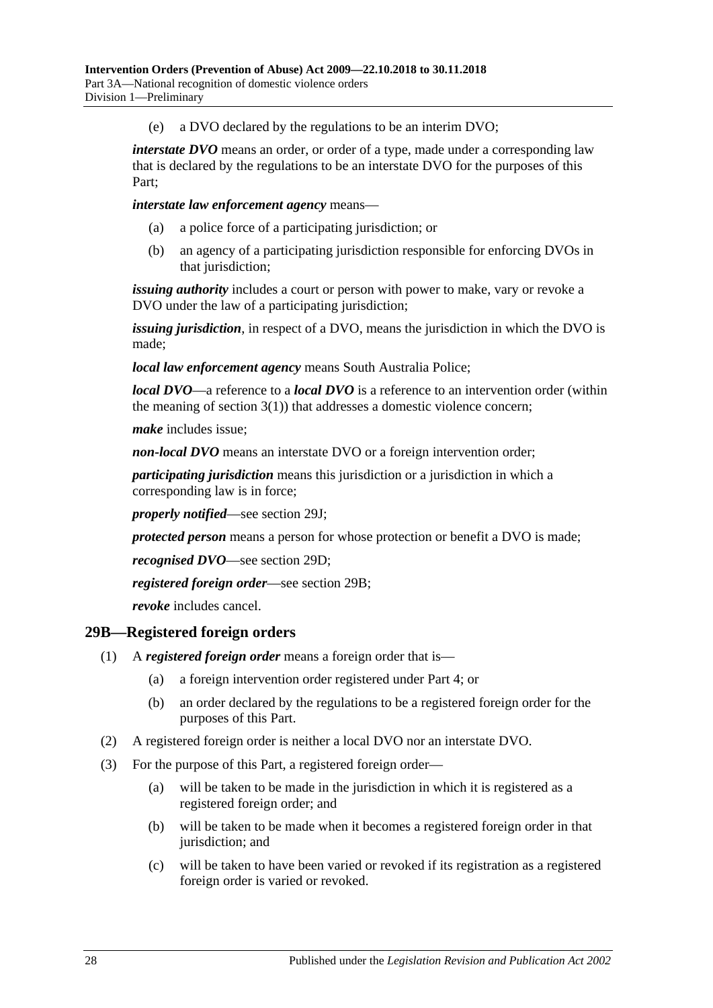(e) a DVO declared by the regulations to be an interim DVO;

*interstate DVO* means an order, or order of a type, made under a corresponding law that is declared by the regulations to be an interstate DVO for the purposes of this Part;

*interstate law enforcement agency* means—

- (a) a police force of a participating jurisdiction; or
- (b) an agency of a participating jurisdiction responsible for enforcing DVOs in that jurisdiction;

*issuing authority* includes a court or person with power to make, vary or revoke a DVO under the law of a participating jurisdiction;

*issuing jurisdiction*, in respect of a DVO, means the jurisdiction in which the DVO is made;

*local law enforcement agency* means South Australia Police;

*local DVO*—a reference to a *local DVO* is a reference to an intervention order (within the meaning of [section](#page-3-3)  $3(1)$ ) that addresses a domestic violence concern;

*make* includes issue;

*non-local DVO* means an interstate DVO or a foreign intervention order;

*participating jurisdiction* means this jurisdiction or a jurisdiction in which a corresponding law is in force;

*properly notified*—see [section](#page-30-3) 29J;

*protected person* means a person for whose protection or benefit a DVO is made;

*recognised DVO*—see [section](#page-28-3) 29D;

*registered foreign order*—see [section](#page-27-0) 29B;

*revoke* includes cancel.

#### <span id="page-27-0"></span>**29B—Registered foreign orders**

- (1) A *registered foreign order* means a foreign order that is—
	- (a) a foreign intervention order registered under [Part 4;](#page-38-1) or
	- (b) an order declared by the regulations to be a registered foreign order for the purposes of this Part.
- (2) A registered foreign order is neither a local DVO nor an interstate DVO.
- (3) For the purpose of this Part, a registered foreign order—
	- (a) will be taken to be made in the jurisdiction in which it is registered as a registered foreign order; and
	- (b) will be taken to be made when it becomes a registered foreign order in that jurisdiction; and
	- (c) will be taken to have been varied or revoked if its registration as a registered foreign order is varied or revoked.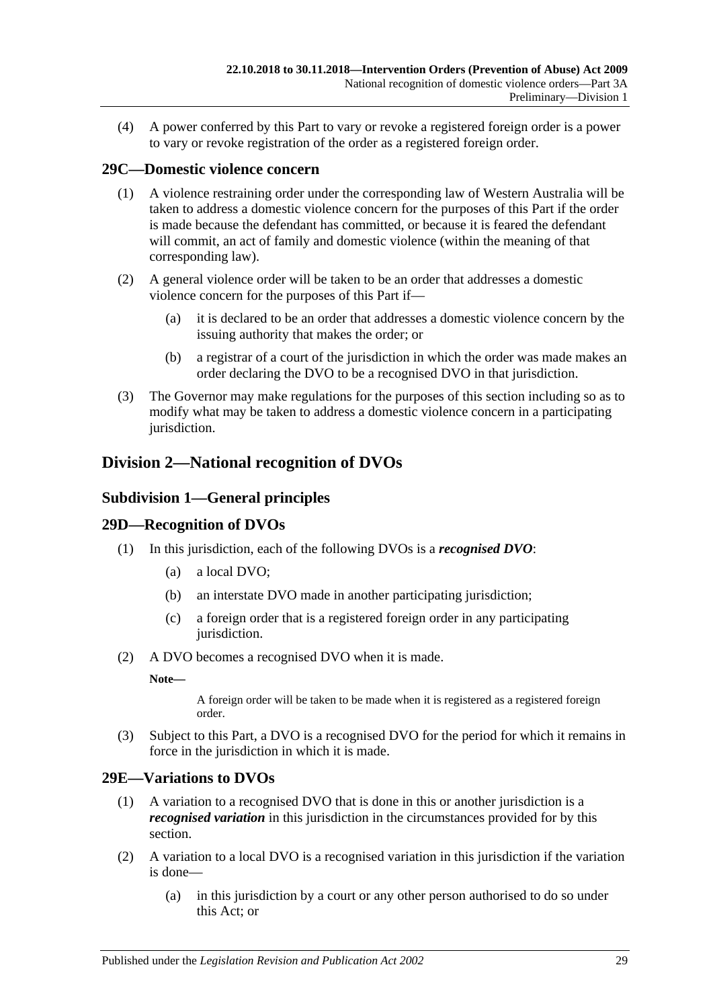(4) A power conferred by this Part to vary or revoke a registered foreign order is a power to vary or revoke registration of the order as a registered foreign order.

# <span id="page-28-0"></span>**29C—Domestic violence concern**

- (1) A violence restraining order under the corresponding law of Western Australia will be taken to address a domestic violence concern for the purposes of this Part if the order is made because the defendant has committed, or because it is feared the defendant will commit, an act of family and domestic violence (within the meaning of that corresponding law).
- (2) A general violence order will be taken to be an order that addresses a domestic violence concern for the purposes of this Part if—
	- (a) it is declared to be an order that addresses a domestic violence concern by the issuing authority that makes the order; or
	- (b) a registrar of a court of the jurisdiction in which the order was made makes an order declaring the DVO to be a recognised DVO in that jurisdiction.
- (3) The Governor may make regulations for the purposes of this section including so as to modify what may be taken to address a domestic violence concern in a participating jurisdiction.

# <span id="page-28-2"></span><span id="page-28-1"></span>**Division 2—National recognition of DVOs**

# **Subdivision 1—General principles**

# <span id="page-28-3"></span>**29D—Recognition of DVOs**

- (1) In this jurisdiction, each of the following DVOs is a *recognised DVO*:
	- (a) a local DVO;
	- (b) an interstate DVO made in another participating jurisdiction;
	- (c) a foreign order that is a registered foreign order in any participating jurisdiction.
- (2) A DVO becomes a recognised DVO when it is made.

**Note—**

A foreign order will be taken to be made when it is registered as a registered foreign order.

(3) Subject to this Part, a DVO is a recognised DVO for the period for which it remains in force in the jurisdiction in which it is made.

#### <span id="page-28-4"></span>**29E—Variations to DVOs**

- (1) A variation to a recognised DVO that is done in this or another jurisdiction is a *recognised variation* in this jurisdiction in the circumstances provided for by this section.
- (2) A variation to a local DVO is a recognised variation in this jurisdiction if the variation is done—
	- (a) in this jurisdiction by a court or any other person authorised to do so under this Act; or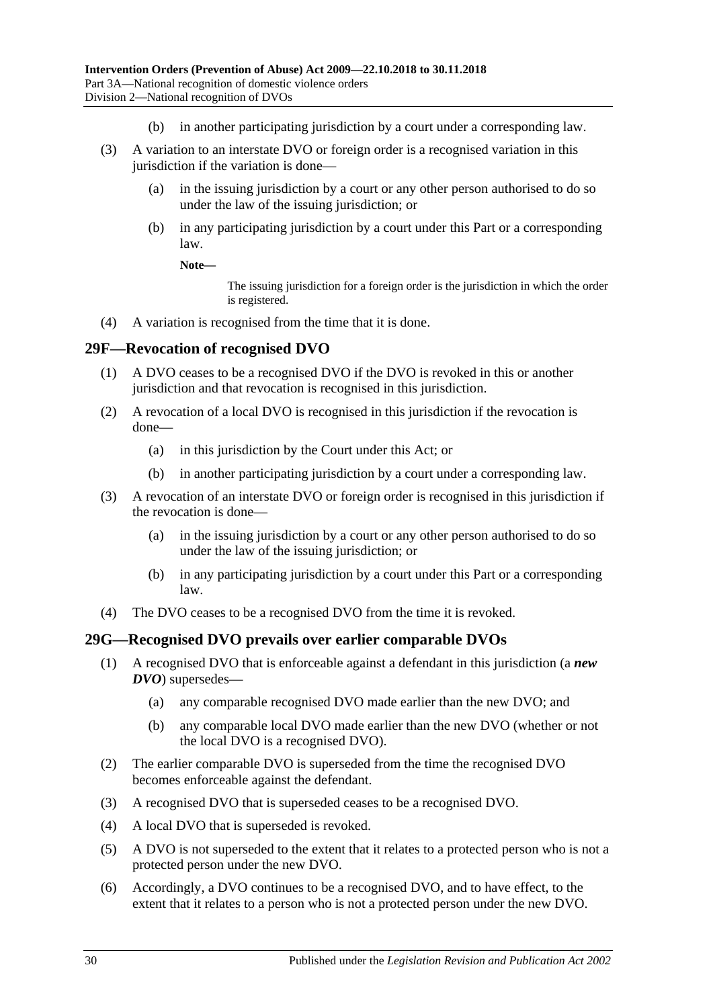- (b) in another participating jurisdiction by a court under a corresponding law.
- (3) A variation to an interstate DVO or foreign order is a recognised variation in this jurisdiction if the variation is done—
	- (a) in the issuing jurisdiction by a court or any other person authorised to do so under the law of the issuing jurisdiction; or
	- (b) in any participating jurisdiction by a court under this Part or a corresponding law.

#### **Note—**

The issuing jurisdiction for a foreign order is the jurisdiction in which the order is registered.

(4) A variation is recognised from the time that it is done.

#### <span id="page-29-0"></span>**29F—Revocation of recognised DVO**

- (1) A DVO ceases to be a recognised DVO if the DVO is revoked in this or another jurisdiction and that revocation is recognised in this jurisdiction.
- (2) A revocation of a local DVO is recognised in this jurisdiction if the revocation is done—
	- (a) in this jurisdiction by the Court under this Act; or
	- (b) in another participating jurisdiction by a court under a corresponding law.
- (3) A revocation of an interstate DVO or foreign order is recognised in this jurisdiction if the revocation is done—
	- (a) in the issuing jurisdiction by a court or any other person authorised to do so under the law of the issuing jurisdiction; or
	- (b) in any participating jurisdiction by a court under this Part or a corresponding law.
- (4) The DVO ceases to be a recognised DVO from the time it is revoked.

#### <span id="page-29-1"></span>**29G—Recognised DVO prevails over earlier comparable DVOs**

- (1) A recognised DVO that is enforceable against a defendant in this jurisdiction (a *new DVO*) supersedes—
	- (a) any comparable recognised DVO made earlier than the new DVO; and
	- (b) any comparable local DVO made earlier than the new DVO (whether or not the local DVO is a recognised DVO).
- (2) The earlier comparable DVO is superseded from the time the recognised DVO becomes enforceable against the defendant.
- (3) A recognised DVO that is superseded ceases to be a recognised DVO.
- (4) A local DVO that is superseded is revoked.
- (5) A DVO is not superseded to the extent that it relates to a protected person who is not a protected person under the new DVO.
- (6) Accordingly, a DVO continues to be a recognised DVO, and to have effect, to the extent that it relates to a person who is not a protected person under the new DVO.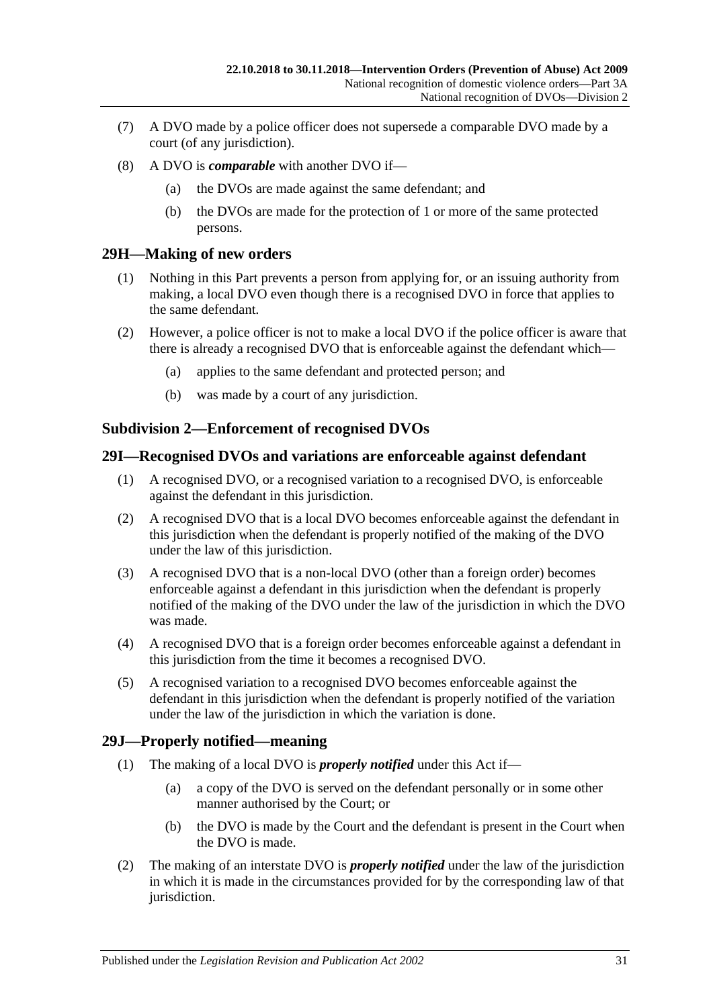- (7) A DVO made by a police officer does not supersede a comparable DVO made by a court (of any jurisdiction).
- (8) A DVO is *comparable* with another DVO if—
	- (a) the DVOs are made against the same defendant; and
	- (b) the DVOs are made for the protection of 1 or more of the same protected persons.

# <span id="page-30-0"></span>**29H—Making of new orders**

- (1) Nothing in this Part prevents a person from applying for, or an issuing authority from making, a local DVO even though there is a recognised DVO in force that applies to the same defendant.
- (2) However, a police officer is not to make a local DVO if the police officer is aware that there is already a recognised DVO that is enforceable against the defendant which—
	- (a) applies to the same defendant and protected person; and
	- (b) was made by a court of any jurisdiction.

# <span id="page-30-1"></span>**Subdivision 2—Enforcement of recognised DVOs**

#### <span id="page-30-2"></span>**29I—Recognised DVOs and variations are enforceable against defendant**

- (1) A recognised DVO, or a recognised variation to a recognised DVO, is enforceable against the defendant in this jurisdiction.
- (2) A recognised DVO that is a local DVO becomes enforceable against the defendant in this jurisdiction when the defendant is properly notified of the making of the DVO under the law of this jurisdiction.
- (3) A recognised DVO that is a non-local DVO (other than a foreign order) becomes enforceable against a defendant in this jurisdiction when the defendant is properly notified of the making of the DVO under the law of the jurisdiction in which the DVO was made.
- (4) A recognised DVO that is a foreign order becomes enforceable against a defendant in this jurisdiction from the time it becomes a recognised DVO.
- (5) A recognised variation to a recognised DVO becomes enforceable against the defendant in this jurisdiction when the defendant is properly notified of the variation under the law of the jurisdiction in which the variation is done.

# <span id="page-30-3"></span>**29J—Properly notified—meaning**

- (1) The making of a local DVO is *properly notified* under this Act if—
	- (a) a copy of the DVO is served on the defendant personally or in some other manner authorised by the Court; or
	- (b) the DVO is made by the Court and the defendant is present in the Court when the DVO is made.
- (2) The making of an interstate DVO is *properly notified* under the law of the jurisdiction in which it is made in the circumstances provided for by the corresponding law of that jurisdiction.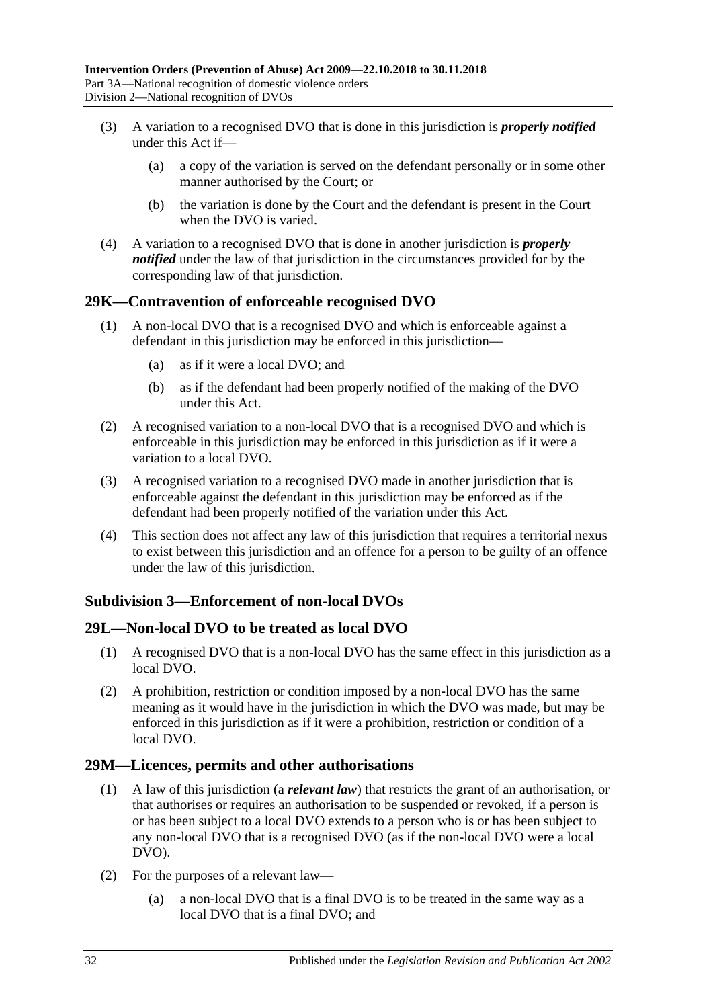- (3) A variation to a recognised DVO that is done in this jurisdiction is *properly notified* under this Act if—
	- (a) a copy of the variation is served on the defendant personally or in some other manner authorised by the Court; or
	- (b) the variation is done by the Court and the defendant is present in the Court when the DVO is varied.
- (4) A variation to a recognised DVO that is done in another jurisdiction is *properly notified* under the law of that jurisdiction in the circumstances provided for by the corresponding law of that jurisdiction.

# <span id="page-31-0"></span>**29K—Contravention of enforceable recognised DVO**

- (1) A non-local DVO that is a recognised DVO and which is enforceable against a defendant in this jurisdiction may be enforced in this jurisdiction—
	- (a) as if it were a local DVO; and
	- (b) as if the defendant had been properly notified of the making of the DVO under this Act.
- (2) A recognised variation to a non-local DVO that is a recognised DVO and which is enforceable in this jurisdiction may be enforced in this jurisdiction as if it were a variation to a local DVO.
- (3) A recognised variation to a recognised DVO made in another jurisdiction that is enforceable against the defendant in this jurisdiction may be enforced as if the defendant had been properly notified of the variation under this Act.
- (4) This section does not affect any law of this jurisdiction that requires a territorial nexus to exist between this jurisdiction and an offence for a person to be guilty of an offence under the law of this jurisdiction.

# <span id="page-31-1"></span>**Subdivision 3—Enforcement of non-local DVOs**

# <span id="page-31-2"></span>**29L—Non-local DVO to be treated as local DVO**

- (1) A recognised DVO that is a non-local DVO has the same effect in this jurisdiction as a local DVO.
- (2) A prohibition, restriction or condition imposed by a non-local DVO has the same meaning as it would have in the jurisdiction in which the DVO was made, but may be enforced in this jurisdiction as if it were a prohibition, restriction or condition of a local DVO.

# <span id="page-31-3"></span>**29M—Licences, permits and other authorisations**

- (1) A law of this jurisdiction (a *relevant law*) that restricts the grant of an authorisation, or that authorises or requires an authorisation to be suspended or revoked, if a person is or has been subject to a local DVO extends to a person who is or has been subject to any non-local DVO that is a recognised DVO (as if the non-local DVO were a local DVO).
- (2) For the purposes of a relevant law—
	- (a) a non-local DVO that is a final DVO is to be treated in the same way as a local DVO that is a final DVO; and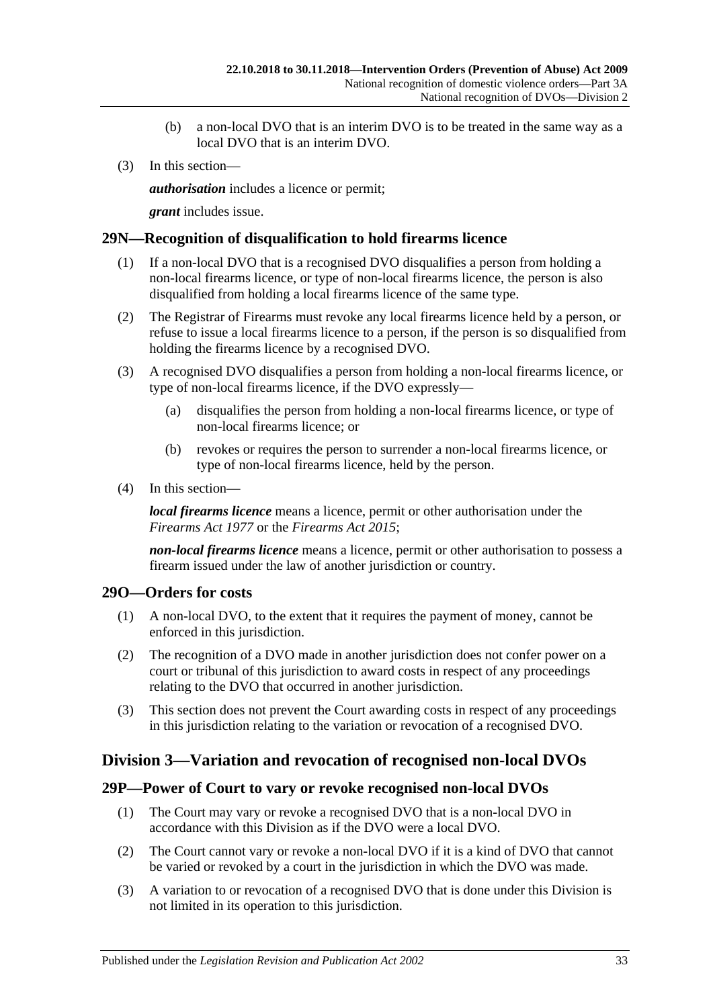- (b) a non-local DVO that is an interim DVO is to be treated in the same way as a local DVO that is an interim DVO.
- (3) In this section—

*authorisation* includes a licence or permit;

*grant* includes issue.

# <span id="page-32-0"></span>**29N—Recognition of disqualification to hold firearms licence**

- (1) If a non-local DVO that is a recognised DVO disqualifies a person from holding a non-local firearms licence, or type of non-local firearms licence, the person is also disqualified from holding a local firearms licence of the same type.
- (2) The Registrar of Firearms must revoke any local firearms licence held by a person, or refuse to issue a local firearms licence to a person, if the person is so disqualified from holding the firearms licence by a recognised DVO.
- (3) A recognised DVO disqualifies a person from holding a non-local firearms licence, or type of non-local firearms licence, if the DVO expressly—
	- (a) disqualifies the person from holding a non-local firearms licence, or type of non-local firearms licence; or
	- (b) revokes or requires the person to surrender a non-local firearms licence, or type of non-local firearms licence, held by the person.
- (4) In this section—

*local firearms licence* means a licence, permit or other authorisation under the *[Firearms Act](http://www.legislation.sa.gov.au/index.aspx?action=legref&type=act&legtitle=Firearms%20Act%201977) 1977* or the *[Firearms Act](http://www.legislation.sa.gov.au/index.aspx?action=legref&type=act&legtitle=Firearms%20Act%202015) 2015*;

*non-local firearms licence* means a licence, permit or other authorisation to possess a firearm issued under the law of another jurisdiction or country.

# <span id="page-32-1"></span>**29O—Orders for costs**

- (1) A non-local DVO, to the extent that it requires the payment of money, cannot be enforced in this jurisdiction.
- (2) The recognition of a DVO made in another jurisdiction does not confer power on a court or tribunal of this jurisdiction to award costs in respect of any proceedings relating to the DVO that occurred in another jurisdiction.
- (3) This section does not prevent the Court awarding costs in respect of any proceedings in this jurisdiction relating to the variation or revocation of a recognised DVO.

# <span id="page-32-2"></span>**Division 3—Variation and revocation of recognised non-local DVOs**

#### <span id="page-32-3"></span>**29P—Power of Court to vary or revoke recognised non-local DVOs**

- (1) The Court may vary or revoke a recognised DVO that is a non-local DVO in accordance with this Division as if the DVO were a local DVO.
- (2) The Court cannot vary or revoke a non-local DVO if it is a kind of DVO that cannot be varied or revoked by a court in the jurisdiction in which the DVO was made.
- (3) A variation to or revocation of a recognised DVO that is done under this Division is not limited in its operation to this jurisdiction.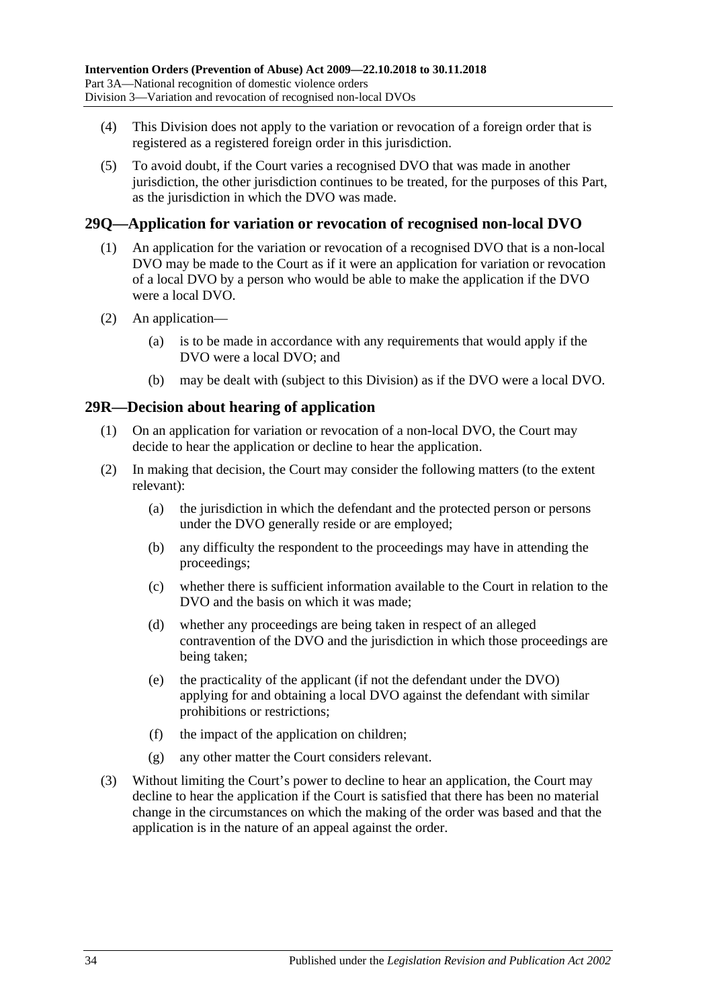- (4) This Division does not apply to the variation or revocation of a foreign order that is registered as a registered foreign order in this jurisdiction.
- (5) To avoid doubt, if the Court varies a recognised DVO that was made in another jurisdiction, the other jurisdiction continues to be treated, for the purposes of this Part, as the jurisdiction in which the DVO was made.

# <span id="page-33-0"></span>**29Q—Application for variation or revocation of recognised non-local DVO**

- (1) An application for the variation or revocation of a recognised DVO that is a non-local DVO may be made to the Court as if it were an application for variation or revocation of a local DVO by a person who would be able to make the application if the DVO were a local DVO.
- (2) An application—
	- (a) is to be made in accordance with any requirements that would apply if the DVO were a local DVO; and
	- (b) may be dealt with (subject to this Division) as if the DVO were a local DVO.

#### <span id="page-33-1"></span>**29R—Decision about hearing of application**

- (1) On an application for variation or revocation of a non-local DVO, the Court may decide to hear the application or decline to hear the application.
- (2) In making that decision, the Court may consider the following matters (to the extent relevant):
	- (a) the jurisdiction in which the defendant and the protected person or persons under the DVO generally reside or are employed;
	- (b) any difficulty the respondent to the proceedings may have in attending the proceedings;
	- (c) whether there is sufficient information available to the Court in relation to the DVO and the basis on which it was made;
	- (d) whether any proceedings are being taken in respect of an alleged contravention of the DVO and the jurisdiction in which those proceedings are being taken;
	- (e) the practicality of the applicant (if not the defendant under the DVO) applying for and obtaining a local DVO against the defendant with similar prohibitions or restrictions;
	- (f) the impact of the application on children;
	- (g) any other matter the Court considers relevant.
- (3) Without limiting the Court's power to decline to hear an application, the Court may decline to hear the application if the Court is satisfied that there has been no material change in the circumstances on which the making of the order was based and that the application is in the nature of an appeal against the order.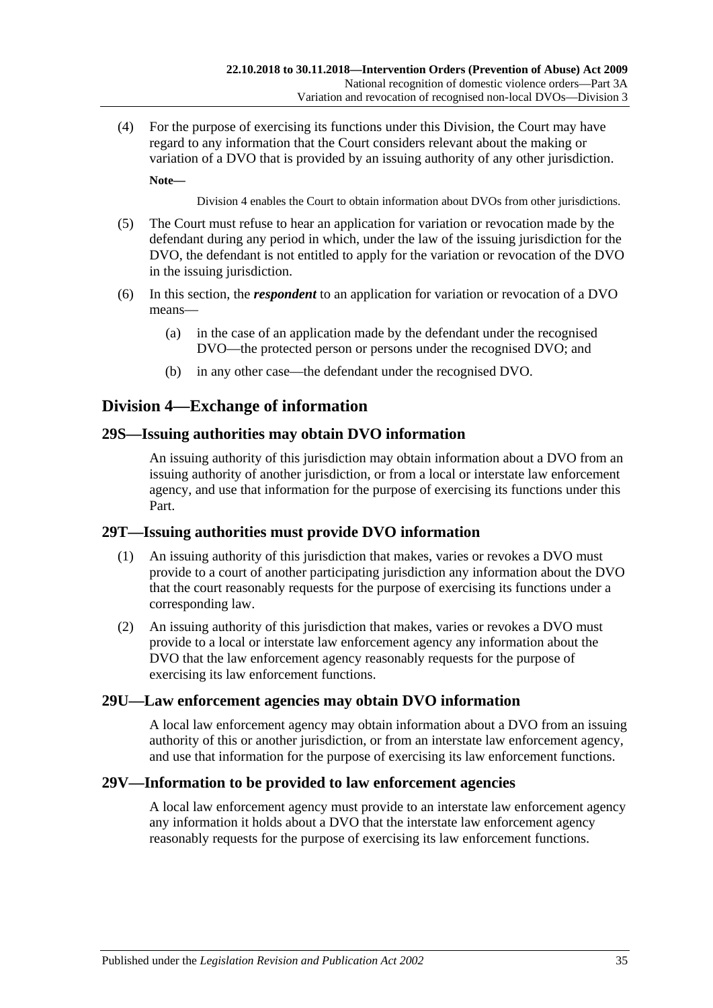(4) For the purpose of exercising its functions under this Division, the Court may have regard to any information that the Court considers relevant about the making or variation of a DVO that is provided by an issuing authority of any other jurisdiction.

**Note—**

[Division](#page-34-0) 4 enables the Court to obtain information about DVOs from other jurisdictions.

- (5) The Court must refuse to hear an application for variation or revocation made by the defendant during any period in which, under the law of the issuing jurisdiction for the DVO, the defendant is not entitled to apply for the variation or revocation of the DVO in the issuing jurisdiction.
- (6) In this section, the *respondent* to an application for variation or revocation of a DVO means—
	- (a) in the case of an application made by the defendant under the recognised DVO—the protected person or persons under the recognised DVO; and
	- (b) in any other case—the defendant under the recognised DVO.

# <span id="page-34-0"></span>**Division 4—Exchange of information**

# <span id="page-34-1"></span>**29S—Issuing authorities may obtain DVO information**

An issuing authority of this jurisdiction may obtain information about a DVO from an issuing authority of another jurisdiction, or from a local or interstate law enforcement agency, and use that information for the purpose of exercising its functions under this Part.

# <span id="page-34-2"></span>**29T—Issuing authorities must provide DVO information**

- (1) An issuing authority of this jurisdiction that makes, varies or revokes a DVO must provide to a court of another participating jurisdiction any information about the DVO that the court reasonably requests for the purpose of exercising its functions under a corresponding law.
- (2) An issuing authority of this jurisdiction that makes, varies or revokes a DVO must provide to a local or interstate law enforcement agency any information about the DVO that the law enforcement agency reasonably requests for the purpose of exercising its law enforcement functions.

# <span id="page-34-3"></span>**29U—Law enforcement agencies may obtain DVO information**

A local law enforcement agency may obtain information about a DVO from an issuing authority of this or another jurisdiction, or from an interstate law enforcement agency, and use that information for the purpose of exercising its law enforcement functions.

# <span id="page-34-4"></span>**29V—Information to be provided to law enforcement agencies**

A local law enforcement agency must provide to an interstate law enforcement agency any information it holds about a DVO that the interstate law enforcement agency reasonably requests for the purpose of exercising its law enforcement functions.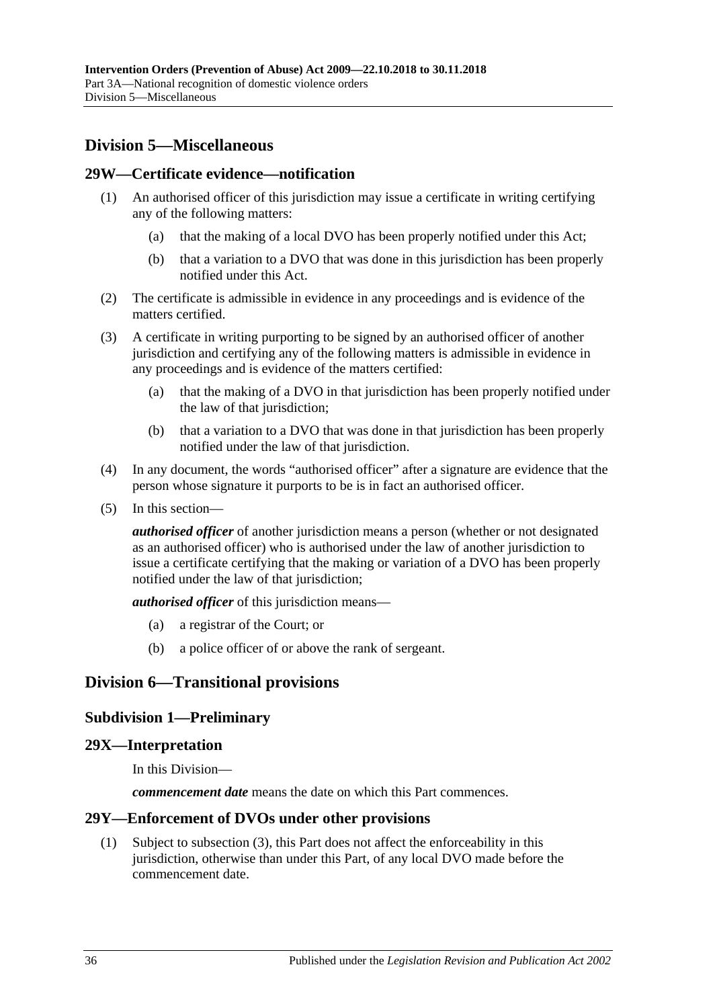# <span id="page-35-0"></span>**Division 5—Miscellaneous**

#### <span id="page-35-1"></span>**29W—Certificate evidence—notification**

- (1) An authorised officer of this jurisdiction may issue a certificate in writing certifying any of the following matters:
	- (a) that the making of a local DVO has been properly notified under this Act;
	- (b) that a variation to a DVO that was done in this jurisdiction has been properly notified under this Act.
- (2) The certificate is admissible in evidence in any proceedings and is evidence of the matters certified.
- (3) A certificate in writing purporting to be signed by an authorised officer of another jurisdiction and certifying any of the following matters is admissible in evidence in any proceedings and is evidence of the matters certified:
	- (a) that the making of a DVO in that jurisdiction has been properly notified under the law of that jurisdiction;
	- (b) that a variation to a DVO that was done in that jurisdiction has been properly notified under the law of that jurisdiction.
- (4) In any document, the words "authorised officer" after a signature are evidence that the person whose signature it purports to be is in fact an authorised officer.
- (5) In this section—

*authorised officer* of another jurisdiction means a person (whether or not designated as an authorised officer) who is authorised under the law of another jurisdiction to issue a certificate certifying that the making or variation of a DVO has been properly notified under the law of that jurisdiction;

*authorised officer* of this jurisdiction means—

- (a) a registrar of the Court; or
- (b) a police officer of or above the rank of sergeant.

# <span id="page-35-3"></span><span id="page-35-2"></span>**Division 6—Transitional provisions**

#### **Subdivision 1—Preliminary**

#### <span id="page-35-4"></span>**29X—Interpretation**

In this Division—

*commencement date* means the date on which this Part commences.

#### <span id="page-35-5"></span>**29Y—Enforcement of DVOs under other provisions**

(1) Subject to [subsection](#page-36-5) (3), this Part does not affect the enforceability in this jurisdiction, otherwise than under this Part, of any local DVO made before the commencement date.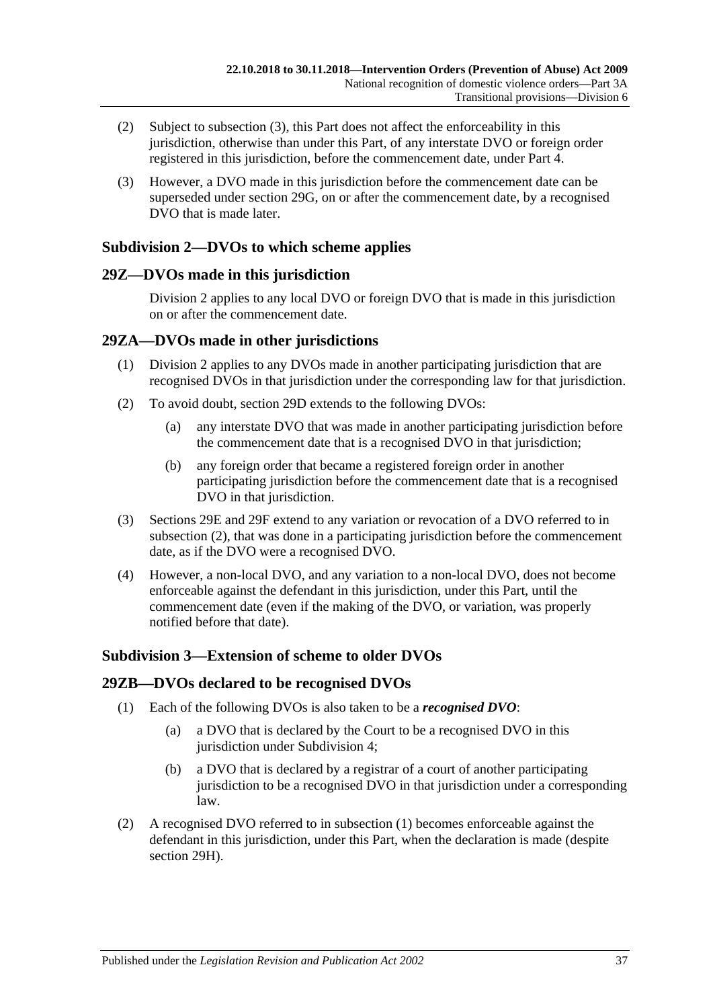- (2) Subject to [subsection](#page-36-5) (3), this Part does not affect the enforceability in this jurisdiction, otherwise than under this Part, of any interstate DVO or foreign order registered in this jurisdiction, before the commencement date, under [Part 4.](#page-38-1)
- <span id="page-36-5"></span>(3) However, a DVO made in this jurisdiction before the commencement date can be superseded under [section](#page-29-1) 29G, on or after the commencement date, by a recognised DVO that is made later.

# <span id="page-36-0"></span>**Subdivision 2—DVOs to which scheme applies**

# <span id="page-36-1"></span>**29Z—DVOs made in this jurisdiction**

[Division](#page-28-1) 2 applies to any local DVO or foreign DVO that is made in this jurisdiction on or after the commencement date.

# <span id="page-36-2"></span>**29ZA—DVOs made in other jurisdictions**

- (1) [Division](#page-28-1) 2 applies to any DVOs made in another participating jurisdiction that are recognised DVOs in that jurisdiction under the corresponding law for that jurisdiction.
- <span id="page-36-6"></span>(2) To avoid doubt, [section](#page-28-3) 29D extends to the following DVOs:
	- (a) any interstate DVO that was made in another participating jurisdiction before the commencement date that is a recognised DVO in that jurisdiction;
	- (b) any foreign order that became a registered foreign order in another participating jurisdiction before the commencement date that is a recognised DVO in that jurisdiction.
- (3) [Sections 29E](#page-28-4) and [29F](#page-29-0) extend to any variation or revocation of a DVO referred to in [subsection](#page-36-6) (2), that was done in a participating jurisdiction before the commencement date, as if the DVO were a recognised DVO.
- (4) However, a non-local DVO, and any variation to a non-local DVO, does not become enforceable against the defendant in this jurisdiction, under this Part, until the commencement date (even if the making of the DVO, or variation, was properly notified before that date).

# <span id="page-36-3"></span>**Subdivision 3—Extension of scheme to older DVOs**

# <span id="page-36-7"></span><span id="page-36-4"></span>**29ZB—DVOs declared to be recognised DVOs**

- (1) Each of the following DVOs is also taken to be a *recognised DVO*:
	- (a) a DVO that is declared by the Court to be a recognised DVO in this jurisdiction under [Subdivision](#page-37-1) 4;
	- (b) a DVO that is declared by a registrar of a court of another participating jurisdiction to be a recognised DVO in that jurisdiction under a corresponding law.
- (2) A recognised DVO referred to in [subsection](#page-36-7) (1) becomes enforceable against the defendant in this jurisdiction, under this Part, when the declaration is made (despite [section](#page-30-0) 29H).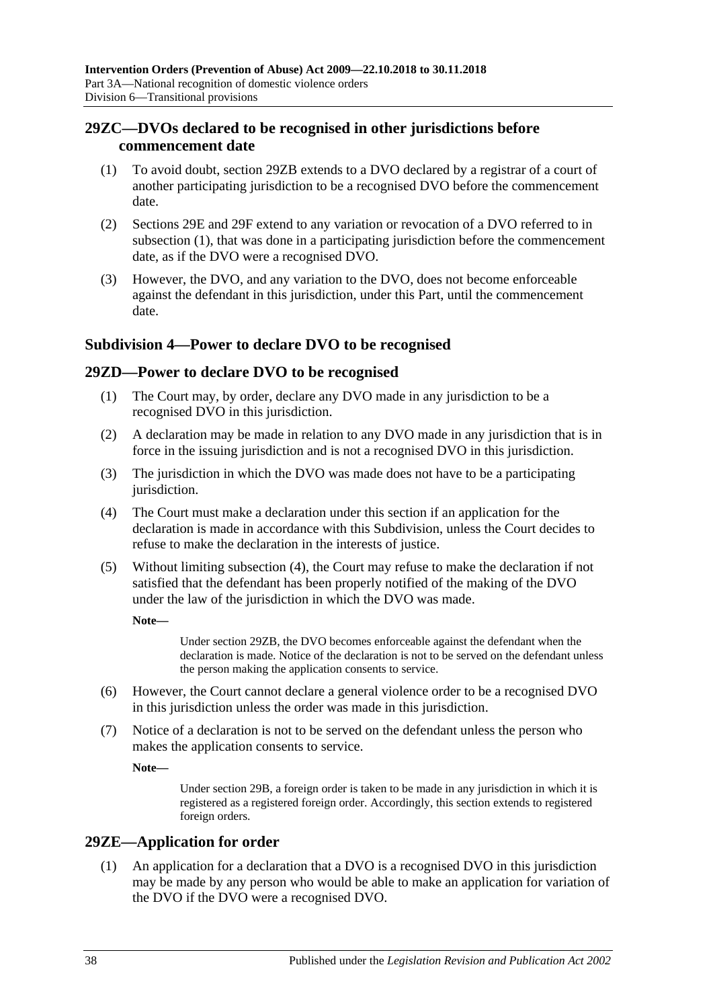# <span id="page-37-0"></span>**29ZC—DVOs declared to be recognised in other jurisdictions before commencement date**

- <span id="page-37-4"></span>(1) To avoid doubt, [section](#page-36-4) 29ZB extends to a DVO declared by a registrar of a court of another participating jurisdiction to be a recognised DVO before the commencement date.
- (2) [Sections 29E](#page-28-4) and [29F](#page-29-0) extend to any variation or revocation of a DVO referred to in [subsection](#page-37-4) (1), that was done in a participating jurisdiction before the commencement date, as if the DVO were a recognised DVO.
- (3) However, the DVO, and any variation to the DVO, does not become enforceable against the defendant in this jurisdiction, under this Part, until the commencement date.

# <span id="page-37-1"></span>**Subdivision 4—Power to declare DVO to be recognised**

# <span id="page-37-2"></span>**29ZD—Power to declare DVO to be recognised**

- (1) The Court may, by order, declare any DVO made in any jurisdiction to be a recognised DVO in this jurisdiction.
- (2) A declaration may be made in relation to any DVO made in any jurisdiction that is in force in the issuing jurisdiction and is not a recognised DVO in this jurisdiction.
- (3) The jurisdiction in which the DVO was made does not have to be a participating jurisdiction.
- <span id="page-37-5"></span>(4) The Court must make a declaration under this section if an application for the declaration is made in accordance with this Subdivision, unless the Court decides to refuse to make the declaration in the interests of justice.
- (5) Without limiting [subsection](#page-37-5) (4), the Court may refuse to make the declaration if not satisfied that the defendant has been properly notified of the making of the DVO under the law of the jurisdiction in which the DVO was made.

**Note—**

Under [section](#page-36-4) 29ZB, the DVO becomes enforceable against the defendant when the declaration is made. Notice of the declaration is not to be served on the defendant unless the person making the application consents to service.

- (6) However, the Court cannot declare a general violence order to be a recognised DVO in this jurisdiction unless the order was made in this jurisdiction.
- (7) Notice of a declaration is not to be served on the defendant unless the person who makes the application consents to service.

**Note—**

Under [section](#page-27-0) 29B, a foreign order is taken to be made in any jurisdiction in which it is registered as a registered foreign order. Accordingly, this section extends to registered foreign orders.

# <span id="page-37-3"></span>**29ZE—Application for order**

(1) An application for a declaration that a DVO is a recognised DVO in this jurisdiction may be made by any person who would be able to make an application for variation of the DVO if the DVO were a recognised DVO.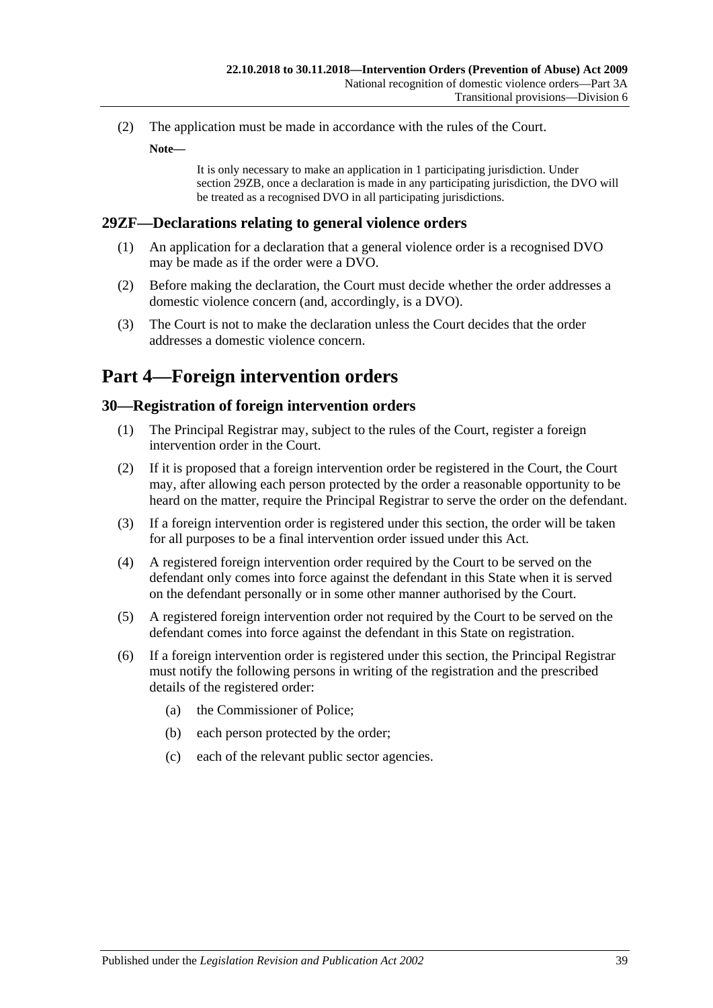(2) The application must be made in accordance with the rules of the Court.

**Note—**

It is only necessary to make an application in 1 participating jurisdiction. Under [section](#page-36-4) 29ZB, once a declaration is made in any participating jurisdiction, the DVO will be treated as a recognised DVO in all participating jurisdictions.

# <span id="page-38-0"></span>**29ZF—Declarations relating to general violence orders**

- (1) An application for a declaration that a general violence order is a recognised DVO may be made as if the order were a DVO.
- (2) Before making the declaration, the Court must decide whether the order addresses a domestic violence concern (and, accordingly, is a DVO).
- (3) The Court is not to make the declaration unless the Court decides that the order addresses a domestic violence concern.

# <span id="page-38-1"></span>**Part 4—Foreign intervention orders**

# <span id="page-38-2"></span>**30—Registration of foreign intervention orders**

- (1) The Principal Registrar may, subject to the rules of the Court, register a foreign intervention order in the Court.
- (2) If it is proposed that a foreign intervention order be registered in the Court, the Court may, after allowing each person protected by the order a reasonable opportunity to be heard on the matter, require the Principal Registrar to serve the order on the defendant.
- (3) If a foreign intervention order is registered under this section, the order will be taken for all purposes to be a final intervention order issued under this Act.
- (4) A registered foreign intervention order required by the Court to be served on the defendant only comes into force against the defendant in this State when it is served on the defendant personally or in some other manner authorised by the Court.
- (5) A registered foreign intervention order not required by the Court to be served on the defendant comes into force against the defendant in this State on registration.
- (6) If a foreign intervention order is registered under this section, the Principal Registrar must notify the following persons in writing of the registration and the prescribed details of the registered order:
	- (a) the Commissioner of Police;
	- (b) each person protected by the order;
	- (c) each of the relevant public sector agencies.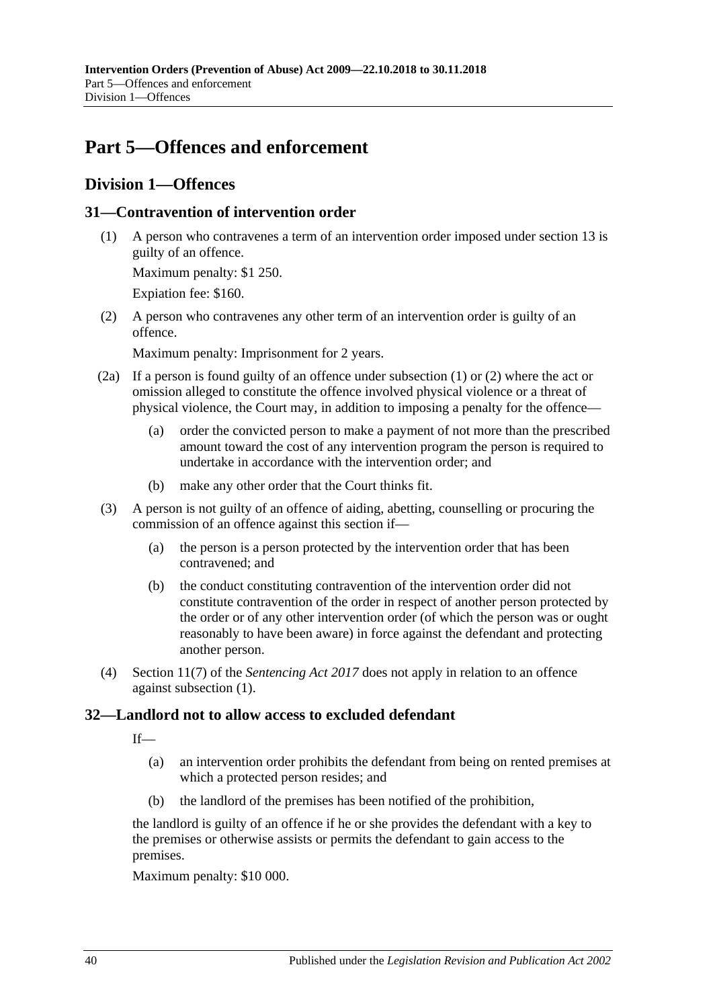# <span id="page-39-0"></span>**Part 5—Offences and enforcement**

# <span id="page-39-1"></span>**Division 1—Offences**

# <span id="page-39-4"></span><span id="page-39-2"></span>**31—Contravention of intervention order**

(1) A person who contravenes a term of an intervention order imposed under [section](#page-12-0) 13 is guilty of an offence.

Maximum penalty: \$1 250.

Expiation fee: \$160.

<span id="page-39-5"></span>(2) A person who contravenes any other term of an intervention order is guilty of an offence.

Maximum penalty: Imprisonment for 2 years.

- (2a) If a person is found guilty of an offence under [subsection](#page-39-4) (1) or [\(2\)](#page-39-5) where the act or omission alleged to constitute the offence involved physical violence or a threat of physical violence, the Court may, in addition to imposing a penalty for the offence—
	- (a) order the convicted person to make a payment of not more than the prescribed amount toward the cost of any intervention program the person is required to undertake in accordance with the intervention order; and
	- (b) make any other order that the Court thinks fit.
- (3) A person is not guilty of an offence of aiding, abetting, counselling or procuring the commission of an offence against this section if—
	- (a) the person is a person protected by the intervention order that has been contravened; and
	- (b) the conduct constituting contravention of the intervention order did not constitute contravention of the order in respect of another person protected by the order or of any other intervention order (of which the person was or ought reasonably to have been aware) in force against the defendant and protecting another person.
- (4) Section 11(7) of the *[Sentencing Act](http://www.legislation.sa.gov.au/index.aspx?action=legref&type=act&legtitle=Sentencing%20Act%202017) 2017* does not apply in relation to an offence against [subsection](#page-39-4) (1).

# <span id="page-39-3"></span>**32—Landlord not to allow access to excluded defendant**

 $If$ —

- (a) an intervention order prohibits the defendant from being on rented premises at which a protected person resides; and
- (b) the landlord of the premises has been notified of the prohibition,

the landlord is guilty of an offence if he or she provides the defendant with a key to the premises or otherwise assists or permits the defendant to gain access to the premises.

Maximum penalty: \$10 000.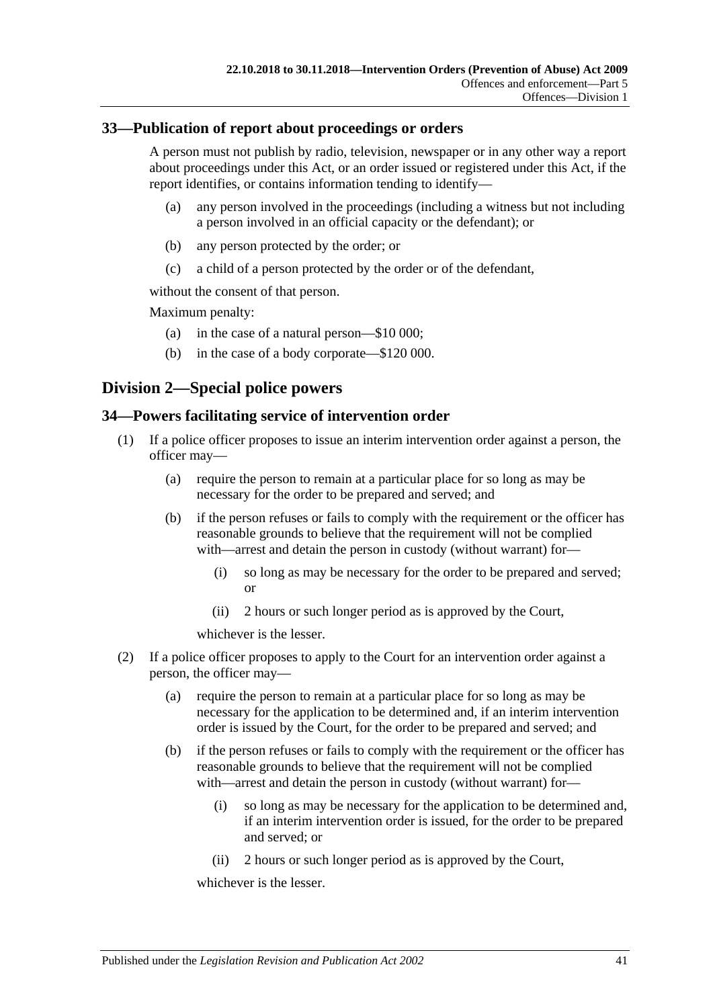# <span id="page-40-0"></span>**33—Publication of report about proceedings or orders**

A person must not publish by radio, television, newspaper or in any other way a report about proceedings under this Act, or an order issued or registered under this Act, if the report identifies, or contains information tending to identify—

- (a) any person involved in the proceedings (including a witness but not including a person involved in an official capacity or the defendant); or
- (b) any person protected by the order; or
- (c) a child of a person protected by the order or of the defendant,

without the consent of that person.

Maximum penalty:

- (a) in the case of a natural person—\$10 000;
- (b) in the case of a body corporate—\$120 000.

# <span id="page-40-1"></span>**Division 2—Special police powers**

# <span id="page-40-2"></span>**34—Powers facilitating service of intervention order**

- (1) If a police officer proposes to issue an interim intervention order against a person, the officer may—
	- (a) require the person to remain at a particular place for so long as may be necessary for the order to be prepared and served; and
	- (b) if the person refuses or fails to comply with the requirement or the officer has reasonable grounds to believe that the requirement will not be complied with—arrest and detain the person in custody (without warrant) for—
		- (i) so long as may be necessary for the order to be prepared and served; or
		- (ii) 2 hours or such longer period as is approved by the Court,

whichever is the lesser.

- (2) If a police officer proposes to apply to the Court for an intervention order against a person, the officer may—
	- (a) require the person to remain at a particular place for so long as may be necessary for the application to be determined and, if an interim intervention order is issued by the Court, for the order to be prepared and served; and
	- (b) if the person refuses or fails to comply with the requirement or the officer has reasonable grounds to believe that the requirement will not be complied with—arrest and detain the person in custody (without warrant) for—
		- (i) so long as may be necessary for the application to be determined and, if an interim intervention order is issued, for the order to be prepared and served; or
		- (ii) 2 hours or such longer period as is approved by the Court,

whichever is the lesser.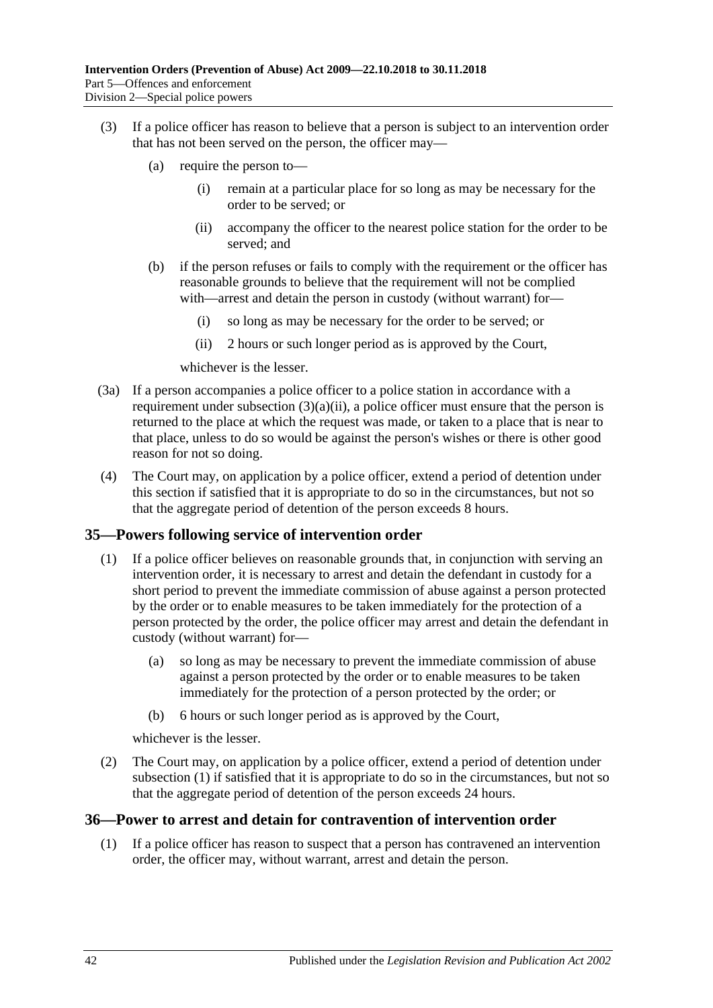- <span id="page-41-2"></span>(3) If a police officer has reason to believe that a person is subject to an intervention order that has not been served on the person, the officer may—
	- (a) require the person to—
		- (i) remain at a particular place for so long as may be necessary for the order to be served; or
		- (ii) accompany the officer to the nearest police station for the order to be served; and
	- (b) if the person refuses or fails to comply with the requirement or the officer has reasonable grounds to believe that the requirement will not be complied with—arrest and detain the person in custody (without warrant) for—
		- (i) so long as may be necessary for the order to be served; or
		- (ii) 2 hours or such longer period as is approved by the Court,

whichever is the lesser.

- (3a) If a person accompanies a police officer to a police station in accordance with a requirement under [subsection](#page-41-2)  $(3)(a)(ii)$ , a police officer must ensure that the person is returned to the place at which the request was made, or taken to a place that is near to that place, unless to do so would be against the person's wishes or there is other good reason for not so doing.
- (4) The Court may, on application by a police officer, extend a period of detention under this section if satisfied that it is appropriate to do so in the circumstances, but not so that the aggregate period of detention of the person exceeds 8 hours.

#### <span id="page-41-3"></span><span id="page-41-0"></span>**35—Powers following service of intervention order**

- (1) If a police officer believes on reasonable grounds that, in conjunction with serving an intervention order, it is necessary to arrest and detain the defendant in custody for a short period to prevent the immediate commission of abuse against a person protected by the order or to enable measures to be taken immediately for the protection of a person protected by the order, the police officer may arrest and detain the defendant in custody (without warrant) for—
	- (a) so long as may be necessary to prevent the immediate commission of abuse against a person protected by the order or to enable measures to be taken immediately for the protection of a person protected by the order; or
	- (b) 6 hours or such longer period as is approved by the Court,

whichever is the lesser.

(2) The Court may, on application by a police officer, extend a period of detention under [subsection](#page-41-3) (1) if satisfied that it is appropriate to do so in the circumstances, but not so that the aggregate period of detention of the person exceeds 24 hours.

#### <span id="page-41-1"></span>**36—Power to arrest and detain for contravention of intervention order**

(1) If a police officer has reason to suspect that a person has contravened an intervention order, the officer may, without warrant, arrest and detain the person.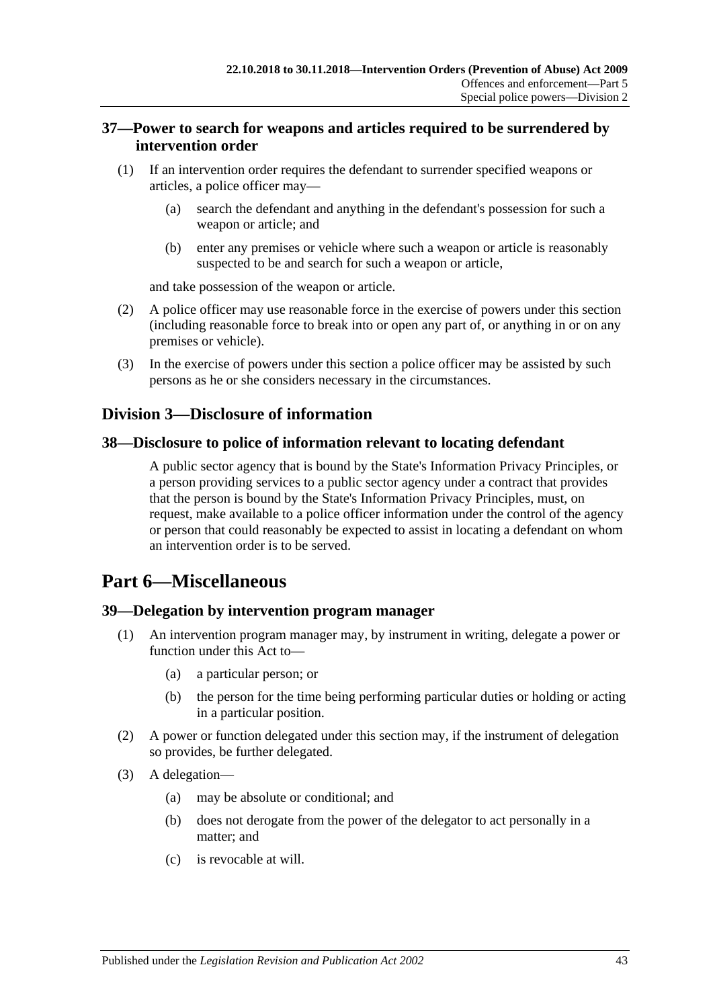# <span id="page-42-0"></span>**37—Power to search for weapons and articles required to be surrendered by intervention order**

- (1) If an intervention order requires the defendant to surrender specified weapons or articles, a police officer may—
	- (a) search the defendant and anything in the defendant's possession for such a weapon or article; and
	- (b) enter any premises or vehicle where such a weapon or article is reasonably suspected to be and search for such a weapon or article,

and take possession of the weapon or article.

- (2) A police officer may use reasonable force in the exercise of powers under this section (including reasonable force to break into or open any part of, or anything in or on any premises or vehicle).
- (3) In the exercise of powers under this section a police officer may be assisted by such persons as he or she considers necessary in the circumstances.

# <span id="page-42-1"></span>**Division 3—Disclosure of information**

#### <span id="page-42-2"></span>**38—Disclosure to police of information relevant to locating defendant**

A public sector agency that is bound by the State's Information Privacy Principles, or a person providing services to a public sector agency under a contract that provides that the person is bound by the State's Information Privacy Principles, must, on request, make available to a police officer information under the control of the agency or person that could reasonably be expected to assist in locating a defendant on whom an intervention order is to be served.

# <span id="page-42-3"></span>**Part 6—Miscellaneous**

# <span id="page-42-4"></span>**39—Delegation by intervention program manager**

- An intervention program manager may, by instrument in writing, delegate a power or function under this Act to—
	- (a) a particular person; or
	- (b) the person for the time being performing particular duties or holding or acting in a particular position.
- (2) A power or function delegated under this section may, if the instrument of delegation so provides, be further delegated.
- (3) A delegation—
	- (a) may be absolute or conditional; and
	- (b) does not derogate from the power of the delegator to act personally in a matter; and
	- (c) is revocable at will.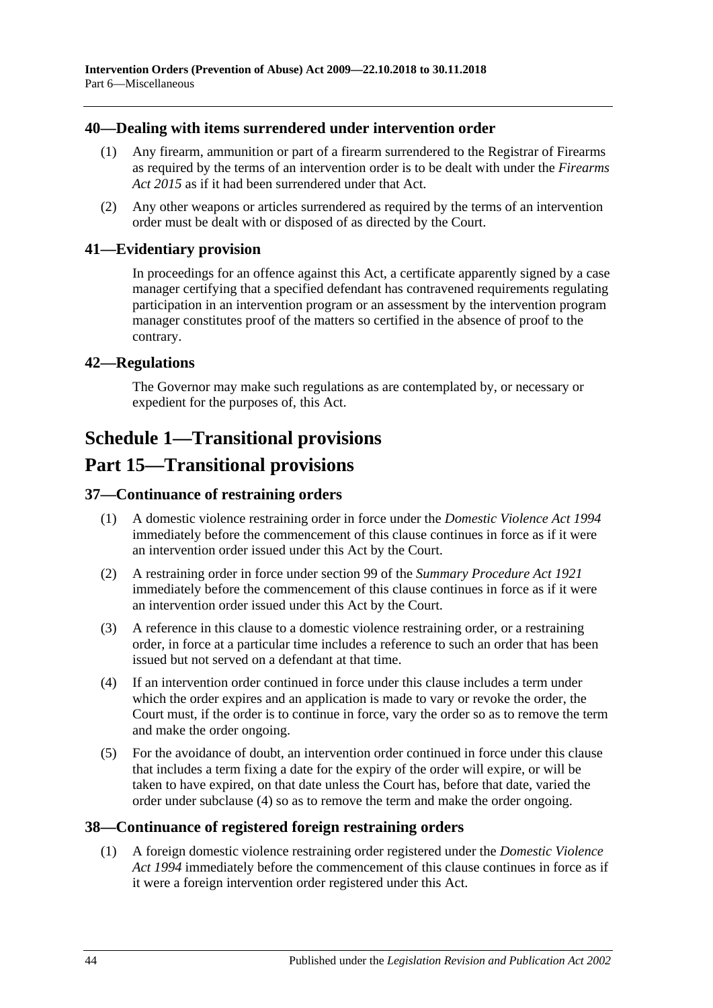# <span id="page-43-0"></span>**40—Dealing with items surrendered under intervention order**

- (1) Any firearm, ammunition or part of a firearm surrendered to the Registrar of Firearms as required by the terms of an intervention order is to be dealt with under the *[Firearms](http://www.legislation.sa.gov.au/index.aspx?action=legref&type=act&legtitle=Firearms%20Act%202015)  Act [2015](http://www.legislation.sa.gov.au/index.aspx?action=legref&type=act&legtitle=Firearms%20Act%202015)* as if it had been surrendered under that Act.
- (2) Any other weapons or articles surrendered as required by the terms of an intervention order must be dealt with or disposed of as directed by the Court.

#### <span id="page-43-1"></span>**41—Evidentiary provision**

In proceedings for an offence against this Act, a certificate apparently signed by a case manager certifying that a specified defendant has contravened requirements regulating participation in an intervention program or an assessment by the intervention program manager constitutes proof of the matters so certified in the absence of proof to the contrary.

#### <span id="page-43-2"></span>**42—Regulations**

The Governor may make such regulations as are contemplated by, or necessary or expedient for the purposes of, this Act.

# <span id="page-43-3"></span>**Schedule 1—Transitional provisions**

# **Part 15—Transitional provisions**

# <span id="page-43-4"></span>**37—Continuance of restraining orders**

- (1) A domestic violence restraining order in force under the *[Domestic Violence Act](http://www.legislation.sa.gov.au/index.aspx?action=legref&type=act&legtitle=Domestic%20Violence%20Act%201994) 1994* immediately before the commencement of this clause continues in force as if it were an intervention order issued under this Act by the Court.
- (2) A restraining order in force under section 99 of the *[Summary Procedure Act](http://www.legislation.sa.gov.au/index.aspx?action=legref&type=act&legtitle=Summary%20Procedure%20Act%201921) 1921* immediately before the commencement of this clause continues in force as if it were an intervention order issued under this Act by the Court.
- (3) A reference in this clause to a domestic violence restraining order, or a restraining order, in force at a particular time includes a reference to such an order that has been issued but not served on a defendant at that time.
- <span id="page-43-6"></span>(4) If an intervention order continued in force under this clause includes a term under which the order expires and an application is made to vary or revoke the order, the Court must, if the order is to continue in force, vary the order so as to remove the term and make the order ongoing.
- (5) For the avoidance of doubt, an intervention order continued in force under this clause that includes a term fixing a date for the expiry of the order will expire, or will be taken to have expired, on that date unless the Court has, before that date, varied the order under [subclause](#page-43-6) (4) so as to remove the term and make the order ongoing.

#### <span id="page-43-5"></span>**38—Continuance of registered foreign restraining orders**

(1) A foreign domestic violence restraining order registered under the *[Domestic Violence](http://www.legislation.sa.gov.au/index.aspx?action=legref&type=act&legtitle=Domestic%20Violence%20Act%201994)  Act [1994](http://www.legislation.sa.gov.au/index.aspx?action=legref&type=act&legtitle=Domestic%20Violence%20Act%201994)* immediately before the commencement of this clause continues in force as if it were a foreign intervention order registered under this Act.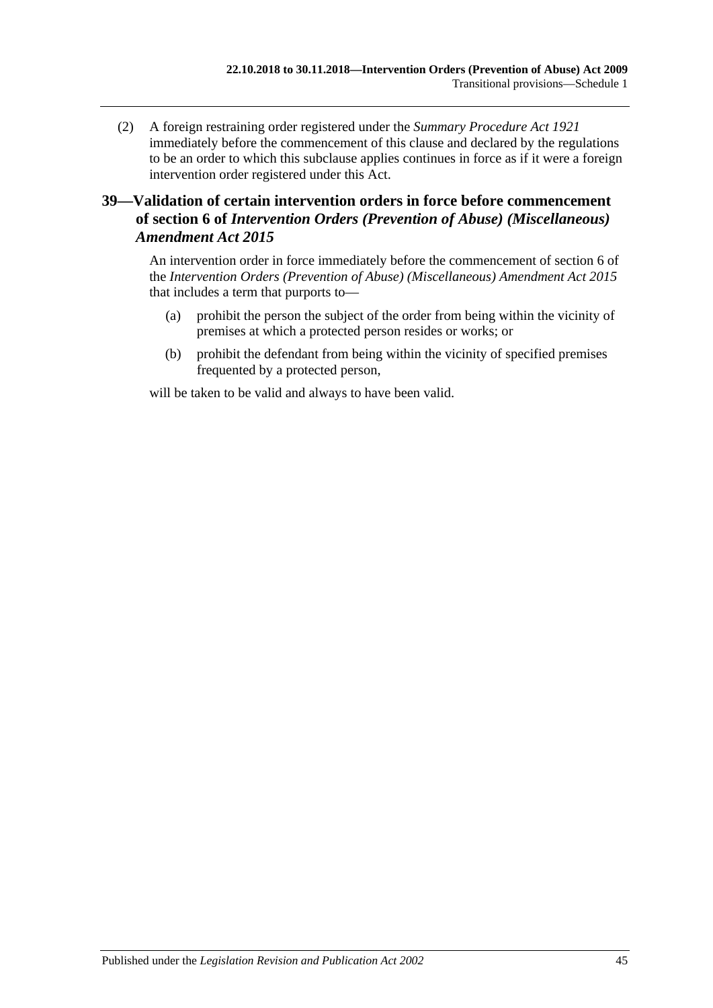(2) A foreign restraining order registered under the *[Summary Procedure Act](http://www.legislation.sa.gov.au/index.aspx?action=legref&type=act&legtitle=Summary%20Procedure%20Act%201921) 1921* immediately before the commencement of this clause and declared by the regulations to be an order to which this subclause applies continues in force as if it were a foreign intervention order registered under this Act.

# <span id="page-44-0"></span>**39—Validation of certain intervention orders in force before commencement of section 6 of** *Intervention Orders (Prevention of Abuse) (Miscellaneous) Amendment Act 2015*

An intervention order in force immediately before the commencement of section 6 of the *[Intervention Orders \(Prevention of Abuse\) \(Miscellaneous\) Amendment Act](http://www.legislation.sa.gov.au/index.aspx?action=legref&type=act&legtitle=Intervention%20Orders%20(Prevention%20of%20Abuse)%20(Miscellaneous)%20Amendment%20Act%202015) 2015* that includes a term that purports to—

- (a) prohibit the person the subject of the order from being within the vicinity of premises at which a protected person resides or works; or
- (b) prohibit the defendant from being within the vicinity of specified premises frequented by a protected person,

will be taken to be valid and always to have been valid.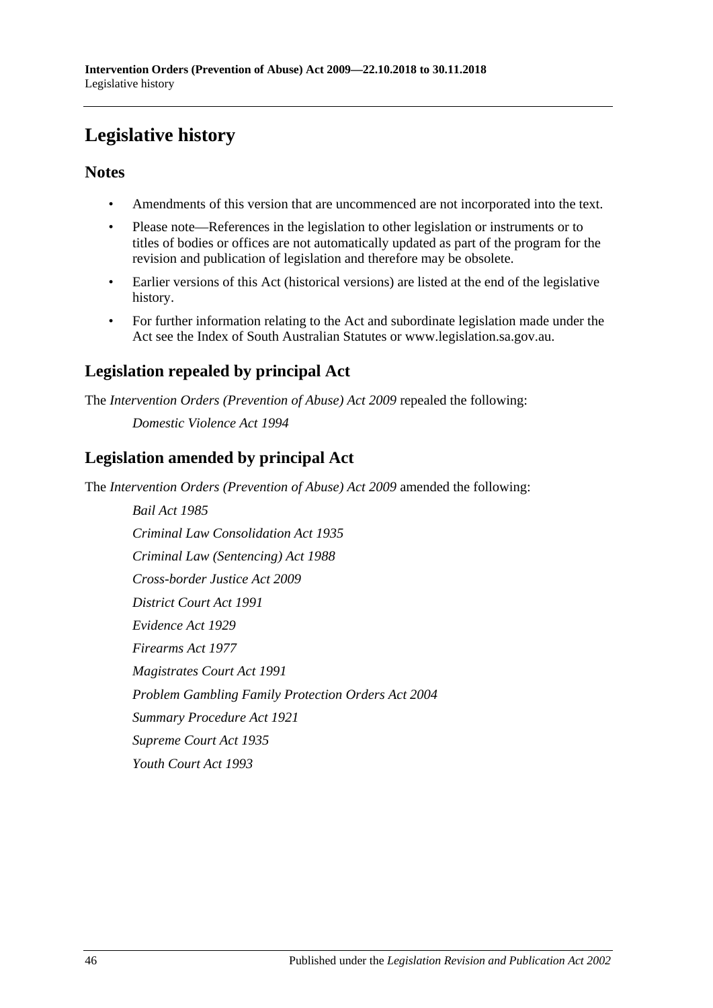# <span id="page-45-0"></span>**Legislative history**

# **Notes**

- Amendments of this version that are uncommenced are not incorporated into the text.
- Please note—References in the legislation to other legislation or instruments or to titles of bodies or offices are not automatically updated as part of the program for the revision and publication of legislation and therefore may be obsolete.
- Earlier versions of this Act (historical versions) are listed at the end of the legislative history.
- For further information relating to the Act and subordinate legislation made under the Act see the Index of South Australian Statutes or www.legislation.sa.gov.au.

# **Legislation repealed by principal Act**

The *Intervention Orders (Prevention of Abuse) Act 2009* repealed the following:

*Domestic Violence Act 1994*

# **Legislation amended by principal Act**

The *Intervention Orders (Prevention of Abuse) Act 2009* amended the following:

*Bail Act 1985 Criminal Law Consolidation Act 1935 Criminal Law (Sentencing) Act 1988 Cross-border Justice Act 2009 District Court Act 1991 Evidence Act 1929 Firearms Act 1977 Magistrates Court Act 1991 Problem Gambling Family Protection Orders Act 2004 Summary Procedure Act 1921 Supreme Court Act 1935 Youth Court Act 1993*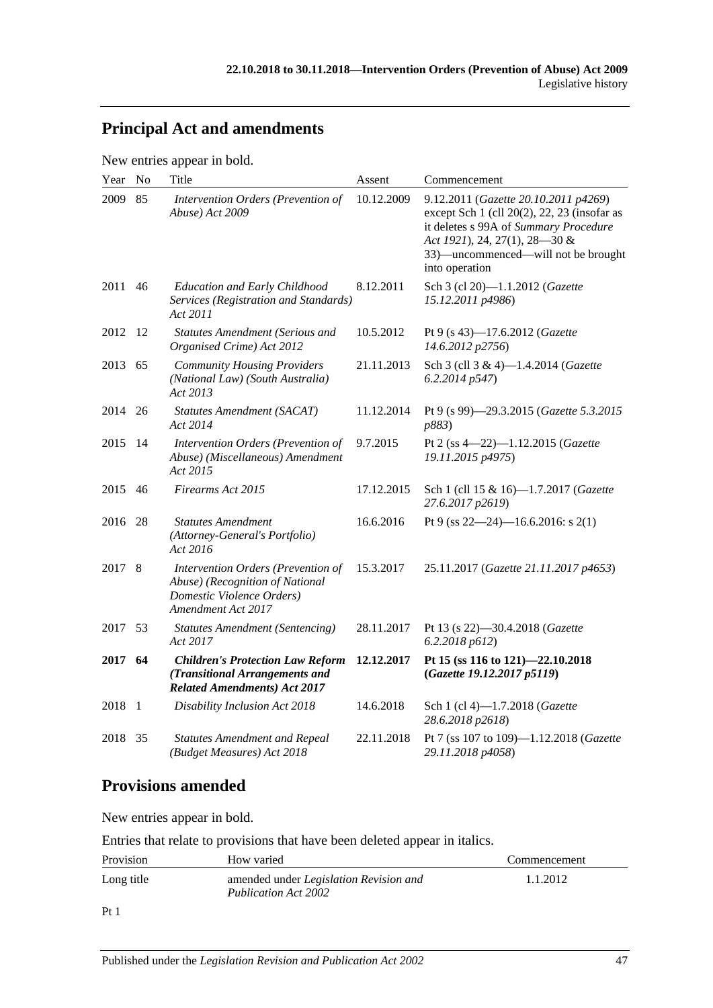# **Principal Act and amendments**

New entries appear in bold.

| Year | No   | Title                                                                                                                    | Assent       | Commencement                                                                                                                                                                                                           |
|------|------|--------------------------------------------------------------------------------------------------------------------------|--------------|------------------------------------------------------------------------------------------------------------------------------------------------------------------------------------------------------------------------|
| 2009 | 85   | Intervention Orders (Prevention of<br>Abuse) Act 2009                                                                    | 10.12.2009   | 9.12.2011 (Gazette 20.10.2011 p4269)<br>except Sch 1 (cll 20(2), 22, 23 (insofar as<br>it deletes s 99A of Summary Procedure<br>Act 1921), 24, 27(1), 28-30 &<br>33)—uncommenced—will not be brought<br>into operation |
| 2011 | 46   | <b>Education and Early Childhood</b><br>Services (Registration and Standards)<br>Act 2011                                | 8.12.2011    | Sch 3 (cl 20)-1.1.2012 (Gazette<br>15.12.2011 p4986)                                                                                                                                                                   |
| 2012 | - 12 | <b>Statutes Amendment (Serious and</b><br>Organised Crime) Act 2012                                                      | 10.5.2012    | Pt 9 (s 43)-17.6.2012 (Gazette<br>14.6.2012 p2756)                                                                                                                                                                     |
| 2013 | 65   | <b>Community Housing Providers</b><br>(National Law) (South Australia)<br>Act 2013                                       | 21.11.2013   | Sch 3 (cll 3 & 4)-1.4.2014 (Gazette<br>6.2.2014p547                                                                                                                                                                    |
| 2014 | 26   | <b>Statutes Amendment (SACAT)</b><br>Act 2014                                                                            | 11.12.2014   | Pt 9 (s 99)-29.3.2015 (Gazette 5.3.2015<br>p883)                                                                                                                                                                       |
| 2015 | -14  | Intervention Orders (Prevention of<br>Abuse) (Miscellaneous) Amendment<br>Act 2015                                       | 9.7.2015     | Pt 2 (ss 4-22)-1.12.2015 (Gazette<br>19.11.2015 p4975)                                                                                                                                                                 |
| 2015 | 46   | Firearms Act 2015                                                                                                        | 17.12.2015   | Sch 1 (cll 15 & 16)-1.7.2017 (Gazette<br>27.6.2017 p2619)                                                                                                                                                              |
| 2016 | 28   | <b>Statutes Amendment</b><br>(Attorney-General's Portfolio)<br>Act 2016                                                  | 16.6.2016    | Pt 9 (ss $22-24$ )-16.6.2016: s 2(1)                                                                                                                                                                                   |
| 2017 | 8    | Intervention Orders (Prevention of<br>Abuse) (Recognition of National<br>Domestic Violence Orders)<br>Amendment Act 2017 | 15.3.2017    | 25.11.2017 (Gazette 21.11.2017 p4653)                                                                                                                                                                                  |
| 2017 | 53   | <b>Statutes Amendment (Sentencing)</b><br>Act 2017                                                                       | 28.11.2017   | Pt 13 (s 22)-30.4.2018 (Gazette<br>6.2.2018 p612)                                                                                                                                                                      |
| 2017 | 64   | <b>Children's Protection Law Reform</b><br>(Transitional Arrangements and<br><b>Related Amendments) Act 2017</b>         | 12, 12, 2017 | Pt 15 (ss 116 to 121)-22.10.2018<br>(Gazette 19.12.2017 p5119)                                                                                                                                                         |
| 2018 | -1   | Disability Inclusion Act 2018                                                                                            | 14.6.2018    | Sch 1 (cl 4)-1.7.2018 (Gazette<br>28.6.2018 p2618)                                                                                                                                                                     |
| 2018 | 35   | <b>Statutes Amendment and Repeal</b><br>(Budget Measures) Act 2018                                                       | 22.11.2018   | Pt 7 (ss 107 to 109)-1.12.2018 (Gazette<br>29.11.2018 p4058)                                                                                                                                                           |

# **Provisions amended**

New entries appear in bold.

Entries that relate to provisions that have been deleted appear in italics.

| Provision  | How varied                                                                   | Commencement |
|------------|------------------------------------------------------------------------------|--------------|
| Long title | amended under <i>Legislation Revision and</i><br><b>Publication Act 2002</b> | 1.1.2012     |
|            |                                                                              |              |

Pt 1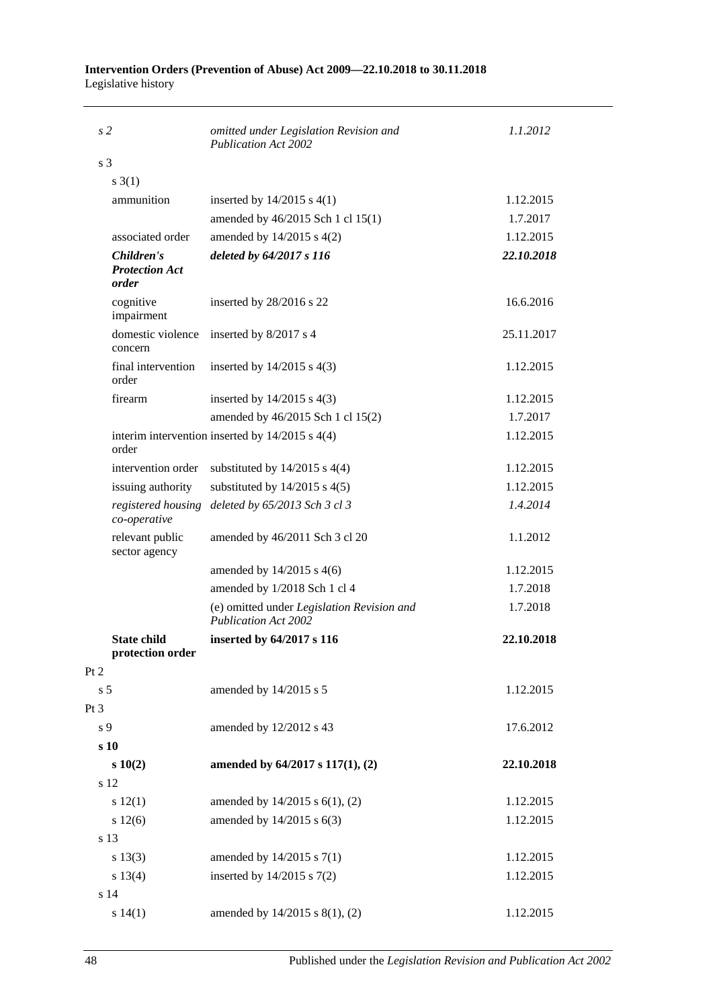#### **Intervention Orders (Prevention of Abuse) Act 2009—22.10.2018 to 30.11.2018** Legislative history

| s <sub>2</sub>                               | omitted under Legislation Revision and                                    | 1.1.2012   |
|----------------------------------------------|---------------------------------------------------------------------------|------------|
|                                              | <b>Publication Act 2002</b>                                               |            |
| s <sub>3</sub>                               |                                                                           |            |
| $s \; 3(1)$                                  |                                                                           |            |
| ammunition                                   | inserted by $14/2015$ s $4(1)$                                            | 1.12.2015  |
|                                              | amended by 46/2015 Sch 1 cl 15(1)                                         | 1.7.2017   |
| associated order                             | amended by 14/2015 s 4(2)                                                 | 1.12.2015  |
| Children's<br><b>Protection Act</b><br>order | deleted by 64/2017 s 116                                                  | 22.10.2018 |
| cognitive<br>impairment                      | inserted by 28/2016 s 22                                                  | 16.6.2016  |
| domestic violence<br>concern                 | inserted by 8/2017 s 4                                                    | 25.11.2017 |
| final intervention<br>order                  | inserted by $14/2015$ s $4(3)$                                            | 1.12.2015  |
| firearm                                      | inserted by $14/2015$ s $4(3)$                                            | 1.12.2015  |
|                                              | amended by 46/2015 Sch 1 cl 15(2)                                         | 1.7.2017   |
| order                                        | interim intervention inserted by $14/2015$ s $4(4)$                       | 1.12.2015  |
| intervention order                           | substituted by $14/2015$ s $4(4)$                                         | 1.12.2015  |
| issuing authority                            | substituted by $14/2015$ s $4(5)$                                         | 1.12.2015  |
| registered housing<br>co-operative           | deleted by 65/2013 Sch 3 cl 3                                             | 1.4.2014   |
| relevant public<br>sector agency             | amended by 46/2011 Sch 3 cl 20                                            | 1.1.2012   |
|                                              | amended by $14/2015$ s $4(6)$                                             | 1.12.2015  |
|                                              | amended by 1/2018 Sch 1 cl 4                                              | 1.7.2018   |
|                                              | (e) omitted under Legislation Revision and<br><b>Publication Act 2002</b> | 1.7.2018   |
| <b>State child</b><br>protection order       | inserted by 64/2017 s 116                                                 | 22.10.2018 |
| Pt 2                                         |                                                                           |            |
| s <sub>5</sub>                               | amended by 14/2015 s 5                                                    | 1.12.2015  |
| Pt 3                                         |                                                                           |            |
| s 9                                          | amended by 12/2012 s 43                                                   | 17.6.2012  |
| s 10                                         |                                                                           |            |
| s 10(2)                                      | amended by 64/2017 s 117(1), (2)                                          | 22.10.2018 |
| s 12                                         |                                                                           |            |
| s 12(1)                                      | amended by 14/2015 s 6(1), (2)                                            | 1.12.2015  |
| s 12(6)                                      | amended by 14/2015 s 6(3)                                                 | 1.12.2015  |
| s 13                                         |                                                                           |            |
| s 13(3)                                      | amended by 14/2015 s 7(1)                                                 | 1.12.2015  |
| s 13(4)                                      | inserted by $14/2015$ s $7(2)$                                            | 1.12.2015  |
| s 14                                         |                                                                           |            |
| s 14(1)                                      | amended by 14/2015 s 8(1), (2)                                            | 1.12.2015  |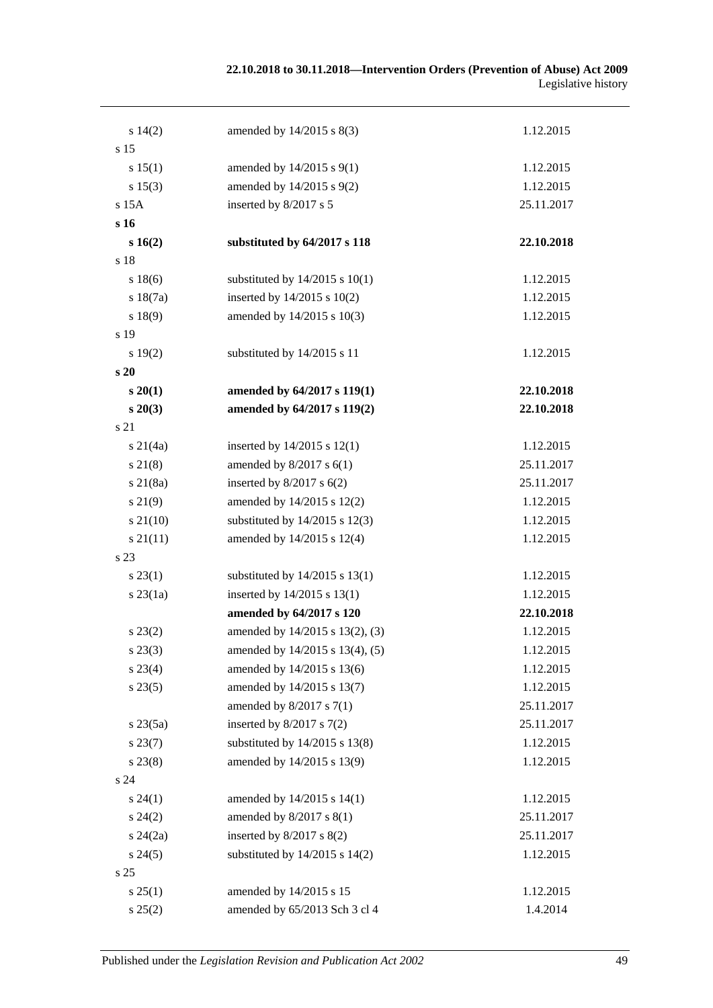#### **22.10.2018 to 30.11.2018—Intervention Orders (Prevention of Abuse) Act 2009** Legislative history

| s 14(2)         | amended by 14/2015 s 8(3)          | 1.12.2015  |
|-----------------|------------------------------------|------------|
| s 15            |                                    |            |
| s 15(1)         | amended by 14/2015 s 9(1)          | 1.12.2015  |
| s 15(3)         | amended by 14/2015 s 9(2)          | 1.12.2015  |
| s 15A           | inserted by 8/2017 s 5             | 25.11.2017 |
| s 16            |                                    |            |
| s 16(2)         | substituted by 64/2017 s 118       | 22.10.2018 |
| s 18            |                                    |            |
| s 18(6)         | substituted by $14/2015$ s $10(1)$ | 1.12.2015  |
| s 18(7a)        | inserted by $14/2015$ s $10(2)$    | 1.12.2015  |
| s 18(9)         | amended by 14/2015 s 10(3)         | 1.12.2015  |
| s 19            |                                    |            |
| s 19(2)         | substituted by 14/2015 s 11        | 1.12.2015  |
| s20             |                                    |            |
| $s\,20(1)$      | amended by 64/2017 s 119(1)        | 22.10.2018 |
| $s\,20(3)$      | amended by 64/2017 s 119(2)        | 22.10.2018 |
| s 21            |                                    |            |
| $s \, 21(4a)$   | inserted by $14/2015$ s $12(1)$    | 1.12.2015  |
| $s \, 21(8)$    | amended by $8/2017$ s $6(1)$       | 25.11.2017 |
| $s \, 21(8a)$   | inserted by $8/2017$ s $6(2)$      | 25.11.2017 |
| s 21(9)         | amended by 14/2015 s 12(2)         | 1.12.2015  |
| $s\,21(10)$     | substituted by $14/2015$ s $12(3)$ | 1.12.2015  |
| $s \, 21(11)$   | amended by 14/2015 s 12(4)         | 1.12.2015  |
| s 23            |                                    |            |
| $s\,23(1)$      | substituted by $14/2015$ s $13(1)$ | 1.12.2015  |
| $s$ 23 $(1a)$   | inserted by 14/2015 s 13(1)        | 1.12.2015  |
|                 | amended by 64/2017 s 120           | 22.10.2018 |
| $s\,23(2)$      | amended by 14/2015 s 13(2), (3)    | 1.12.2015  |
| $s\,23(3)$      | amended by 14/2015 s 13(4), (5)    | 1.12.2015  |
| $s\,23(4)$      | amended by 14/2015 s 13(6)         | 1.12.2015  |
| s 23(5)         | amended by 14/2015 s 13(7)         | 1.12.2015  |
|                 | amended by $8/2017$ s $7(1)$       | 25.11.2017 |
| $s\,23(5a)$     | inserted by $8/2017$ s $7(2)$      | 25.11.2017 |
| $s\,23(7)$      | substituted by 14/2015 s 13(8)     | 1.12.2015  |
| $s\,23(8)$      | amended by 14/2015 s 13(9)         | 1.12.2015  |
| s 24            |                                    |            |
| $s\,24(1)$      | amended by 14/2015 s 14(1)         | 1.12.2015  |
| $s\,24(2)$      | amended by 8/2017 s 8(1)           | 25.11.2017 |
| $s\,24(2a)$     | inserted by $8/2017$ s $8(2)$      | 25.11.2017 |
| $s\,24(5)$      | substituted by $14/2015$ s $14(2)$ | 1.12.2015  |
| s <sub>25</sub> |                                    |            |
| s 25(1)         | amended by 14/2015 s 15            | 1.12.2015  |
| s 25(2)         | amended by 65/2013 Sch 3 cl 4      | 1.4.2014   |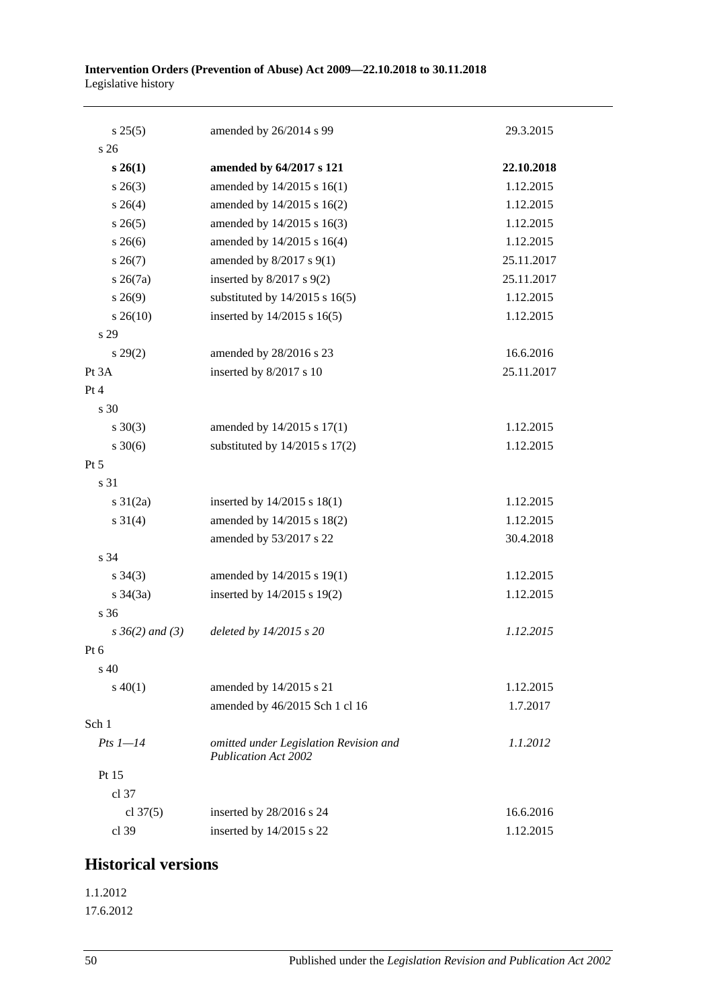| s 25(5)              | amended by 26/2014 s 99                                               | 29.3.2015  |
|----------------------|-----------------------------------------------------------------------|------------|
| s <sub>26</sub>      |                                                                       |            |
| $s\,26(1)$           | amended by 64/2017 s 121                                              | 22.10.2018 |
| $s \; 26(3)$         | amended by 14/2015 s 16(1)                                            | 1.12.2015  |
| $s \; 26(4)$         | amended by 14/2015 s 16(2)                                            | 1.12.2015  |
| $s \, 26(5)$         | amended by 14/2015 s 16(3)                                            | 1.12.2015  |
| $s \; 26(6)$         | amended by 14/2015 s 16(4)                                            | 1.12.2015  |
| $s \, 26(7)$         | amended by 8/2017 s 9(1)                                              | 25.11.2017 |
| $s \; 26(7a)$        | inserted by $8/2017$ s $9(2)$                                         | 25.11.2017 |
| $s\,26(9)$           | substituted by $14/2015$ s $16(5)$                                    | 1.12.2015  |
| $s \; 26(10)$        | inserted by 14/2015 s 16(5)                                           | 1.12.2015  |
| s 29                 |                                                                       |            |
| $s\,29(2)$           | amended by 28/2016 s 23                                               | 16.6.2016  |
| Pt 3A                | inserted by 8/2017 s 10                                               | 25.11.2017 |
| Pt 4                 |                                                                       |            |
| s 30                 |                                                                       |            |
| $s \ 30(3)$          | amended by 14/2015 s 17(1)                                            | 1.12.2015  |
| $s \ 30(6)$          | substituted by $14/2015$ s $17(2)$                                    | 1.12.2015  |
| Pt 5                 |                                                                       |            |
| s 31                 |                                                                       |            |
| $s \frac{31}{2a}$    | inserted by 14/2015 s 18(1)                                           | 1.12.2015  |
| $s \ 31(4)$          | amended by 14/2015 s 18(2)                                            | 1.12.2015  |
|                      | amended by 53/2017 s 22                                               | 30.4.2018  |
| s 34                 |                                                                       |            |
| $s \; 34(3)$         | amended by 14/2015 s 19(1)                                            | 1.12.2015  |
| $s \frac{34}{3a}$    | inserted by 14/2015 s 19(2)                                           | 1.12.2015  |
| s 36                 |                                                                       |            |
| $s \, 36(2)$ and (3) | deleted by 14/2015 s 20                                               | 1.12.2015  |
| Pt 6                 |                                                                       |            |
| $s\,40$              |                                                                       |            |
| $s\ 40(1)$           | amended by 14/2015 s 21                                               | 1.12.2015  |
|                      | amended by 46/2015 Sch 1 cl 16                                        | 1.7.2017   |
| Sch 1                |                                                                       |            |
| $Pts 1-14$           | omitted under Legislation Revision and<br><b>Publication Act 2002</b> | 1.1.2012   |
| Pt 15                |                                                                       |            |
| cl 37                |                                                                       |            |
| cl $37(5)$           | inserted by 28/2016 s 24                                              | 16.6.2016  |
| cl 39                | inserted by 14/2015 s 22                                              | 1.12.2015  |

# **Historical versions**

1.1.2012 17.6.2012